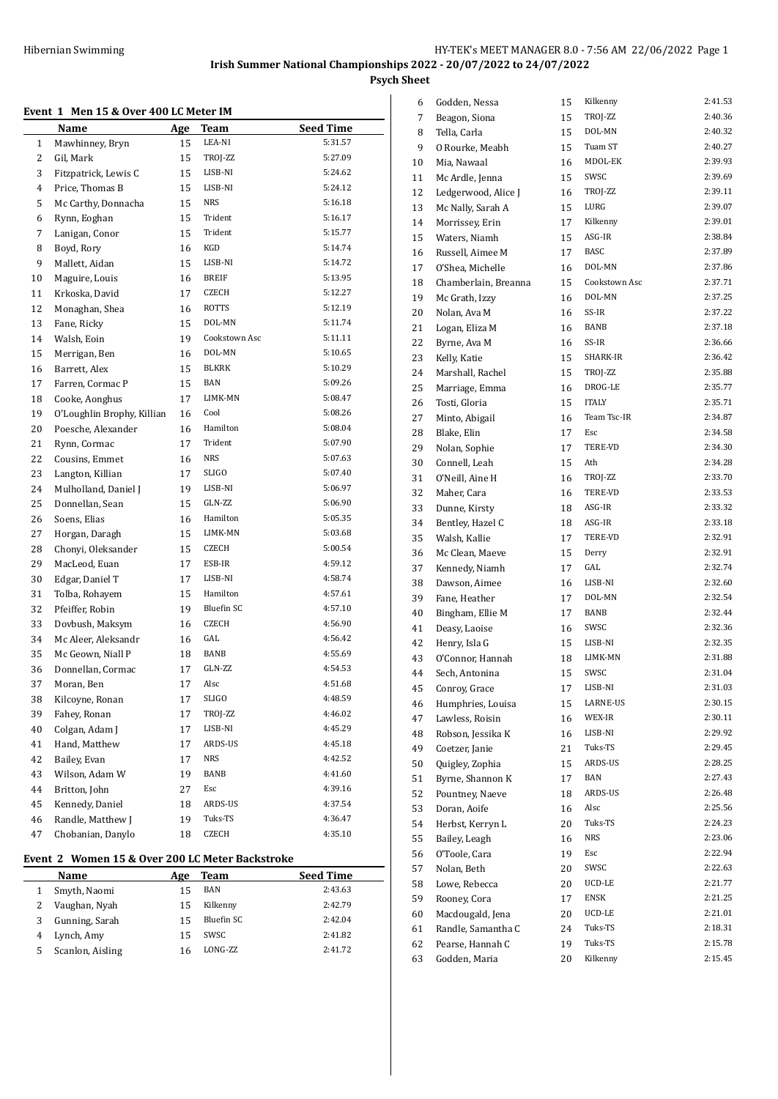# **Event 1 Men 15 & Over 400 LC Meter IM**

| лснг т       | MEIL TO & OVER TOO BE METER THE |     |                   |                  |
|--------------|---------------------------------|-----|-------------------|------------------|
|              | Name                            | Age | Team              | <b>Seed Time</b> |
| $\mathbf{1}$ | Mawhinney, Bryn                 | 15  | LEA-NI            | 5:31.57          |
| 2            | Gil, Mark                       | 15  | TROJ-ZZ           | 5:27.09          |
| 3            | Fitzpatrick, Lewis C            | 15  | LISB-NI           | 5:24.62          |
| 4            | Price, Thomas B                 | 15  | LISB-NI           | 5:24.12          |
| 5            | Mc Carthy, Donnacha             | 15  | <b>NRS</b>        | 5:16.18          |
| 6            | Rynn, Eoghan                    | 15  | Trident           | 5:16.17          |
| 7            | Lanigan, Conor                  | 15  | Trident           | 5:15.77          |
| 8            | Boyd, Rory                      | 16  | KGD               | 5:14.74          |
| 9            | Mallett, Aidan                  | 15  | LISB-NI           | 5:14.72          |
| 10           | Maguire, Louis                  | 16  | BREIF             | 5:13.95          |
| 11           | Krkoska, David                  | 17  | CZECH             | 5:12.27          |
| 12           | Monaghan, Shea                  | 16  | ROTTS             | 5:12.19          |
| 13           | Fane, Ricky                     | 15  | DOL-MN            | 5:11.74          |
| 14           | Walsh, Eoin                     | 19  | Cookstown Asc     | 5:11.11          |
| 15           | Merrigan, Ben                   | 16  | DOL-MN            | 5:10.65          |
| 16           | Barrett, Alex                   | 15  | BLKRK             | 5:10.29          |
| 17           | Farren, Cormac P                | 15  | BAN               | 5:09.26          |
| 18           | Cooke, Aonghus                  | 17  | LIMK-MN           | 5:08.47          |
| 19           | O'Loughlin Brophy, Killian      | 16  | Cool              | 5:08.26          |
| 20           | Poesche, Alexander              | 16  | Hamilton          | 5:08.04          |
| 21           | Rynn, Cormac                    | 17  | Trident           | 5:07.90          |
| 22           | Cousins, Emmet                  | 16  | NRS               | 5:07.63          |
| 23           | Langton, Killian                | 17  | SLIGO             | 5:07.40          |
| 24           | Mulholland, Daniel J            | 19  | LISB-NI           | 5:06.97          |
| 25           | Donnellan, Sean                 | 15  | GLN-ZZ            | 5:06.90          |
| 26           | Soens, Elias                    | 16  | Hamilton          | 5:05.35          |
| 27           | Horgan, Daragh                  | 15  | LIMK-MN           | 5:03.68          |
| 28           | Chonyi, Oleksander              | 15  | CZECH             | 5:00.54          |
| 29           | MacLeod, Euan                   | 17  | ESB-IR            | 4:59.12          |
| 30           | Edgar, Daniel T                 | 17  | LISB-NI           | 4:58.74          |
| 31           | Tolba, Rohayem                  | 15  | Hamilton          | 4:57.61          |
| 32           | Pfeiffer, Robin                 | 19  | <b>Bluefin SC</b> | 4:57.10          |
| 33           | Dovbush, Maksym                 | 16  | <b>CZECH</b>      | 4:56.90          |
| 34           | Mc Aleer, Aleksandr             | 16  | GAL               | 4:56.42          |
| 35           | Mc Geown, Niall P               | 18  | BANB              | 4:55.69          |
| 36           | Donnellan, Cormac               | 17  | GLN-ZZ            | 4:54.53          |
| 37           | Moran, Ben                      | 17  | Alsc              | 4:51.68          |
| 38           | Kilcoyne, Ronan                 | 17  | SLIGO             | 4:48.59          |
| 39           | Fahey, Ronan                    | 17  | TROJ-ZZ           | 4:46.02          |
| 40           | Colgan, Adam J                  | 17  | LISB-NI           | 4:45.29          |
| 41           | Hand, Matthew                   | 17  | ARDS-US           | 4:45.18          |
| 42           | Bailey, Evan                    | 17  | NRS               | 4:42.52          |
| 43           | Wilson, Adam W                  | 19  | BANB              | 4:41.60          |
| 44           | Britton, John                   | 27  | Esc               | 4:39.16          |
| 45           | Kennedy, Daniel                 | 18  | ARDS-US           | 4:37.54          |
| 46           | Randle, Matthew J               | 19  | Tuks-TS           | 4:36.47          |
| 47           | Chobanian, Danylo               | 18  | CZECH             | 4:35.10          |
|              |                                 |     |                   |                  |

# **Event 2 Women 15 & Over 200 LC Meter Backstroke**

|   | <b>Name</b>      | Age | Team             | <b>Seed Time</b> |
|---|------------------|-----|------------------|------------------|
|   | Smyth, Naomi     |     | BAN              | 2:43.63          |
|   | Vaughan, Nyah    | 15  | Kilkenny         | 2:42.79          |
|   | Gunning, Sarah   | 15  | Bluefin SC       | 2:42.04          |
| 4 | Lynch, Amy       | 15  | SWSC             | 2:41.82          |
|   | Scanlon, Aisling |     | <b>LONG-7.7.</b> | 2:41.72          |

| 6  | Godden, Nessa        | 15 | Kilkenny      | 2:41.53 |
|----|----------------------|----|---------------|---------|
| 7  | Beagon, Siona        | 15 | TROJ-ZZ       | 2:40.36 |
| 8  | Tella, Carla         | 15 | DOL-MN        | 2:40.32 |
| 9  | O Rourke, Meabh      | 15 | Tuam ST       | 2:40.27 |
| 10 | Mia, Nawaal          | 16 | MDOL-EK       | 2:39.93 |
| 11 | Mc Ardle, Jenna      | 15 | SWSC          | 2:39.69 |
| 12 | Ledgerwood, Alice J  | 16 | TROJ-ZZ       | 2:39.11 |
| 13 | Mc Nally, Sarah A    | 15 | LURG          | 2:39.07 |
| 14 | Morrissey, Erin      | 17 | Kilkenny      | 2:39.01 |
| 15 | Waters, Niamh        | 15 | ASG-IR        | 2:38.84 |
| 16 | Russell, Aimee M     | 17 | <b>BASC</b>   | 2:37.89 |
| 17 | O'Shea, Michelle     | 16 | DOL-MN        | 2:37.86 |
| 18 | Chamberlain, Breanna | 15 | Cookstown Asc | 2:37.71 |
| 19 | Mc Grath, Izzy       | 16 | DOL-MN        | 2:37.25 |
| 20 | Nolan, Ava M         | 16 | SS-IR         | 2:37.22 |
| 21 | Logan, Eliza M       | 16 | BANB          | 2:37.18 |
| 22 | Byrne, Ava M         | 16 | SS-IR         | 2:36.66 |
| 23 | Kelly, Katie         | 15 | SHARK-IR      | 2:36.42 |
| 24 | Marshall, Rachel     | 15 | TROJ-ZZ       | 2:35.88 |
| 25 | Marriage, Emma       | 16 | DROG-LE       | 2:35.77 |
| 26 | Tosti, Gloria        | 15 | <b>ITALY</b>  | 2:35.71 |
| 27 | Minto, Abigail       | 16 | Team Tsc-IR   | 2:34.87 |
| 28 | Blake, Elin          | 17 | Esc           | 2:34.58 |
| 29 | Nolan, Sophie        | 17 | TERE-VD       | 2:34.30 |
| 30 | Connell, Leah        | 15 | Ath           | 2:34.28 |
| 31 | O'Neill, Aine H      | 16 | TROJ-ZZ       | 2:33.70 |
| 32 | Maher, Cara          | 16 | TERE-VD       | 2:33.53 |
| 33 | Dunne, Kirsty        | 18 | ASG-IR        | 2:33.32 |
| 34 | Bentley, Hazel C     | 18 | ASG-IR        | 2:33.18 |
| 35 | Walsh, Kallie        | 17 | TERE-VD       | 2:32.91 |
| 36 | Mc Clean, Maeve      | 15 | Derry         | 2:32.91 |
| 37 | Kennedy, Niamh       | 17 | GAL           | 2:32.74 |
| 38 | Dawson, Aimee        | 16 | LISB-NI       | 2:32.60 |
| 39 | Fane, Heather        | 17 | DOL-MN        | 2:32.54 |
| 40 | Bingham, Ellie M     | 17 | BANB          | 2:32.44 |
| 41 | Deasy, Laoise        | 16 | SWSC          | 2:32.36 |
| 42 | Henry, Isla G        | 15 | LISB-NI       | 2:32.35 |
| 43 | O'Connor, Hannah     | 18 | LIMK-MN       | 2:31.88 |
| 44 | Sech, Antonina       | 15 | SWSC          | 2:31.04 |
| 45 | Conroy, Grace        | 17 | LISB-NI       | 2:31.03 |
| 46 | Humphries, Louisa    | 15 | LARNE-US      | 2:30.15 |
| 47 | Lawless, Roisin      | 16 | WEX-IR        | 2:30.11 |
| 48 | Robson, Jessika K    | 16 | LISB-NI       | 2:29.92 |
| 49 | Coetzer, Janie       | 21 | Tuks-TS       | 2:29.45 |
| 50 | Quigley, Zophia      | 15 | ARDS-US       | 2:28.25 |
| 51 | Byrne, Shannon K     | 17 | <b>BAN</b>    | 2:27.43 |
| 52 | Pountney, Naeve      | 18 | ARDS-US       | 2:26.48 |
| 53 | Doran, Aoife         | 16 | Alsc          | 2:25.56 |
| 54 | Herbst, Kerryn L     | 20 | Tuks-TS       | 2:24.23 |
| 55 | Bailey, Leagh        | 16 | <b>NRS</b>    | 2:23.06 |
| 56 | O'Toole, Cara        | 19 | Esc           | 2:22.94 |
| 57 | Nolan, Beth          | 20 | SWSC          | 2:22.63 |
| 58 | Lowe, Rebecca        | 20 | UCD-LE        | 2:21.77 |
| 59 | Rooney, Cora         | 17 | ENSK          | 2:21.25 |
| 60 | Macdougald, Jena     | 20 | UCD-LE        | 2:21.01 |
| 61 | Randle, Samantha C   | 24 | Tuks-TS       | 2:18.31 |
| 62 | Pearse, Hannah C     | 19 | Tuks-TS       | 2:15.78 |
| 63 | Godden, Maria        | 20 | Kilkenny      | 2:15.45 |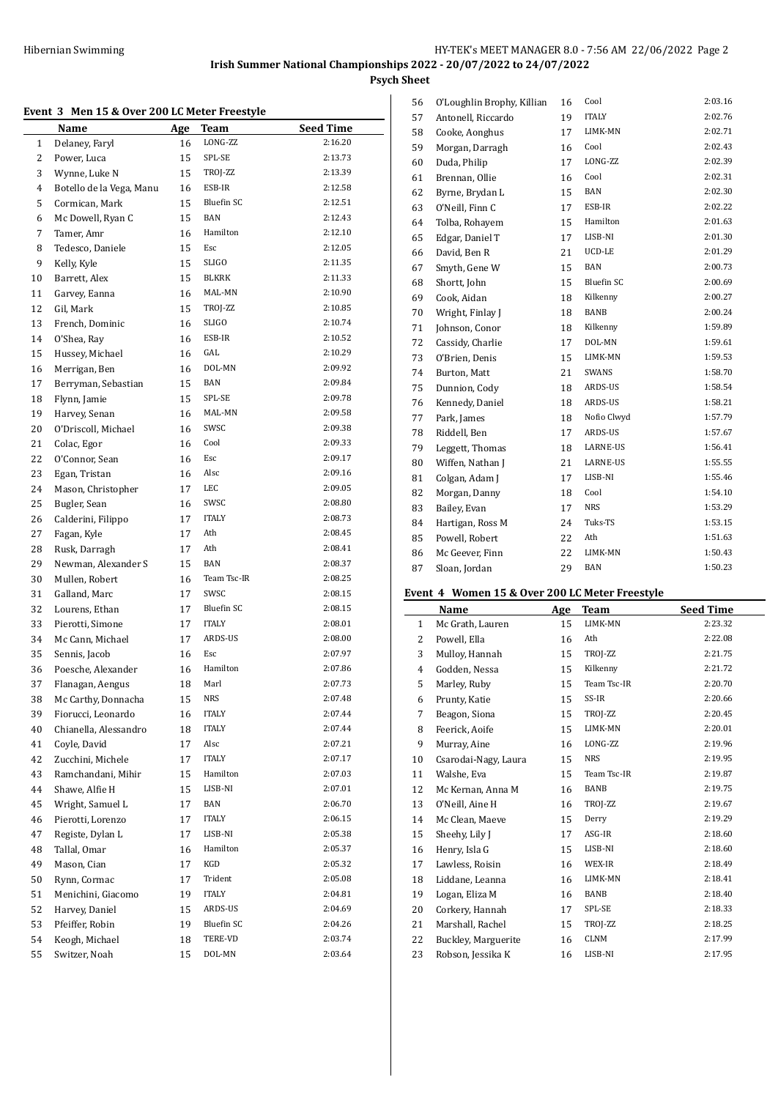$\overline{a}$ 

# **Event 3 Men 15 & Over 200 LC Meter Freestyle**

|              | Name                     | Age | <b>Team</b>       | <b>Seed Time</b> |
|--------------|--------------------------|-----|-------------------|------------------|
| $\mathbf{1}$ | Delaney, Faryl           | 16  | LONG-ZZ           | 2:16.20          |
| 2            | Power, Luca              | 15  | SPL-SE            | 2:13.73          |
| 3            | Wynne, Luke N            | 15  | TROJ-ZZ           | 2:13.39          |
| 4            | Botello de la Vega, Manu | 16  | ESB-IR            | 2:12.58          |
| 5            | Cormican, Mark           | 15  | <b>Bluefin SC</b> | 2:12.51          |
| 6            | Mc Dowell, Ryan C        | 15  | <b>BAN</b>        | 2:12.43          |
| 7            | Tamer, Amr               | 16  | Hamilton          | 2:12.10          |
| 8            | Tedesco, Daniele         | 15  | Esc               | 2:12.05          |
| 9            | Kelly, Kyle              | 15  | SLIGO             | 2:11.35          |
| 10           | Barrett, Alex            | 15  | BLKRK             | 2:11.33          |
| 11           | Garvey, Eanna            | 16  | MAL-MN            | 2:10.90          |
| 12           | Gil, Mark                | 15  | TROJ-ZZ           | 2:10.85          |
| 13           | French, Dominic          | 16  | <b>SLIGO</b>      | 2:10.74          |
| 14           | O'Shea, Ray              | 16  | ESB-IR            | 2:10.52          |
| 15           | Hussey, Michael          | 16  | GAL               | 2:10.29          |
| 16           | Merrigan, Ben            | 16  | DOL-MN            | 2:09.92          |
| 17           | Berryman, Sebastian      | 15  | BAN               | 2:09.84          |
| 18           | Flynn, Jamie             | 15  | SPL-SE            | 2:09.78          |
| 19           | Harvey, Senan            | 16  | MAL-MN            | 2:09.58          |
| 20           | O'Driscoll, Michael      | 16  | SWSC              | 2:09.38          |
| 21           | Colac, Egor              | 16  | Cool              | 2:09.33          |
| 22           | O'Connor, Sean           | 16  | Esc               | 2:09.17          |
| 23           |                          | 16  | Alsc              | 2:09.16          |
|              | Egan, Tristan            |     | LEC               | 2:09.05          |
| 24           | Mason, Christopher       | 17  | SWSC              | 2:08.80          |
| 25           | Bugler, Sean             | 16  |                   |                  |
| 26           | Calderini, Filippo       | 17  | <b>ITALY</b>      | 2:08.73          |
| 27           | Fagan, Kyle              | 17  | Ath               | 2:08.45          |
| 28           | Rusk, Darragh            | 17  | Ath               | 2:08.41          |
| 29           | Newman, Alexander S      | 15  | BAN               | 2:08.37          |
| 30           | Mullen, Robert           | 16  | Team Tsc-IR       | 2:08.25          |
| 31           | Galland, Marc            | 17  | SWSC              | 2:08.15          |
| 32           | Lourens, Ethan           | 17  | <b>Bluefin SC</b> | 2:08.15          |
| 33           | Pierotti, Simone         | 17  | <b>ITALY</b>      | 2:08.01          |
| 34           | Mc Cann, Michael         | 17  | ARDS-US           | 2:08.00          |
| 35           | Sennis, Jacob            | 16  | Esc               | 2:07.97          |
| 36           | Poesche, Alexander       | 16  | Hamilton          | 2:07.86          |
| 37           | Flanagan, Aengus         | 18  | Marl              | 2:07.73          |
| 38           | Mc Carthy, Donnacha      | 15  | NRS               | 2:07.48          |
| 39           | Fiorucci, Leonardo       | 16  | <b>ITALY</b>      | 2:07.44          |
| 40           | Chianella, Alessandro    | 18  | ITALY             | 2:07.44          |
| 41           | Coyle, David             | 17  | Alsc              | 2:07.21          |
| 42           | Zucchini, Michele        | 17  | <b>ITALY</b>      | 2:07.17          |
| 43           | Ramchandani, Mihir       | 15  | Hamilton          | 2:07.03          |
| 44           | Shawe, Alfie H           | 15  | LISB-NI           | 2:07.01          |
| 45           | Wright, Samuel L         | 17  | BAN               | 2:06.70          |
| 46           | Pierotti, Lorenzo        | 17  | <b>ITALY</b>      | 2:06.15          |
| 47           | Registe, Dylan L         | 17  | LISB-NI           | 2:05.38          |
| 48           | Tallal, Omar             | 16  | Hamilton          | 2:05.37          |
| 49           | Mason, Cian              | 17  | KGD               | 2:05.32          |
| 50           | Rynn, Cormac             | 17  | Trident           | 2:05.08          |
| 51           | Menichini, Giacomo       | 19  | <b>ITALY</b>      | 2:04.81          |
| 52           | Harvey, Daniel           | 15  | ARDS-US           | 2:04.69          |
| 53           | Pfeiffer, Robin          | 19  | Bluefin SC        | 2:04.26          |
| 54           | Keogh, Michael           | 18  | TERE-VD           | 2:03.74          |
| 55           | Switzer, Noah            | 15  | DOL-MN            | 2:03.64          |

| 56 | O'Loughlin Brophy, Killian | 16 | Cool              | 2:03.16 |
|----|----------------------------|----|-------------------|---------|
| 57 | Antonell, Riccardo         | 19 | <b>ITALY</b>      | 2:02.76 |
| 58 | Cooke, Aonghus             | 17 | LIMK-MN           | 2:02.71 |
| 59 | Morgan, Darragh            | 16 | Cool              | 2:02.43 |
| 60 | Duda, Philip               | 17 | LONG-ZZ           | 2:02.39 |
| 61 | Brennan, Ollie             | 16 | Cool              | 2:02.31 |
| 62 | Byrne, Brydan L            | 15 | <b>BAN</b>        | 2:02.30 |
| 63 | O'Neill, Finn C            | 17 | ESB-IR            | 2:02.22 |
| 64 | Tolba, Rohayem             | 15 | Hamilton          | 2:01.63 |
| 65 | Edgar, Daniel T            | 17 | LISB-NI           | 2:01.30 |
| 66 | David, Ben R               | 21 | UCD-LE            | 2:01.29 |
| 67 | Smyth, Gene W              | 15 | <b>BAN</b>        | 2:00.73 |
| 68 | Shortt, John               | 15 | <b>Bluefin SC</b> | 2:00.69 |
| 69 | Cook, Aidan                | 18 | Kilkenny          | 2:00.27 |
| 70 | Wright, Finlay J           | 18 | BANB              | 2:00.24 |
| 71 | Johnson, Conor             | 18 | Kilkenny          | 1:59.89 |
| 72 | Cassidy, Charlie           | 17 | DOL-MN            | 1:59.61 |
| 73 | O'Brien, Denis             | 15 | LIMK-MN           | 1:59.53 |
| 74 | Burton, Matt               | 21 | <b>SWANS</b>      | 1:58.70 |
| 75 | Dunnion, Cody              | 18 | ARDS-US           | 1:58.54 |
| 76 | Kennedy, Daniel            | 18 | ARDS-US           | 1:58.21 |
| 77 | Park, James                | 18 | Nofio Clwyd       | 1:57.79 |
| 78 | Riddell, Ben               | 17 | ARDS-US           | 1:57.67 |
| 79 | Leggett, Thomas            | 18 | LARNE-US          | 1:56.41 |
| 80 | Wiffen, Nathan J           | 21 | <b>LARNE-US</b>   | 1:55.55 |
| 81 | Colgan, Adam J             | 17 | LISB-NI           | 1:55.46 |
| 82 | Morgan, Danny              | 18 | Cool              | 1:54.10 |
| 83 | Bailey, Evan               | 17 | <b>NRS</b>        | 1:53.29 |
| 84 | Hartigan, Ross M           | 24 | Tuks-TS           | 1:53.15 |
| 85 | Powell, Robert             | 22 | Ath               | 1:51.63 |
| 86 | Mc Geever, Finn            | 22 | LIMK-MN           | 1:50.43 |
| 87 | Sloan, Jordan              | 29 | BAN               | 1:50.23 |

#### **Event 4 Women 15 & Over 200 LC Meter Freestyle**

|              | Name                 | Age | <b>Team</b> | <b>Seed Time</b> |
|--------------|----------------------|-----|-------------|------------------|
| $\mathbf{1}$ | Mc Grath, Lauren     | 15  | LIMK-MN     | 2:23.32          |
| 2            | Powell, Ella         | 16  | Ath         | 2:22.08          |
| 3            | Mulloy, Hannah       | 15  | TROJ-ZZ     | 2:21.75          |
| 4            | Godden, Nessa        | 15  | Kilkenny    | 2:21.72          |
| 5            | Marley, Ruby         | 15  | Team Tsc-IR | 2:20.70          |
| 6            | Prunty, Katie        | 15  | SS-IR       | 2:20.66          |
| 7            | Beagon, Siona        | 15  | TROJ-ZZ     | 2:20.45          |
| 8            | Feerick, Aoife       | 15  | LIMK-MN     | 2:20.01          |
| 9            | Murray, Aine         | 16  | LONG-ZZ     | 2:19.96          |
| 10           | Csarodai-Nagy, Laura | 15  | <b>NRS</b>  | 2:19.95          |
| 11           | Walshe, Eva          | 15  | Team Tsc-IR | 2:19.87          |
| 12           | Mc Kernan, Anna M    | 16  | BANB        | 2:19.75          |
| 13           | 0'Neill, Aine H      | 16  | TROJ-ZZ     | 2:19.67          |
| 14           | Mc Clean, Maeve      | 15  | Derry       | 2:19.29          |
| 15           | Sheehy, Lily J       | 17  | ASG-IR      | 2:18.60          |
| 16           | Henry, Isla G        | 15  | LISB-NI     | 2:18.60          |
| 17           | Lawless, Roisin      | 16  | WEX-IR      | 2:18.49          |
| 18           | Liddane, Leanna      | 16  | LIMK-MN     | 2:18.41          |
| 19           | Logan, Eliza M       | 16  | BANB        | 2:18.40          |
| 20           | Corkery, Hannah      | 17  | SPL-SE      | 2:18.33          |
| 21           | Marshall, Rachel     | 15  | TROJ-ZZ     | 2:18.25          |
| 22           | Buckley, Marguerite  | 16  | <b>CLNM</b> | 2:17.99          |
| 23           | Robson, Jessika K    | 16  | LISB-NI     | 2:17.95          |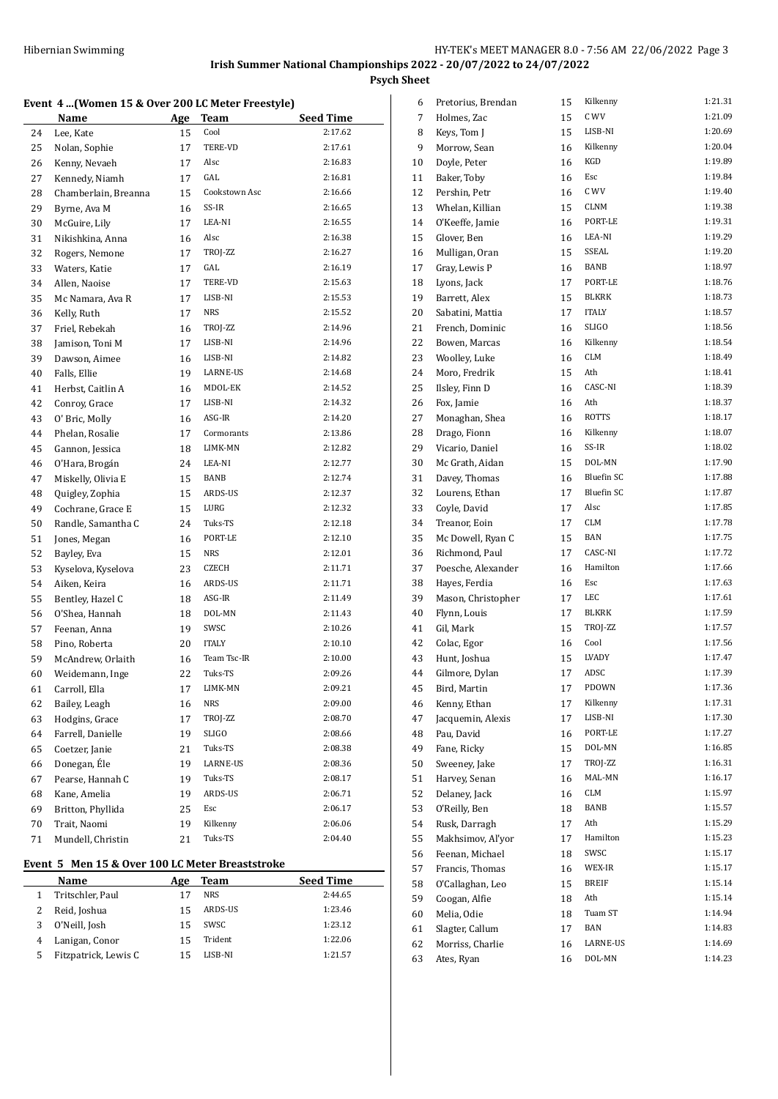#### **Event 4 ...(Women 15 & Over 200 LC Meter Freestyle)**

|    |                      |     | romen 15 & over 200 Be meter ricestyle |                             |
|----|----------------------|-----|----------------------------------------|-----------------------------|
|    | <b>Name</b>          | Age | Team                                   | <b>Seed Time</b><br>2:17.62 |
| 24 | Lee, Kate            | 15  | Cool                                   |                             |
| 25 | Nolan, Sophie        | 17  | TERE-VD                                | 2:17.61                     |
| 26 | Kenny, Nevaeh        | 17  | Alsc                                   | 2:16.83                     |
| 27 | Kennedy, Niamh       | 17  | GAL                                    | 2:16.81                     |
| 28 | Chamberlain, Breanna | 15  | Cookstown Asc                          | 2:16.66                     |
| 29 | Byrne, Ava M         | 16  | SS-IR                                  | 2:16.65                     |
| 30 | McGuire, Lily        | 17  | LEA-NI                                 | 2:16.55                     |
| 31 | Nikishkina, Anna     | 16  | Alsc                                   | 2:16.38                     |
| 32 | Rogers, Nemone       | 17  | TROJ-ZZ                                | 2:16.27                     |
| 33 | Waters, Katie        | 17  | GAL                                    | 2:16.19                     |
| 34 | Allen, Naoise        | 17  | TERE-VD                                | 2:15.63                     |
| 35 | Mc Namara, Ava R     | 17  | LISB-NI                                | 2:15.53                     |
| 36 | Kelly, Ruth          | 17  | <b>NRS</b>                             | 2:15.52                     |
| 37 | Friel, Rebekah       | 16  | TROJ-ZZ                                | 2:14.96                     |
| 38 | Jamison, Toni M      | 17  | LISB-NI                                | 2:14.96                     |
| 39 | Dawson, Aimee        | 16  | LISB-NI                                | 2:14.82                     |
| 40 | Falls, Ellie         | 19  | LARNE-US                               | 2:14.68                     |
| 41 | Herbst, Caitlin A    | 16  | MDOL-EK                                | 2:14.52                     |
| 42 | Conroy, Grace        | 17  | LISB-NI                                | 2:14.32                     |
| 43 | O' Bric, Molly       | 16  | ASG-IR                                 | 2:14.20                     |
| 44 | Phelan, Rosalie      | 17  | Cormorants                             | 2:13.86                     |
| 45 | Gannon, Jessica      | 18  | LIMK-MN                                | 2:12.82                     |
| 46 | O'Hara, Brogán       | 24  | LEA-NI                                 | 2:12.77                     |
| 47 | Miskelly, Olivia E   | 15  | BANB                                   | 2:12.74                     |
| 48 | Quigley, Zophia      | 15  | ARDS-US                                | 2:12.37                     |
| 49 | Cochrane, Grace E    | 15  | LURG                                   | 2:12.32                     |
| 50 | Randle, Samantha C   | 24  | Tuks-TS                                | 2:12.18                     |
| 51 | Jones, Megan         | 16  | PORT-LE                                | 2:12.10                     |
| 52 | Bayley, Eva          | 15  | NRS                                    | 2:12.01                     |
| 53 | Kyselova, Kyselova   | 23  | CZECH                                  | 2:11.71                     |
| 54 | Aiken, Keira         | 16  | ARDS-US                                | 2:11.71                     |
| 55 | Bentley, Hazel C     | 18  | ASG-IR                                 | 2:11.49                     |
| 56 | O'Shea, Hannah       | 18  | DOL-MN                                 | 2:11.43                     |
| 57 | Feenan, Anna         | 19  | SWSC                                   | 2:10.26                     |
| 58 | Pino, Roberta        | 20  | <b>ITALY</b>                           | 2:10.10                     |
| 59 | McAndrew, Orlaith    | 16  | Team Tsc-IR                            | 2:10.00                     |
| 60 | Weidemann, Inge      | 22  | Tuks-TS                                | 2:09.26                     |
| 61 | Carroll, Ella        | 17  | LIMK-MN                                | 2:09.21                     |
| 62 | Bailey, Leagh        | 16  | NRS                                    | 2:09.00                     |
| 63 | Hodgins, Grace       | 17  | TROJ-ZZ                                | 2:08.70                     |
| 64 | Farrell, Danielle    | 19  | SLIGO                                  | 2:08.66                     |
| 65 | Coetzer, Janie       | 21  | Tuks-TS                                | 2:08.38                     |
|    | Donegan, Éle         |     | LARNE-US                               | 2:08.36                     |
| 66 |                      | 19  | Tuks-TS                                | 2:08.17                     |
| 67 | Pearse, Hannah C     | 19  |                                        |                             |
| 68 | Kane, Amelia         | 19  | ARDS-US                                | 2:06.71                     |
| 69 | Britton, Phyllida    | 25  | Esc                                    | 2:06.17                     |
| 70 | Trait, Naomi         | 19  | Kilkenny                               | 2:06.06                     |
| 71 | Mundell, Christin    | 21  | Tuks-TS                                | 2:04.40                     |

# **Event 5 Men 15 & Over 100 LC Meter Breaststroke**

|   | Name                 | Age | <b>Team</b> | <b>Seed Time</b> |
|---|----------------------|-----|-------------|------------------|
|   | Tritschler, Paul     |     | <b>NRS</b>  | 2:44.65          |
|   | Reid, Joshua         | 15  | ARDS-US     | 1:23.46          |
| 3 | O'Neill, Josh        | 15  | SWSC        | 1:23.12          |
|   | Lanigan, Conor       | 15  | Trident     | 1:22.06          |
|   | Fitzpatrick, Lewis C | 15  | LISB-NI     | 1:21.57          |

| 6  | Pretorius, Brendan | 15 | Kilkenny     | 1:21.31 |
|----|--------------------|----|--------------|---------|
| 7  | Holmes, Zac        | 15 | C WV         | 1:21.09 |
| 8  | Keys, Tom J        | 15 | LISB-NI      | 1:20.69 |
| 9  | Morrow, Sean       | 16 | Kilkenny     | 1:20.04 |
| 10 | Doyle, Peter       | 16 | KGD          | 1:19.89 |
| 11 | Baker, Toby        | 16 | <b>Esc</b>   | 1:19.84 |
| 12 | Pershin, Petr      | 16 | C WV         | 1:19.40 |
| 13 | Whelan, Killian    | 15 | CLNM         | 1:19.38 |
| 14 | O'Keeffe, Jamie    | 16 | PORT-LE      | 1:19.31 |
| 15 | Glover, Ben        | 16 | LEA-NI       | 1:19.29 |
| 16 | Mulligan, Oran     | 15 | SSEAL        | 1:19.20 |
| 17 | Gray, Lewis P      | 16 | BANB         | 1:18.97 |
| 18 | Lyons, Jack        | 17 | PORT-LE      | 1:18.76 |
| 19 | Barrett, Alex      | 15 | <b>BLKRK</b> | 1:18.73 |
| 20 | Sabatini, Mattia   | 17 | <b>ITALY</b> | 1:18.57 |
| 21 | French, Dominic    | 16 | <b>SLIGO</b> | 1:18.56 |
| 22 | Bowen, Marcas      | 16 | Kilkenny     | 1:18.54 |
| 23 | Woolley, Luke      | 16 | <b>CLM</b>   | 1:18.49 |
| 24 | Moro, Fredrik      | 15 | Ath          | 1:18.41 |
| 25 | Ilsley, Finn D     | 16 | CASC-NI      | 1:18.39 |
| 26 | Fox, Jamie         | 16 | Ath          | 1:18.37 |
| 27 | Monaghan, Shea     | 16 | <b>ROTTS</b> | 1:18.17 |
| 28 |                    | 16 | Kilkenny     | 1:18.07 |
|    | Drago, Fionn       |    | SS-IR        | 1:18.02 |
| 29 | Vicario, Daniel    | 16 |              |         |
| 30 | Mc Grath, Aidan    | 15 | DOL-MN       | 1:17.90 |
| 31 | Davey, Thomas      | 16 | Bluefin SC   | 1:17.88 |
| 32 | Lourens, Ethan     | 17 | Bluefin SC   | 1:17.87 |
| 33 | Coyle, David       | 17 | Alsc         | 1:17.85 |
| 34 | Treanor, Eoin      | 17 | <b>CLM</b>   | 1:17.78 |
| 35 | Mc Dowell, Ryan C  | 15 | <b>BAN</b>   | 1:17.75 |
| 36 | Richmond, Paul     | 17 | CASC-NI      | 1:17.72 |
| 37 | Poesche, Alexander | 16 | Hamilton     | 1:17.66 |
| 38 | Hayes, Ferdia      | 16 | Esc          | 1:17.63 |
| 39 | Mason, Christopher | 17 | LEC          | 1:17.61 |
| 40 | Flynn, Louis       | 17 | BLKRK        | 1:17.59 |
| 41 | Gil, Mark          | 15 | TROJ-ZZ      | 1:17.57 |
| 42 | Colac, Egor        | 16 | Cool         | 1:17.56 |
| 43 | Hunt, Joshua       | 15 | <b>LVADY</b> | 1:17.47 |
| 44 | Gilmore, Dylan     | 17 | ADSC         | 1:17.39 |
| 45 | Bird, Martin       | 17 | PDOWN        | 1:17.36 |
| 46 | Kenny, Ethan       | 17 | Kilkenny     | 1:17.31 |
| 47 | Jacquemin, Alexis  | 17 | LISB-NI      | 1:17.30 |
| 48 | Pau, David         | 16 | PORT-LE      | 1:17.27 |
| 49 | Fane, Ricky        | 15 | DOL-MN       | 1:16.85 |
| 50 | Sweeney, Jake      | 17 | TROJ-ZZ      | 1:16.31 |
| 51 | Harvey, Senan      | 16 | MAL-MN       | 1:16.17 |
| 52 | Delanev, Jack      | 16 | CLM          | 1:15.97 |
| 53 | O'Reilly, Ben      | 18 | BANB         | 1:15.57 |
| 54 | Rusk, Darragh      | 17 | Ath          | 1:15.29 |
| 55 | Makhsimov, Al'yor  | 17 | Hamilton     | 1:15.23 |
| 56 | Feenan, Michael    | 18 | SWSC         | 1:15.17 |
| 57 | Francis, Thomas    | 16 | WEX-IR       | 1:15.17 |
| 58 | O'Callaghan, Leo   | 15 | <b>BREIF</b> | 1:15.14 |
| 59 | Coogan, Alfie      | 18 | Ath          | 1:15.14 |
| 60 | Melia, Odie        | 18 | Tuam ST      | 1:14.94 |
| 61 | Slagter, Callum    | 17 | BAN          | 1:14.83 |
| 62 | Morriss, Charlie   | 16 | LARNE-US     | 1:14.69 |
| 63 | Ates, Ryan         | 16 | DOL-MN       | 1:14.23 |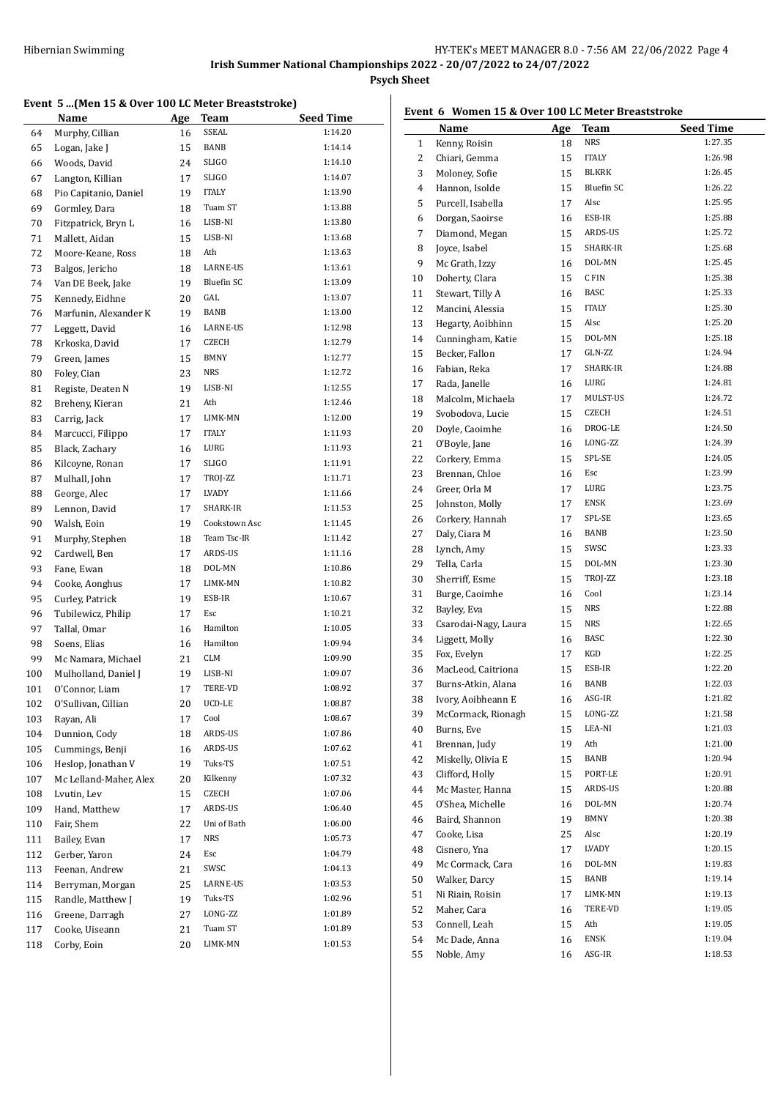#### **Event 5 ...(Men 15 & Over 100 LC Meter Breaststroke)**

| SSEAL<br>1:14.20<br>Murphy, Cillian<br>16<br>64<br>BANB<br>1:14.14<br>65<br>Logan, Jake J<br>15<br>66<br>Woods, David<br>24<br>SLIGO<br>1:14.10<br>SLIGO<br>1:14.07<br>67<br>Langton, Killian<br>17<br><b>ITALY</b><br>1:13.90<br>68<br>Pio Capitanio, Daniel<br>19<br>69<br>Gormley, Dara<br>Tuam ST<br>1:13.88<br>18<br>LISB-NI<br>1:13.80<br>70<br>Fitzpatrick, Bryn L<br>16<br>1:13.68<br>Mallett, Aidan<br>LISB-NI<br>71<br>15<br>1:13.63<br>72<br>Moore-Keane, Ross<br>18<br>Ath<br>1:13.61<br>LARNE-US<br>73<br>Balgos, Jericho<br>18<br><b>Bluefin SC</b><br>1:13.09<br>74<br>Van DE Beek, Jake<br>19<br>75<br>Kennedy, Eidhne<br>20<br>GAL<br>1:13.07<br>BANB<br>1:13.00<br>76<br>Marfunin, Alexander K<br>19<br>LARNE-US<br>1:12.98<br>77<br>Leggett, David<br>16<br>78<br>Krkoska, David<br>17<br>CZECH<br>1:12.79<br>BMNY<br>1:12.77<br>79<br>15<br>Green, James<br><b>NRS</b><br>1:12.72<br>Foley, Cian<br>23<br>80<br>81<br>Registe, Deaten N<br>19<br>LISB-NI<br>1:12.55<br>Ath<br>1:12.46<br>82<br>Breheny, Kieran<br>21<br>LIMK-MN<br>1:12.00<br>83<br>Carrig, Jack<br>17<br>1:11.93<br>84<br>Marcucci, Filippo<br><b>ITALY</b><br>17<br>LURG<br>1:11.93<br>85<br>Black, Zachary<br>16<br><b>SLIGO</b><br>1:11.91<br>Kilcoyne, Ronan<br>17<br>86<br>1:11.71<br>87<br>Mulhall, John<br>17<br>TROJ-ZZ<br>LVADY<br>1:11.66<br>88<br>George, Alec<br>17<br>SHARK-IR<br>1:11.53<br>89<br>Lennon, David<br>17<br>Cookstown Asc<br>90<br>Walsh, Eoin<br>19<br>1:11.45<br>Team Tsc-IR<br>1:11.42<br>91<br>Murphy, Stephen<br>18<br>ARDS-US<br>1:11.16<br>92<br>Cardwell, Ben<br>17<br>1:10.86<br>93<br>Fane, Ewan<br>18<br>DOL-MN<br>LIMK-MN<br>1:10.82<br>94<br>Cooke, Aonghus<br>17<br>1:10.67<br>ESB-IR<br>95<br>Curley, Patrick<br>19<br>1:10.21<br>96<br>Tubilewicz, Philip<br>Esc<br>17<br>Hamilton<br>1:10.05<br>97<br>Tallal, Omar<br>16<br>Hamilton<br>1:09.94<br>98<br>Soens, Elias<br>16<br>99<br>Mc Namara, Michael<br>21<br>CLM<br>1:09.90<br>LISB-NI<br>1:09.07<br>100<br>Mulholland, Daniel J<br>19<br>TERE-VD<br>1:08.92<br>O'Connor, Liam<br>17<br>101<br>UCD-LE<br>102<br>O'Sullivan, Cillian<br>1:08.87<br>20<br>Rayan, Ali<br>Cool<br>1:08.67<br>103<br>17<br>ARDS-US<br>1:07.86<br>Dunnion, Cody<br>104<br>18<br>ARDS-US<br>1:07.62<br>105<br>Cummings, Benji<br>16<br>1:07.51<br>Heslop, Jonathan V<br>Tuks-TS<br>106<br>19<br>Kilkenny<br>1:07.32<br>Mc Lelland-Maher, Alex<br>107<br>20<br>CZECH<br>1:07.06<br>108<br>Lvutin, Lev<br>15<br>ARDS-US<br>1:06.40<br>109<br>Hand, Matthew<br>17<br>Uni of Bath<br>1:06.00<br>110<br>Fair, Shem<br>22<br><b>NRS</b><br>1:05.73<br>111<br>Bailey, Evan<br>17<br>Gerber, Yaron<br>1:04.79<br>112<br>24<br>Esc<br>SWSC<br>Feenan, Andrew<br>1:04.13<br>113<br>21<br>1:03.53<br>114<br>Berryman, Morgan<br>25<br>LARNE-US<br>Randle, Matthew J<br>115<br>19<br>Tuks-TS<br>1:02.96<br>Greene, Darragh<br>LONG-ZZ<br>1:01.89<br>116<br>27<br>117<br>Cooke, Uiseann<br>21<br>Tuam ST<br>1:01.89<br>1:01.53<br>Corby, Eoin<br>20<br>LIMK-MN<br>118 | Name | Age | <b>Team</b> | <b>Seed Time</b> |
|------------------------------------------------------------------------------------------------------------------------------------------------------------------------------------------------------------------------------------------------------------------------------------------------------------------------------------------------------------------------------------------------------------------------------------------------------------------------------------------------------------------------------------------------------------------------------------------------------------------------------------------------------------------------------------------------------------------------------------------------------------------------------------------------------------------------------------------------------------------------------------------------------------------------------------------------------------------------------------------------------------------------------------------------------------------------------------------------------------------------------------------------------------------------------------------------------------------------------------------------------------------------------------------------------------------------------------------------------------------------------------------------------------------------------------------------------------------------------------------------------------------------------------------------------------------------------------------------------------------------------------------------------------------------------------------------------------------------------------------------------------------------------------------------------------------------------------------------------------------------------------------------------------------------------------------------------------------------------------------------------------------------------------------------------------------------------------------------------------------------------------------------------------------------------------------------------------------------------------------------------------------------------------------------------------------------------------------------------------------------------------------------------------------------------------------------------------------------------------------------------------------------------------------------------------------------------------------------------------------------------------------------------------------------------------------------------------------------------------------------------------------------------------------------------------------------------------------------------------------------------------------------------------------------------------------------------------------------------------------------------------------------|------|-----|-------------|------------------|
|                                                                                                                                                                                                                                                                                                                                                                                                                                                                                                                                                                                                                                                                                                                                                                                                                                                                                                                                                                                                                                                                                                                                                                                                                                                                                                                                                                                                                                                                                                                                                                                                                                                                                                                                                                                                                                                                                                                                                                                                                                                                                                                                                                                                                                                                                                                                                                                                                                                                                                                                                                                                                                                                                                                                                                                                                                                                                                                                                                                                                        |      |     |             |                  |
|                                                                                                                                                                                                                                                                                                                                                                                                                                                                                                                                                                                                                                                                                                                                                                                                                                                                                                                                                                                                                                                                                                                                                                                                                                                                                                                                                                                                                                                                                                                                                                                                                                                                                                                                                                                                                                                                                                                                                                                                                                                                                                                                                                                                                                                                                                                                                                                                                                                                                                                                                                                                                                                                                                                                                                                                                                                                                                                                                                                                                        |      |     |             |                  |
|                                                                                                                                                                                                                                                                                                                                                                                                                                                                                                                                                                                                                                                                                                                                                                                                                                                                                                                                                                                                                                                                                                                                                                                                                                                                                                                                                                                                                                                                                                                                                                                                                                                                                                                                                                                                                                                                                                                                                                                                                                                                                                                                                                                                                                                                                                                                                                                                                                                                                                                                                                                                                                                                                                                                                                                                                                                                                                                                                                                                                        |      |     |             |                  |
|                                                                                                                                                                                                                                                                                                                                                                                                                                                                                                                                                                                                                                                                                                                                                                                                                                                                                                                                                                                                                                                                                                                                                                                                                                                                                                                                                                                                                                                                                                                                                                                                                                                                                                                                                                                                                                                                                                                                                                                                                                                                                                                                                                                                                                                                                                                                                                                                                                                                                                                                                                                                                                                                                                                                                                                                                                                                                                                                                                                                                        |      |     |             |                  |
|                                                                                                                                                                                                                                                                                                                                                                                                                                                                                                                                                                                                                                                                                                                                                                                                                                                                                                                                                                                                                                                                                                                                                                                                                                                                                                                                                                                                                                                                                                                                                                                                                                                                                                                                                                                                                                                                                                                                                                                                                                                                                                                                                                                                                                                                                                                                                                                                                                                                                                                                                                                                                                                                                                                                                                                                                                                                                                                                                                                                                        |      |     |             |                  |
|                                                                                                                                                                                                                                                                                                                                                                                                                                                                                                                                                                                                                                                                                                                                                                                                                                                                                                                                                                                                                                                                                                                                                                                                                                                                                                                                                                                                                                                                                                                                                                                                                                                                                                                                                                                                                                                                                                                                                                                                                                                                                                                                                                                                                                                                                                                                                                                                                                                                                                                                                                                                                                                                                                                                                                                                                                                                                                                                                                                                                        |      |     |             |                  |
|                                                                                                                                                                                                                                                                                                                                                                                                                                                                                                                                                                                                                                                                                                                                                                                                                                                                                                                                                                                                                                                                                                                                                                                                                                                                                                                                                                                                                                                                                                                                                                                                                                                                                                                                                                                                                                                                                                                                                                                                                                                                                                                                                                                                                                                                                                                                                                                                                                                                                                                                                                                                                                                                                                                                                                                                                                                                                                                                                                                                                        |      |     |             |                  |
|                                                                                                                                                                                                                                                                                                                                                                                                                                                                                                                                                                                                                                                                                                                                                                                                                                                                                                                                                                                                                                                                                                                                                                                                                                                                                                                                                                                                                                                                                                                                                                                                                                                                                                                                                                                                                                                                                                                                                                                                                                                                                                                                                                                                                                                                                                                                                                                                                                                                                                                                                                                                                                                                                                                                                                                                                                                                                                                                                                                                                        |      |     |             |                  |
|                                                                                                                                                                                                                                                                                                                                                                                                                                                                                                                                                                                                                                                                                                                                                                                                                                                                                                                                                                                                                                                                                                                                                                                                                                                                                                                                                                                                                                                                                                                                                                                                                                                                                                                                                                                                                                                                                                                                                                                                                                                                                                                                                                                                                                                                                                                                                                                                                                                                                                                                                                                                                                                                                                                                                                                                                                                                                                                                                                                                                        |      |     |             |                  |
|                                                                                                                                                                                                                                                                                                                                                                                                                                                                                                                                                                                                                                                                                                                                                                                                                                                                                                                                                                                                                                                                                                                                                                                                                                                                                                                                                                                                                                                                                                                                                                                                                                                                                                                                                                                                                                                                                                                                                                                                                                                                                                                                                                                                                                                                                                                                                                                                                                                                                                                                                                                                                                                                                                                                                                                                                                                                                                                                                                                                                        |      |     |             |                  |
|                                                                                                                                                                                                                                                                                                                                                                                                                                                                                                                                                                                                                                                                                                                                                                                                                                                                                                                                                                                                                                                                                                                                                                                                                                                                                                                                                                                                                                                                                                                                                                                                                                                                                                                                                                                                                                                                                                                                                                                                                                                                                                                                                                                                                                                                                                                                                                                                                                                                                                                                                                                                                                                                                                                                                                                                                                                                                                                                                                                                                        |      |     |             |                  |
|                                                                                                                                                                                                                                                                                                                                                                                                                                                                                                                                                                                                                                                                                                                                                                                                                                                                                                                                                                                                                                                                                                                                                                                                                                                                                                                                                                                                                                                                                                                                                                                                                                                                                                                                                                                                                                                                                                                                                                                                                                                                                                                                                                                                                                                                                                                                                                                                                                                                                                                                                                                                                                                                                                                                                                                                                                                                                                                                                                                                                        |      |     |             |                  |
|                                                                                                                                                                                                                                                                                                                                                                                                                                                                                                                                                                                                                                                                                                                                                                                                                                                                                                                                                                                                                                                                                                                                                                                                                                                                                                                                                                                                                                                                                                                                                                                                                                                                                                                                                                                                                                                                                                                                                                                                                                                                                                                                                                                                                                                                                                                                                                                                                                                                                                                                                                                                                                                                                                                                                                                                                                                                                                                                                                                                                        |      |     |             |                  |
|                                                                                                                                                                                                                                                                                                                                                                                                                                                                                                                                                                                                                                                                                                                                                                                                                                                                                                                                                                                                                                                                                                                                                                                                                                                                                                                                                                                                                                                                                                                                                                                                                                                                                                                                                                                                                                                                                                                                                                                                                                                                                                                                                                                                                                                                                                                                                                                                                                                                                                                                                                                                                                                                                                                                                                                                                                                                                                                                                                                                                        |      |     |             |                  |
|                                                                                                                                                                                                                                                                                                                                                                                                                                                                                                                                                                                                                                                                                                                                                                                                                                                                                                                                                                                                                                                                                                                                                                                                                                                                                                                                                                                                                                                                                                                                                                                                                                                                                                                                                                                                                                                                                                                                                                                                                                                                                                                                                                                                                                                                                                                                                                                                                                                                                                                                                                                                                                                                                                                                                                                                                                                                                                                                                                                                                        |      |     |             |                  |
|                                                                                                                                                                                                                                                                                                                                                                                                                                                                                                                                                                                                                                                                                                                                                                                                                                                                                                                                                                                                                                                                                                                                                                                                                                                                                                                                                                                                                                                                                                                                                                                                                                                                                                                                                                                                                                                                                                                                                                                                                                                                                                                                                                                                                                                                                                                                                                                                                                                                                                                                                                                                                                                                                                                                                                                                                                                                                                                                                                                                                        |      |     |             |                  |
|                                                                                                                                                                                                                                                                                                                                                                                                                                                                                                                                                                                                                                                                                                                                                                                                                                                                                                                                                                                                                                                                                                                                                                                                                                                                                                                                                                                                                                                                                                                                                                                                                                                                                                                                                                                                                                                                                                                                                                                                                                                                                                                                                                                                                                                                                                                                                                                                                                                                                                                                                                                                                                                                                                                                                                                                                                                                                                                                                                                                                        |      |     |             |                  |
|                                                                                                                                                                                                                                                                                                                                                                                                                                                                                                                                                                                                                                                                                                                                                                                                                                                                                                                                                                                                                                                                                                                                                                                                                                                                                                                                                                                                                                                                                                                                                                                                                                                                                                                                                                                                                                                                                                                                                                                                                                                                                                                                                                                                                                                                                                                                                                                                                                                                                                                                                                                                                                                                                                                                                                                                                                                                                                                                                                                                                        |      |     |             |                  |
|                                                                                                                                                                                                                                                                                                                                                                                                                                                                                                                                                                                                                                                                                                                                                                                                                                                                                                                                                                                                                                                                                                                                                                                                                                                                                                                                                                                                                                                                                                                                                                                                                                                                                                                                                                                                                                                                                                                                                                                                                                                                                                                                                                                                                                                                                                                                                                                                                                                                                                                                                                                                                                                                                                                                                                                                                                                                                                                                                                                                                        |      |     |             |                  |
|                                                                                                                                                                                                                                                                                                                                                                                                                                                                                                                                                                                                                                                                                                                                                                                                                                                                                                                                                                                                                                                                                                                                                                                                                                                                                                                                                                                                                                                                                                                                                                                                                                                                                                                                                                                                                                                                                                                                                                                                                                                                                                                                                                                                                                                                                                                                                                                                                                                                                                                                                                                                                                                                                                                                                                                                                                                                                                                                                                                                                        |      |     |             |                  |
|                                                                                                                                                                                                                                                                                                                                                                                                                                                                                                                                                                                                                                                                                                                                                                                                                                                                                                                                                                                                                                                                                                                                                                                                                                                                                                                                                                                                                                                                                                                                                                                                                                                                                                                                                                                                                                                                                                                                                                                                                                                                                                                                                                                                                                                                                                                                                                                                                                                                                                                                                                                                                                                                                                                                                                                                                                                                                                                                                                                                                        |      |     |             |                  |
|                                                                                                                                                                                                                                                                                                                                                                                                                                                                                                                                                                                                                                                                                                                                                                                                                                                                                                                                                                                                                                                                                                                                                                                                                                                                                                                                                                                                                                                                                                                                                                                                                                                                                                                                                                                                                                                                                                                                                                                                                                                                                                                                                                                                                                                                                                                                                                                                                                                                                                                                                                                                                                                                                                                                                                                                                                                                                                                                                                                                                        |      |     |             |                  |
|                                                                                                                                                                                                                                                                                                                                                                                                                                                                                                                                                                                                                                                                                                                                                                                                                                                                                                                                                                                                                                                                                                                                                                                                                                                                                                                                                                                                                                                                                                                                                                                                                                                                                                                                                                                                                                                                                                                                                                                                                                                                                                                                                                                                                                                                                                                                                                                                                                                                                                                                                                                                                                                                                                                                                                                                                                                                                                                                                                                                                        |      |     |             |                  |
|                                                                                                                                                                                                                                                                                                                                                                                                                                                                                                                                                                                                                                                                                                                                                                                                                                                                                                                                                                                                                                                                                                                                                                                                                                                                                                                                                                                                                                                                                                                                                                                                                                                                                                                                                                                                                                                                                                                                                                                                                                                                                                                                                                                                                                                                                                                                                                                                                                                                                                                                                                                                                                                                                                                                                                                                                                                                                                                                                                                                                        |      |     |             |                  |
|                                                                                                                                                                                                                                                                                                                                                                                                                                                                                                                                                                                                                                                                                                                                                                                                                                                                                                                                                                                                                                                                                                                                                                                                                                                                                                                                                                                                                                                                                                                                                                                                                                                                                                                                                                                                                                                                                                                                                                                                                                                                                                                                                                                                                                                                                                                                                                                                                                                                                                                                                                                                                                                                                                                                                                                                                                                                                                                                                                                                                        |      |     |             |                  |
|                                                                                                                                                                                                                                                                                                                                                                                                                                                                                                                                                                                                                                                                                                                                                                                                                                                                                                                                                                                                                                                                                                                                                                                                                                                                                                                                                                                                                                                                                                                                                                                                                                                                                                                                                                                                                                                                                                                                                                                                                                                                                                                                                                                                                                                                                                                                                                                                                                                                                                                                                                                                                                                                                                                                                                                                                                                                                                                                                                                                                        |      |     |             |                  |
|                                                                                                                                                                                                                                                                                                                                                                                                                                                                                                                                                                                                                                                                                                                                                                                                                                                                                                                                                                                                                                                                                                                                                                                                                                                                                                                                                                                                                                                                                                                                                                                                                                                                                                                                                                                                                                                                                                                                                                                                                                                                                                                                                                                                                                                                                                                                                                                                                                                                                                                                                                                                                                                                                                                                                                                                                                                                                                                                                                                                                        |      |     |             |                  |
|                                                                                                                                                                                                                                                                                                                                                                                                                                                                                                                                                                                                                                                                                                                                                                                                                                                                                                                                                                                                                                                                                                                                                                                                                                                                                                                                                                                                                                                                                                                                                                                                                                                                                                                                                                                                                                                                                                                                                                                                                                                                                                                                                                                                                                                                                                                                                                                                                                                                                                                                                                                                                                                                                                                                                                                                                                                                                                                                                                                                                        |      |     |             |                  |
|                                                                                                                                                                                                                                                                                                                                                                                                                                                                                                                                                                                                                                                                                                                                                                                                                                                                                                                                                                                                                                                                                                                                                                                                                                                                                                                                                                                                                                                                                                                                                                                                                                                                                                                                                                                                                                                                                                                                                                                                                                                                                                                                                                                                                                                                                                                                                                                                                                                                                                                                                                                                                                                                                                                                                                                                                                                                                                                                                                                                                        |      |     |             |                  |
|                                                                                                                                                                                                                                                                                                                                                                                                                                                                                                                                                                                                                                                                                                                                                                                                                                                                                                                                                                                                                                                                                                                                                                                                                                                                                                                                                                                                                                                                                                                                                                                                                                                                                                                                                                                                                                                                                                                                                                                                                                                                                                                                                                                                                                                                                                                                                                                                                                                                                                                                                                                                                                                                                                                                                                                                                                                                                                                                                                                                                        |      |     |             |                  |
|                                                                                                                                                                                                                                                                                                                                                                                                                                                                                                                                                                                                                                                                                                                                                                                                                                                                                                                                                                                                                                                                                                                                                                                                                                                                                                                                                                                                                                                                                                                                                                                                                                                                                                                                                                                                                                                                                                                                                                                                                                                                                                                                                                                                                                                                                                                                                                                                                                                                                                                                                                                                                                                                                                                                                                                                                                                                                                                                                                                                                        |      |     |             |                  |
|                                                                                                                                                                                                                                                                                                                                                                                                                                                                                                                                                                                                                                                                                                                                                                                                                                                                                                                                                                                                                                                                                                                                                                                                                                                                                                                                                                                                                                                                                                                                                                                                                                                                                                                                                                                                                                                                                                                                                                                                                                                                                                                                                                                                                                                                                                                                                                                                                                                                                                                                                                                                                                                                                                                                                                                                                                                                                                                                                                                                                        |      |     |             |                  |
|                                                                                                                                                                                                                                                                                                                                                                                                                                                                                                                                                                                                                                                                                                                                                                                                                                                                                                                                                                                                                                                                                                                                                                                                                                                                                                                                                                                                                                                                                                                                                                                                                                                                                                                                                                                                                                                                                                                                                                                                                                                                                                                                                                                                                                                                                                                                                                                                                                                                                                                                                                                                                                                                                                                                                                                                                                                                                                                                                                                                                        |      |     |             |                  |
|                                                                                                                                                                                                                                                                                                                                                                                                                                                                                                                                                                                                                                                                                                                                                                                                                                                                                                                                                                                                                                                                                                                                                                                                                                                                                                                                                                                                                                                                                                                                                                                                                                                                                                                                                                                                                                                                                                                                                                                                                                                                                                                                                                                                                                                                                                                                                                                                                                                                                                                                                                                                                                                                                                                                                                                                                                                                                                                                                                                                                        |      |     |             |                  |
|                                                                                                                                                                                                                                                                                                                                                                                                                                                                                                                                                                                                                                                                                                                                                                                                                                                                                                                                                                                                                                                                                                                                                                                                                                                                                                                                                                                                                                                                                                                                                                                                                                                                                                                                                                                                                                                                                                                                                                                                                                                                                                                                                                                                                                                                                                                                                                                                                                                                                                                                                                                                                                                                                                                                                                                                                                                                                                                                                                                                                        |      |     |             |                  |
|                                                                                                                                                                                                                                                                                                                                                                                                                                                                                                                                                                                                                                                                                                                                                                                                                                                                                                                                                                                                                                                                                                                                                                                                                                                                                                                                                                                                                                                                                                                                                                                                                                                                                                                                                                                                                                                                                                                                                                                                                                                                                                                                                                                                                                                                                                                                                                                                                                                                                                                                                                                                                                                                                                                                                                                                                                                                                                                                                                                                                        |      |     |             |                  |
|                                                                                                                                                                                                                                                                                                                                                                                                                                                                                                                                                                                                                                                                                                                                                                                                                                                                                                                                                                                                                                                                                                                                                                                                                                                                                                                                                                                                                                                                                                                                                                                                                                                                                                                                                                                                                                                                                                                                                                                                                                                                                                                                                                                                                                                                                                                                                                                                                                                                                                                                                                                                                                                                                                                                                                                                                                                                                                                                                                                                                        |      |     |             |                  |
|                                                                                                                                                                                                                                                                                                                                                                                                                                                                                                                                                                                                                                                                                                                                                                                                                                                                                                                                                                                                                                                                                                                                                                                                                                                                                                                                                                                                                                                                                                                                                                                                                                                                                                                                                                                                                                                                                                                                                                                                                                                                                                                                                                                                                                                                                                                                                                                                                                                                                                                                                                                                                                                                                                                                                                                                                                                                                                                                                                                                                        |      |     |             |                  |
|                                                                                                                                                                                                                                                                                                                                                                                                                                                                                                                                                                                                                                                                                                                                                                                                                                                                                                                                                                                                                                                                                                                                                                                                                                                                                                                                                                                                                                                                                                                                                                                                                                                                                                                                                                                                                                                                                                                                                                                                                                                                                                                                                                                                                                                                                                                                                                                                                                                                                                                                                                                                                                                                                                                                                                                                                                                                                                                                                                                                                        |      |     |             |                  |
|                                                                                                                                                                                                                                                                                                                                                                                                                                                                                                                                                                                                                                                                                                                                                                                                                                                                                                                                                                                                                                                                                                                                                                                                                                                                                                                                                                                                                                                                                                                                                                                                                                                                                                                                                                                                                                                                                                                                                                                                                                                                                                                                                                                                                                                                                                                                                                                                                                                                                                                                                                                                                                                                                                                                                                                                                                                                                                                                                                                                                        |      |     |             |                  |
|                                                                                                                                                                                                                                                                                                                                                                                                                                                                                                                                                                                                                                                                                                                                                                                                                                                                                                                                                                                                                                                                                                                                                                                                                                                                                                                                                                                                                                                                                                                                                                                                                                                                                                                                                                                                                                                                                                                                                                                                                                                                                                                                                                                                                                                                                                                                                                                                                                                                                                                                                                                                                                                                                                                                                                                                                                                                                                                                                                                                                        |      |     |             |                  |
|                                                                                                                                                                                                                                                                                                                                                                                                                                                                                                                                                                                                                                                                                                                                                                                                                                                                                                                                                                                                                                                                                                                                                                                                                                                                                                                                                                                                                                                                                                                                                                                                                                                                                                                                                                                                                                                                                                                                                                                                                                                                                                                                                                                                                                                                                                                                                                                                                                                                                                                                                                                                                                                                                                                                                                                                                                                                                                                                                                                                                        |      |     |             |                  |
|                                                                                                                                                                                                                                                                                                                                                                                                                                                                                                                                                                                                                                                                                                                                                                                                                                                                                                                                                                                                                                                                                                                                                                                                                                                                                                                                                                                                                                                                                                                                                                                                                                                                                                                                                                                                                                                                                                                                                                                                                                                                                                                                                                                                                                                                                                                                                                                                                                                                                                                                                                                                                                                                                                                                                                                                                                                                                                                                                                                                                        |      |     |             |                  |
|                                                                                                                                                                                                                                                                                                                                                                                                                                                                                                                                                                                                                                                                                                                                                                                                                                                                                                                                                                                                                                                                                                                                                                                                                                                                                                                                                                                                                                                                                                                                                                                                                                                                                                                                                                                                                                                                                                                                                                                                                                                                                                                                                                                                                                                                                                                                                                                                                                                                                                                                                                                                                                                                                                                                                                                                                                                                                                                                                                                                                        |      |     |             |                  |
|                                                                                                                                                                                                                                                                                                                                                                                                                                                                                                                                                                                                                                                                                                                                                                                                                                                                                                                                                                                                                                                                                                                                                                                                                                                                                                                                                                                                                                                                                                                                                                                                                                                                                                                                                                                                                                                                                                                                                                                                                                                                                                                                                                                                                                                                                                                                                                                                                                                                                                                                                                                                                                                                                                                                                                                                                                                                                                                                                                                                                        |      |     |             |                  |
|                                                                                                                                                                                                                                                                                                                                                                                                                                                                                                                                                                                                                                                                                                                                                                                                                                                                                                                                                                                                                                                                                                                                                                                                                                                                                                                                                                                                                                                                                                                                                                                                                                                                                                                                                                                                                                                                                                                                                                                                                                                                                                                                                                                                                                                                                                                                                                                                                                                                                                                                                                                                                                                                                                                                                                                                                                                                                                                                                                                                                        |      |     |             |                  |
|                                                                                                                                                                                                                                                                                                                                                                                                                                                                                                                                                                                                                                                                                                                                                                                                                                                                                                                                                                                                                                                                                                                                                                                                                                                                                                                                                                                                                                                                                                                                                                                                                                                                                                                                                                                                                                                                                                                                                                                                                                                                                                                                                                                                                                                                                                                                                                                                                                                                                                                                                                                                                                                                                                                                                                                                                                                                                                                                                                                                                        |      |     |             |                  |
|                                                                                                                                                                                                                                                                                                                                                                                                                                                                                                                                                                                                                                                                                                                                                                                                                                                                                                                                                                                                                                                                                                                                                                                                                                                                                                                                                                                                                                                                                                                                                                                                                                                                                                                                                                                                                                                                                                                                                                                                                                                                                                                                                                                                                                                                                                                                                                                                                                                                                                                                                                                                                                                                                                                                                                                                                                                                                                                                                                                                                        |      |     |             |                  |
|                                                                                                                                                                                                                                                                                                                                                                                                                                                                                                                                                                                                                                                                                                                                                                                                                                                                                                                                                                                                                                                                                                                                                                                                                                                                                                                                                                                                                                                                                                                                                                                                                                                                                                                                                                                                                                                                                                                                                                                                                                                                                                                                                                                                                                                                                                                                                                                                                                                                                                                                                                                                                                                                                                                                                                                                                                                                                                                                                                                                                        |      |     |             |                  |
|                                                                                                                                                                                                                                                                                                                                                                                                                                                                                                                                                                                                                                                                                                                                                                                                                                                                                                                                                                                                                                                                                                                                                                                                                                                                                                                                                                                                                                                                                                                                                                                                                                                                                                                                                                                                                                                                                                                                                                                                                                                                                                                                                                                                                                                                                                                                                                                                                                                                                                                                                                                                                                                                                                                                                                                                                                                                                                                                                                                                                        |      |     |             |                  |
|                                                                                                                                                                                                                                                                                                                                                                                                                                                                                                                                                                                                                                                                                                                                                                                                                                                                                                                                                                                                                                                                                                                                                                                                                                                                                                                                                                                                                                                                                                                                                                                                                                                                                                                                                                                                                                                                                                                                                                                                                                                                                                                                                                                                                                                                                                                                                                                                                                                                                                                                                                                                                                                                                                                                                                                                                                                                                                                                                                                                                        |      |     |             |                  |
|                                                                                                                                                                                                                                                                                                                                                                                                                                                                                                                                                                                                                                                                                                                                                                                                                                                                                                                                                                                                                                                                                                                                                                                                                                                                                                                                                                                                                                                                                                                                                                                                                                                                                                                                                                                                                                                                                                                                                                                                                                                                                                                                                                                                                                                                                                                                                                                                                                                                                                                                                                                                                                                                                                                                                                                                                                                                                                                                                                                                                        |      |     |             |                  |
|                                                                                                                                                                                                                                                                                                                                                                                                                                                                                                                                                                                                                                                                                                                                                                                                                                                                                                                                                                                                                                                                                                                                                                                                                                                                                                                                                                                                                                                                                                                                                                                                                                                                                                                                                                                                                                                                                                                                                                                                                                                                                                                                                                                                                                                                                                                                                                                                                                                                                                                                                                                                                                                                                                                                                                                                                                                                                                                                                                                                                        |      |     |             |                  |
|                                                                                                                                                                                                                                                                                                                                                                                                                                                                                                                                                                                                                                                                                                                                                                                                                                                                                                                                                                                                                                                                                                                                                                                                                                                                                                                                                                                                                                                                                                                                                                                                                                                                                                                                                                                                                                                                                                                                                                                                                                                                                                                                                                                                                                                                                                                                                                                                                                                                                                                                                                                                                                                                                                                                                                                                                                                                                                                                                                                                                        |      |     |             |                  |
|                                                                                                                                                                                                                                                                                                                                                                                                                                                                                                                                                                                                                                                                                                                                                                                                                                                                                                                                                                                                                                                                                                                                                                                                                                                                                                                                                                                                                                                                                                                                                                                                                                                                                                                                                                                                                                                                                                                                                                                                                                                                                                                                                                                                                                                                                                                                                                                                                                                                                                                                                                                                                                                                                                                                                                                                                                                                                                                                                                                                                        |      |     |             |                  |

|    | Event 6 Women 15 & Over 100 LC Meter Breaststroke |     |              |                  |
|----|---------------------------------------------------|-----|--------------|------------------|
|    | Name                                              | Age | <b>Team</b>  | <b>Seed Time</b> |
| 1  | Kenny, Roisin                                     | 18  | <b>NRS</b>   | 1:27.35          |
| 2  | Chiari, Gemma                                     | 15  | <b>ITALY</b> | 1:26.98          |
| 3  | Moloney, Sofie                                    | 15  | BLKRK        | 1:26.45          |
| 4  | Hannon, Isolde                                    | 15  | Bluefin SC   | 1:26.22          |
| 5  | Purcell, Isabella                                 | 17  | Alsc         | 1:25.95          |
| 6  | Dorgan, Saoirse                                   | 16  | ESB-IR       | 1:25.88          |
| 7  | Diamond, Megan                                    | 15  | ARDS-US      | 1:25.72          |
| 8  | Joyce, Isabel                                     | 15  | SHARK-IR     | 1:25.68          |
| 9  | Mc Grath, Izzy                                    | 16  | DOL-MN       | 1:25.45          |
| 10 | Doherty, Clara                                    | 15  | C FIN        | 1:25.38          |
| 11 | Stewart, Tilly A                                  | 16  | <b>BASC</b>  | 1:25.33          |
| 12 | Mancini, Alessia                                  | 15  | <b>ITALY</b> | 1:25.30          |
| 13 | Hegarty, Aoibhinn                                 | 15  | Alsc         | 1:25.20          |
| 14 | Cunningham, Katie                                 | 15  | DOL-MN       | 1:25.18          |
| 15 | Becker, Fallon                                    | 17  | GLN-ZZ       | 1:24.94          |
| 16 | Fabian, Reka                                      | 17  | SHARK-IR     | 1:24.88          |
| 17 | Rada, Janelle                                     | 16  | LURG         | 1:24.81          |
| 18 | Malcolm, Michaela                                 | 17  | MULST-US     | 1:24.72          |
| 19 | Svobodova, Lucie                                  | 15  | CZECH        | 1:24.51          |
| 20 | Doyle, Caoimhe                                    | 16  | DROG-LE      | 1:24.50          |
| 21 | O'Boyle, Jane                                     | 16  | LONG-ZZ      | 1:24.39          |
| 22 | Corkery, Emma                                     | 15  | SPL-SE       | 1:24.05          |
| 23 | Brennan, Chloe                                    | 16  | Esc          | 1:23.99          |
| 24 | Greer, Orla M                                     | 17  | LURG         | 1:23.75          |
| 25 | Johnston, Molly                                   | 17  | ENSK         | 1:23.69          |
| 26 | Corkery, Hannah                                   | 17  | SPL-SE       | 1:23.65          |
| 27 |                                                   | 16  | BANB         | 1:23.50          |
|    | Daly, Ciara M                                     |     | SWSC         | 1:23.33          |
| 28 | Lynch, Amy                                        | 15  | DOL-MN       | 1:23.30          |
| 29 | Tella, Carla                                      | 15  |              |                  |
| 30 | Sherriff, Esme                                    | 15  | TROJ-ZZ      | 1:23.18          |
| 31 | Burge, Caoimhe                                    | 16  | Cool         | 1:23.14          |
| 32 | Bayley, Eva                                       | 15  | NRS          | 1:22.88          |
| 33 | Csarodai-Nagy, Laura                              | 15  | NRS          | 1:22.65          |
| 34 | Liggett, Molly                                    | 16  | <b>BASC</b>  | 1:22.30          |
| 35 | Fox, Evelyn                                       | 17  | KGD          | 1:22.25          |
| 36 | MacLeod, Caitriona                                | 15  | ESB-IR       | 1:22.20          |
| 37 | Burns-Atkin, Alana                                | 16  | BANB         | 1:22.03          |
| 38 | Ivory, Aoibheann E                                | 16  | ASG-IR       | 1:21.82          |
| 39 | McCormack, Rionagh                                | 15  | LONG-ZZ      | 1:21.58          |
| 40 | Burns, Eve                                        | 15  | LEA-NI       | 1:21.03          |
| 41 | Brennan, Judy                                     | 19  | Ath          | 1:21.00          |
| 42 | Miskelly, Olivia E                                | 15  | BANB         | 1:20.94          |
| 43 | Clifford, Holly                                   | 15  | PORT-LE      | 1:20.91          |
| 44 | Mc Master, Hanna                                  | 15  | ARDS-US      | 1:20.88          |
| 45 | O'Shea, Michelle                                  | 16  | DOL-MN       | 1:20.74          |
| 46 | Baird, Shannon                                    | 19  | BMNY         | 1:20.38          |
| 47 | Cooke, Lisa                                       | 25  | Alsc         | 1:20.19          |
| 48 | Cisnero, Yna                                      | 17  | LVADY        | 1:20.15          |
| 49 | Mc Cormack, Cara                                  | 16  | DOL-MN       | 1:19.83          |
| 50 | Walker, Darcy                                     | 15  | BANB         | 1:19.14          |
| 51 | Ni Riain, Roisin                                  | 17  | LIMK-MN      | 1:19.13          |
| 52 | Maher, Cara                                       | 16  | TERE-VD      | 1:19.05          |
| 53 | Connell, Leah                                     | 15  | Ath          | 1:19.05          |
| 54 | Mc Dade, Anna                                     | 16  | ENSK         | 1:19.04          |
| 55 | Noble, Amy                                        | 16  | ASG-IR       | 1:18.53          |
|    |                                                   |     |              |                  |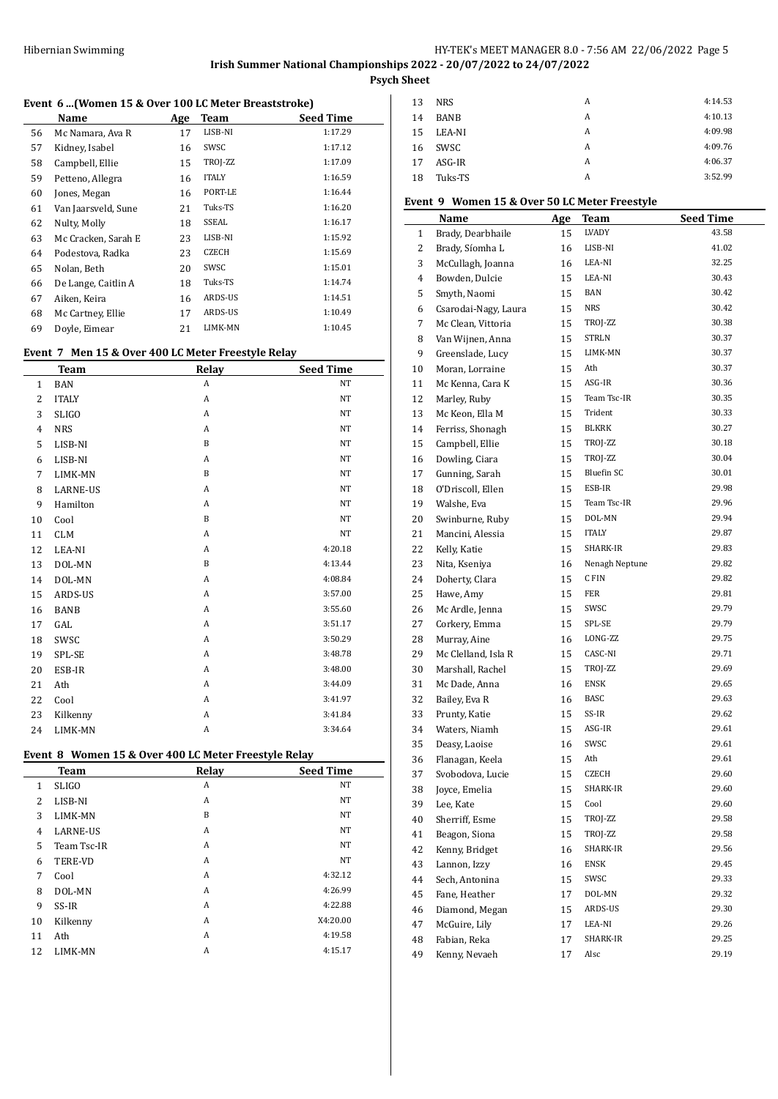# **Irish Summer National Championships 2022 - 20/07/2022 to 24/07/2022**

**Psych Sheet**

### **Event 6 ...(Women 15 & Over 100 LC Meter Breaststroke)**

|    | Name                | Age | <b>Team</b>  | <b>Seed Time</b> |
|----|---------------------|-----|--------------|------------------|
| 56 | Mc Namara, Ava R    | 17  | LISB-NI      | 1:17.29          |
| 57 | Kidney, Isabel      | 16  | SWSC         | 1:17.12          |
| 58 | Campbell, Ellie     | 15  | TROJ-ZZ      | 1:17.09          |
| 59 | Petteno, Allegra    | 16  | <b>ITALY</b> | 1:16.59          |
| 60 | Jones, Megan        | 16  | PORT-LE      | 1:16.44          |
| 61 | Van Jaarsveld, Sune | 21  | Tuks-TS      | 1:16.20          |
| 62 | Nulty, Molly        | 18  | SSEAL        | 1:16.17          |
| 63 | Mc Cracken, Sarah E | 23  | LISB-NI      | 1:15.92          |
| 64 | Podestova, Radka    | 23  | <b>CZECH</b> | 1:15.69          |
| 65 | Nolan, Beth         | 20  | SWSC         | 1:15.01          |
| 66 | De Lange, Caitlin A | 18  | Tuks-TS      | 1:14.74          |
| 67 | Aiken, Keira        | 16  | ARDS-US      | 1:14.51          |
| 68 | Mc Cartney, Ellie   | 17  | ARDS-US      | 1:10.49          |
| 69 | Doyle, Eimear       | 21  | LIMK-MN      | 1:10.45          |

## **Event 7 Men 15 & Over 400 LC Meter Freestyle Relay**

|                | <b>Team</b>     | Relay        | <b>Seed Time</b> |
|----------------|-----------------|--------------|------------------|
| $\mathbf{1}$   | <b>BAN</b>      | A            | NT               |
| $\overline{2}$ | <b>ITALY</b>    | A            | NT               |
| 3              | <b>SLIGO</b>    | A            | NT               |
| $\overline{4}$ | <b>NRS</b>      | A            | NT               |
| 5              | LISB-NI         | $\mathbf B$  | NT               |
| 6              | LISB-NI         | A            | NT               |
| 7              | LIMK-MN         | $\mathbf B$  | NT               |
| 8              | <b>LARNE-US</b> | $\mathbf{A}$ | NT               |
| 9              | Hamilton        | $\mathbf{A}$ | <b>NT</b>        |
| 10             | Cool            | $\mathbf B$  | NT               |
| 11             | <b>CLM</b>      | $\mathbf{A}$ | <b>NT</b>        |
| 12             | LEA-NI          | A            | 4.20.18          |
| 13             | DOL-MN          | $\mathbf B$  | 4:13.44          |
| 14             | DOL-MN          | A            | 4:08.84          |
| 15             | ARDS-US         | A            | 3:57.00          |
| 16             | <b>BANB</b>     | A            | 3:55.60          |
| 17             | GAL             | A            | 3:51.17          |
| 18             | SWSC            | $\mathbf{A}$ | 3:50.29          |
| 19             | SPL-SE          | A            | 3:48.78          |
| 20             | ESB-IR          | A            | 3:48.00          |
| 21             | Ath             | A            | 3:44.09          |
| 22             | Cool            | A            | 3:41.97          |
| 23             | Kilkenny        | A            | 3:41.84          |
| 24             | LIMK-MN         | A            | 3:34.64          |

# **Event 8 Women 15 & Over 400 LC Meter Freestyle Relay**

| <b>Team</b>     | Relay | <b>Seed Time</b> |
|-----------------|-------|------------------|
| <b>SLIGO</b>    | A     | <b>NT</b>        |
| LISB-NI         | A     | <b>NT</b>        |
| LIMK-MN         | B     | <b>NT</b>        |
| <b>LARNE-US</b> | A     | <b>NT</b>        |
| Team Tsc-IR     | A     | <b>NT</b>        |
| <b>TERE-VD</b>  | A     | <b>NT</b>        |
| Cool            | A     | 4:32.12          |
| DOL-MN          | A     | 4:26.99          |
| SS-IR           | A     | 4:22.88          |
| Kilkenny        | A     | X4:20.00         |
| Ath             | A     | 4:19.58          |
| LIMK-MN         | A     | 4:15.17          |
|                 |       |                  |

| 13 | <b>NRS</b>  | A | 4:14.53 |
|----|-------------|---|---------|
| 14 | <b>BANB</b> | A | 4:10.13 |
| 15 | LEA-NI      | A | 4:09.98 |
| 16 | SWSC        | A | 4:09.76 |
| 17 | ASG-IR      | A | 4:06.37 |
| 18 | Tuks-TS     | A | 3:52.99 |

## **Event 9 Women 15 & Over 50 LC Meter Freestyle**

|          |                                 |     | <b>DA ROTTERS TIGGOT</b> |                  |
|----------|---------------------------------|-----|--------------------------|------------------|
|          | Name                            | Age | Team                     | <b>Seed Time</b> |
| 1        | Brady, Dearbhaile               | 15  | LVADY                    | 43.58            |
| 2        | Brady, Síomha L                 | 16  | LISB-NI                  | 41.02            |
| 3        | McCullagh, Joanna               | 16  | LEA-NI                   | 32.25            |
| 4        | Bowden, Dulcie                  | 15  | LEA-NI                   | 30.43            |
| 5        | Smyth, Naomi                    | 15  | <b>BAN</b>               | 30.42            |
| 6        | Csarodai-Nagy, Laura            | 15  | NRS                      | 30.42            |
| 7        | Mc Clean, Vittoria              | 15  | TROJ-ZZ                  | 30.38            |
| 8        | Van Wijnen, Anna                | 15  | <b>STRLN</b>             | 30.37            |
| 9        | Greenslade, Lucy                | 15  | LIMK-MN                  | 30.37            |
| 10       | Moran, Lorraine                 | 15  | Ath                      | 30.37            |
| 11       | Mc Kenna, Cara K                | 15  | ASG-IR                   | 30.36            |
| 12       | Marley, Ruby                    | 15  | Team Tsc-IR              | 30.35            |
| 13       | Mc Keon, Ella M                 | 15  | Trident                  | 30.33            |
| 14       | Ferriss, Shonagh                | 15  | BLKRK                    | 30.27            |
| 15       | Campbell, Ellie                 | 15  | TROJ-ZZ                  | 30.18            |
| 16       | Dowling, Ciara                  | 15  | TROJ-ZZ                  | 30.04            |
| 17       | Gunning, Sarah                  | 15  | Bluefin SC               | 30.01            |
| 18       | O'Driscoll, Ellen               | 15  | ESB-IR                   | 29.98            |
| 19       | Walshe, Eva                     | 15  | Team Tsc-IR              | 29.96            |
| 20       | Swinburne, Ruby                 | 15  | DOL-MN                   | 29.94            |
| 21       | Mancini, Alessia                | 15  | <b>ITALY</b>             | 29.87            |
| 22       | Kelly, Katie                    | 15  | SHARK-IR                 | 29.83            |
| 23       | Nita, Kseniya                   | 16  | Nenagh Neptune           | 29.82            |
| 24       | Doherty, Clara                  | 15  | C FIN                    | 29.82            |
| 25       | Hawe, Amy                       | 15  | FER                      | 29.81            |
| 26       | Mc Ardle, Jenna                 | 15  | SWSC                     | 29.79            |
| 27       | Corkery, Emma                   | 15  | SPL-SE                   | 29.79            |
| 28       | Murray, Aine                    | 16  | LONG-ZZ                  | 29.75            |
| 29       | Mc Clelland, Isla R             | 15  | CASC-NI                  | 29.71            |
| 30       | Marshall, Rachel                | 15  | TROJ-ZZ                  | 29.69            |
| 31       | Mc Dade, Anna                   | 16  | ENSK                     | 29.65            |
| 32       | Bailey, Eva R                   | 16  | BASC                     | 29.63            |
| 33       | Prunty, Katie                   | 15  | SS-IR                    | 29.62            |
| 34       | Waters, Niamh                   | 15  | ASG-IR                   | 29.61            |
| 35       | Deasy, Laoise                   | 16  | SWSC                     | 29.61            |
| 36       | Flanagan, Keela                 | 15  | Ath                      | 29.61            |
| 37       | Svobodova, Lucie                | 15  | CZECH                    | 29.60            |
| 38       | Joyce, Emelia                   | 15  | SHARK-IR                 | 29.60            |
| 39       |                                 | 15  | Cool                     | 29.60            |
| 40       | Lee, Kate                       | 15  | TROJ-ZZ                  | 29.58            |
|          | Sherriff, Esme<br>Beagon, Siona |     | TROJ-ZZ                  | 29.58            |
| 41       |                                 | 15  | SHARK-IR                 | 29.56            |
| 42       | Kenny, Bridget                  | 16  | ENSK                     |                  |
| 43       | Lannon, Izzy                    | 16  |                          | 29.45            |
| $\bf 44$ | Sech, Antonina                  | 15  | SWSC                     | 29.33            |
| 45       | Fane, Heather                   | 17  | DOL-MN                   | 29.32            |
| 46       | Diamond, Megan                  | 15  | ARDS-US                  | 29.30            |
| 47       | McGuire, Lily                   | 17  | LEA-NI                   | 29.26            |
| 48       | Fabian, Reka                    | 17  | SHARK-IR                 | 29.25            |
| 49       | Kenny, Nevaeh                   | 17  | Alsc                     | 29.19            |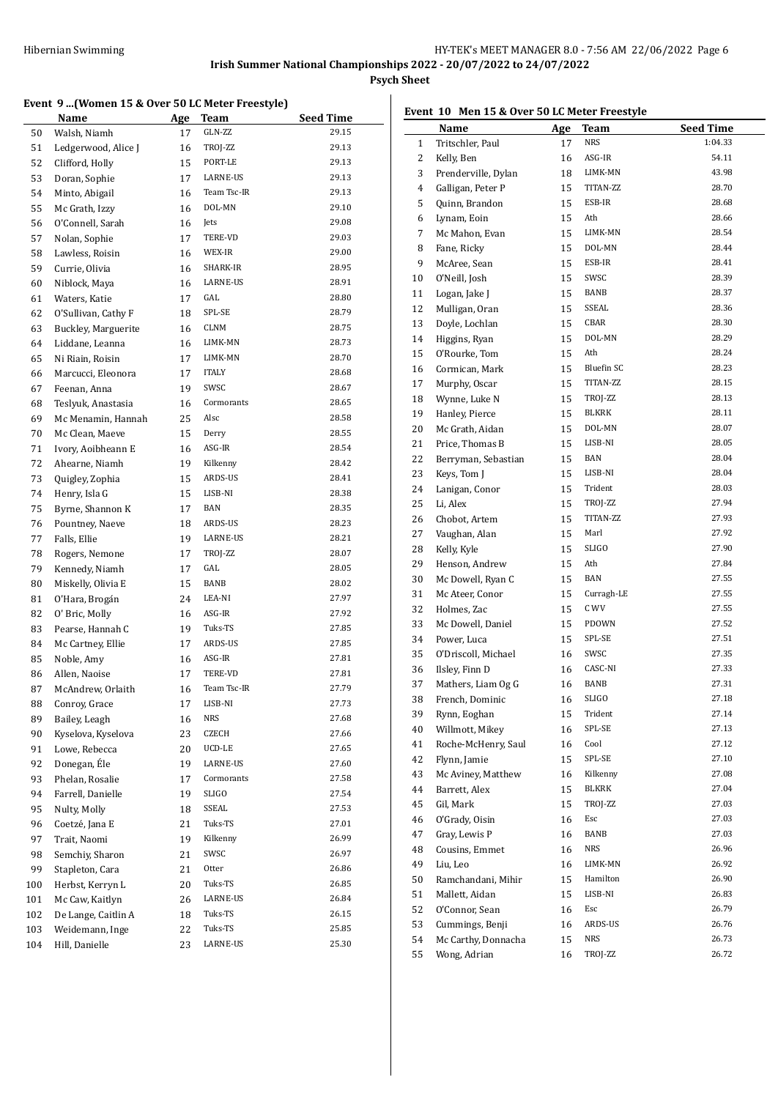#### **Event 9 ...(Women 15 & Over 50 LC Meter Freestyle)**

|     | Name                | Age | Team         | Seed Time |
|-----|---------------------|-----|--------------|-----------|
| 50  | Walsh, Niamh        | 17  | GLN-ZZ       | 29.15     |
| 51  | Ledgerwood, Alice J | 16  | TROJ-ZZ      | 29.13     |
| 52  | Clifford, Holly     | 15  | PORT-LE      | 29.13     |
| 53  | Doran, Sophie       | 17  | LARNE-US     | 29.13     |
| 54  | Minto, Abigail      | 16  | Team Tsc-IR  | 29.13     |
| 55  | Mc Grath, Izzy      | 16  | DOL-MN       | 29.10     |
| 56  | O'Connell, Sarah    | 16  | Jets         | 29.08     |
| 57  | Nolan, Sophie       | 17  | TERE-VD      | 29.03     |
| 58  | Lawless, Roisin     | 16  | WEX-IR       | 29.00     |
| 59  | Currie, Olivia      | 16  | SHARK-IR     | 28.95     |
| 60  | Niblock, Maya       | 16  | LARNE-US     | 28.91     |
| 61  | Waters, Katie       | 17  | GAL          | 28.80     |
| 62  | O'Sullivan, Cathy F | 18  | SPL-SE       | 28.79     |
| 63  | Buckley, Marguerite | 16  | CLNM         | 28.75     |
| 64  | Liddane, Leanna     | 16  | LIMK-MN      | 28.73     |
| 65  | Ni Riain, Roisin    | 17  | LIMK-MN      | 28.70     |
| 66  | Marcucci, Eleonora  | 17  | <b>ITALY</b> | 28.68     |
| 67  | Feenan, Anna        | 19  | SWSC         | 28.67     |
| 68  | Teslyuk, Anastasia  | 16  | Cormorants   | 28.65     |
| 69  | Mc Menamin, Hannah  | 25  | Alsc         | 28.58     |
| 70  | Mc Clean, Maeve     | 15  | Derry        | 28.55     |
| 71  | Ivory, Aoibheann E  | 16  | ASG-IR       | 28.54     |
| 72  | Ahearne, Niamh      | 19  | Kilkenny     | 28.42     |
| 73  | Quigley, Zophia     | 15  | ARDS-US      | 28.41     |
| 74  | Henry, Isla G       | 15  | LISB-NI      | 28.38     |
| 75  | Byrne, Shannon K    | 17  | BAN          | 28.35     |
| 76  | Pountney, Naeve     | 18  | ARDS-US      | 28.23     |
| 77  | Falls, Ellie        | 19  | LARNE-US     | 28.21     |
| 78  | Rogers, Nemone      | 17  | TROJ-ZZ      | 28.07     |
| 79  | Kennedy, Niamh      | 17  | GAL          | 28.05     |
| 80  | Miskelly, Olivia E  | 15  | BANB         | 28.02     |
| 81  | O'Hara, Brogán      | 24  | LEA-NI       | 27.97     |
| 82  | O' Bric, Molly      | 16  | ASG-IR       | 27.92     |
| 83  | Pearse, Hannah C    | 19  | Tuks-TS      | 27.85     |
| 84  | Mc Cartney, Ellie   | 17  | ARDS-US      | 27.85     |
| 85  | Noble, Amy          | 16  | ASG-IR       | 27.81     |
| 86  | Allen, Naoise       | 17  | TERE-VD      | 27.81     |
| 87  | McAndrew, Orlaith   | 16  | Team Tsc-IR  | 27.79     |
| 88  | Conroy, Grace       | 17  | LISB-NI      | 27.73     |
| 89  | Bailey, Leagh       | 16  | <b>NRS</b>   | 27.68     |
| 90  | Kyselova, Kyselova  | 23  | <b>CZECH</b> | 27.66     |
| 91  | Lowe, Rebecca       | 20  | UCD-LE       | 27.65     |
| 92  | Donegan, Éle        | 19  | LARNE-US     | 27.60     |
| 93  | Phelan, Rosalie     | 17  | Cormorants   | 27.58     |
| 94  | Farrell, Danielle   | 19  | SLIGO        | 27.54     |
| 95  | Nulty, Molly        | 18  | SSEAL        | 27.53     |
| 96  | Coetzé, Jana E      | 21  | Tuks-TS      | 27.01     |
| 97  | Trait, Naomi        | 19  | Kilkenny     | 26.99     |
| 98  | Semchiy, Sharon     | 21  | SWSC         | 26.97     |
| 99  | Stapleton, Cara     | 21  | Otter        | 26.86     |
| 100 | Herbst, Kerryn L    | 20  | Tuks-TS      | 26.85     |
| 101 | Mc Caw, Kaitlyn     | 26  | LARNE-US     | 26.84     |
| 102 | De Lange, Caitlin A | 18  | Tuks-TS      | 26.15     |
| 103 | Weidemann, Inge     | 22  | Tuks-TS      | 25.85     |
| 104 | Hill, Danielle      | 23  | LARNE-US     | 25.30     |

# **Event 10 Men 15 & Over 50 LC Meter Freestyle**

|                | Name                                 | <b>Age</b> | <b>Team</b>       | <b>Seed Time</b> |
|----------------|--------------------------------------|------------|-------------------|------------------|
| $\mathbf{1}$   | Tritschler, Paul                     | 17         | NRS               | 1:04.33          |
| 2              | Kelly, Ben                           | 16         | ASG-IR            | 54.11            |
| 3              | Prenderville, Dylan                  | 18         | LIMK-MN           | 43.98            |
| $\overline{4}$ | Galligan, Peter P                    | 15         | TITAN-ZZ          | 28.70            |
| 5              | Quinn, Brandon                       | 15         | ESB-IR            | 28.68            |
| 6              | Lynam, Eoin                          | 15         | Ath               | 28.66            |
| 7              | Mc Mahon, Evan                       | 15         | LIMK-MN           | 28.54            |
| 8              | Fane, Ricky                          | 15         | DOL-MN            | 28.44            |
| 9              | McAree, Sean                         | 15         | ESB-IR            | 28.41            |
| 10             | O'Neill, Josh                        | 15         | SWSC              | 28.39            |
| 11             | Logan, Jake J                        | 15         | BANB              | 28.37            |
| 12             | Mulligan, Oran                       | 15         | SSEAL             | 28.36            |
| 13             | Doyle, Lochlan                       | 15         | CBAR              | 28.30            |
| 14             | Higgins, Ryan                        | 15         | DOL-MN            | 28.29            |
| 15             | O'Rourke, Tom                        | 15         | Ath               | 28.24            |
| 16             | Cormican, Mark                       | 15         | Bluefin SC        | 28.23            |
| 17             | Murphy, Oscar                        | 15         | TITAN-ZZ          | 28.15            |
| 18             | Wynne, Luke N                        | 15         | TROJ-ZZ           | 28.13            |
| 19             | Hanley, Pierce                       | 15         | <b>BLKRK</b>      | 28.11            |
| 20             | Mc Grath, Aidan                      | 15         | DOL-MN            | 28.07            |
| 21             | Price, Thomas B                      |            | LISB-NI           | 28.05            |
|                | Berryman, Sebastian                  | 15         | BAN               | 28.04            |
| 22<br>23       | Keys, Tom J                          | 15         | LISB-NI           | 28.04            |
|                |                                      | 15         | Trident           | 28.03            |
| 24             | Lanigan, Conor                       | 15         | TROJ-ZZ           | 27.94            |
| 25             | Li, Alex                             | 15         | TITAN-ZZ          | 27.93            |
| 26             | Chobot, Artem                        | 15         | Marl              | 27.92            |
| 27             | Vaughan, Alan                        | 15         | <b>SLIGO</b>      | 27.90            |
| 28             | Kelly, Kyle                          | 15         | Ath               | 27.84            |
| 29             | Henson, Andrew                       | 15         | BAN               | 27.55            |
| 30             | Mc Dowell, Ryan C                    | 15         | Curragh-LE        | 27.55            |
| 31<br>32       | Mc Ateer, Conor<br>Holmes, Zac       | 15<br>15   | C WV              | 27.55            |
|                |                                      |            | PDOWN             | 27.52            |
| 33             | Mc Dowell, Daniel<br>Power, Luca     | 15         | SPL-SE            | 27.51            |
| 34<br>35       |                                      | 15         | SWSC              | 27.35            |
|                | O'Driscoll, Michael                  | 16         | CASC-NI           |                  |
| 36             | Ilsley, Finn D<br>Mathers, Liam Og G | 16         | <b>BANB</b>       | 27.33<br>27.31   |
| 37<br>38       | French, Dominic                      | 16         | <b>SLIGO</b>      | 27.18            |
|                |                                      | 16         |                   |                  |
| 39             | Rynn, Eoghan<br>Willmott, Mikey      | 15         | Trident<br>SPL-SE | 27.14<br>27.13   |
| 40             | Roche-McHenry, Saul                  | 16         | Cool              | 27.12            |
| 41             |                                      | 16         |                   |                  |
| 42             | Flynn, Jamie                         | 15         | SPL-SE            | 27.10            |
| 43             | Mc Aviney, Matthew                   | 16         | Kilkenny          | 27.08            |
| 44             | Barrett, Alex                        | 15         | BLKRK             | 27.04            |
| 45             | Gil, Mark                            | 15         | TROJ-ZZ           | 27.03            |
| 46             | O'Grady, Oisin                       | 16         | Esc               | 27.03            |
| 47             | Gray, Lewis P                        | 16         | BANB              | 27.03            |
| 48             | Cousins, Emmet                       | 16         | NRS               | 26.96            |
| 49             | Liu, Leo                             | 16         | LIMK-MN           | 26.92            |
| 50             | Ramchandani, Mihir                   | 15         | Hamilton          | 26.90            |
| 51             | Mallett, Aidan                       | 15         | LISB-NI           | 26.83            |
| 52             | O'Connor, Sean                       | 16         | Esc               | 26.79            |
| 53             | Cummings, Benji                      | 16         | ARDS-US           | 26.76            |
| 54             | Mc Carthy, Donnacha                  | 15         | NRS               | 26.73            |
| 55             | Wong, Adrian                         | 16         | TROJ-ZZ           | 26.72            |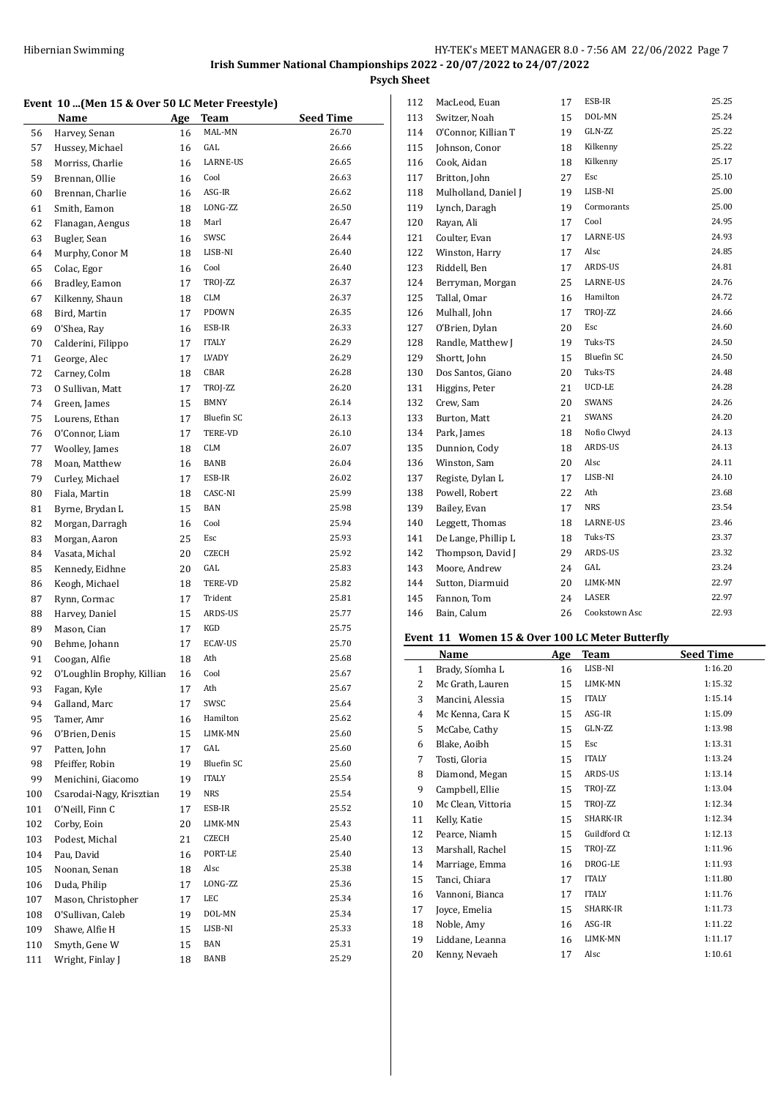**Psych Sheet**

#### **Event 10 ...(Men 15 & Over 50 LC Meter Freestyle)**

|     | Name                            | <b>Age</b> | Team              | <b>Seed Time</b> |
|-----|---------------------------------|------------|-------------------|------------------|
| 56  | Harvey, Senan                   | 16         | MAL-MN            | 26.70            |
| 57  | Hussey, Michael                 | 16         | GAL               | 26.66            |
| 58  | Morriss, Charlie                | 16         | LARNE-US          | 26.65            |
| 59  | Brennan, Ollie                  | 16         | Cool              | 26.63            |
| 60  | Brennan, Charlie                | 16         | ASG-IR            | 26.62            |
| 61  | Smith, Eamon                    | 18         | LONG-ZZ           | 26.50            |
| 62  | Flanagan, Aengus                | 18         | Marl              | 26.47            |
| 63  | Bugler, Sean                    | 16         | SWSC              | 26.44            |
| 64  | Murphy, Conor M                 | 18         | LISB-NI           | 26.40            |
| 65  | Colac, Egor                     | 16         | Cool              | 26.40            |
| 66  | Bradley, Eamon                  | 17         | TROJ-ZZ           | 26.37            |
| 67  | Kilkenny, Shaun                 | 18         | <b>CLM</b>        | 26.37            |
| 68  | Bird, Martin                    | 17         | PDOWN             | 26.35            |
| 69  | O'Shea, Ray                     | 16         | ESB-IR            | 26.33            |
| 70  | Calderini, Filippo              | 17         | <b>ITALY</b>      | 26.29            |
| 71  | George, Alec                    | 17         | LVADY             | 26.29            |
| 72  | Carney, Colm                    | 18         | CBAR              | 26.28            |
| 73  | 0 Sullivan, Matt                | 17         | TROJ-ZZ           | 26.20            |
| 74  | Green, James                    | 15         | <b>BMNY</b>       | 26.14            |
| 75  | Lourens, Ethan                  | 17         | <b>Bluefin SC</b> | 26.13            |
| 76  | O'Connor, Liam                  | 17         | TERE-VD           | 26.10            |
| 77  |                                 | 18         | <b>CLM</b>        | 26.07            |
|     | Woolley, James<br>Moan, Matthew |            | BANB              | 26.04            |
| 78  |                                 | 16         |                   |                  |
| 79  | Curley, Michael                 | 17         | ESB-IR<br>CASC-NI | 26.02            |
| 80  | Fiala, Martin                   | 18         |                   | 25.99            |
| 81  | Byrne, Brydan L                 | 15         | <b>BAN</b>        | 25.98            |
| 82  | Morgan, Darragh                 | 16         | Cool              | 25.94            |
| 83  | Morgan, Aaron                   | 25         | Esc               | 25.93            |
| 84  | Vasata, Michal                  | 20         | <b>CZECH</b>      | 25.92            |
| 85  | Kennedy, Eidhne                 | 20         | GAL               | 25.83            |
| 86  | Keogh, Michael                  | 18         | TERE-VD           | 25.82            |
| 87  | Rynn, Cormac                    | 17         | Trident           | 25.81            |
| 88  | Harvey, Daniel                  | 15         | ARDS-US           | 25.77            |
| 89  | Mason, Cian                     | 17         | KGD               | 25.75            |
| 90  | Behme, Johann                   | 17         | ECAV-US           | 25.70            |
| 91  | Coogan, Alfie                   | 18         | Ath               | 25.68            |
| 92  | O'Loughlin Brophy, Killian      | 16         | Cool              | 25.67            |
| 93  | Fagan, Kyle                     | 17         | Ath               | 25.67            |
| 94  | Galland, Marc                   | 17         | SWSC              | 25.64            |
| 95  | Tamer, Amr                      | 16         | Hamilton          | 25.62            |
| 96  | O'Brien, Denis                  | 15         | LIMK-MN           | 25.60            |
| 97  | Patten, John                    | 17         | GAL               | 25.60            |
| 98  | Pfeiffer, Robin                 | 19         | <b>Bluefin SC</b> | 25.60            |
| 99  | Menichini, Giacomo              | 19         | <b>ITALY</b>      | 25.54            |
| 100 | Csarodai-Nagy, Krisztian        | 19         | NRS               | 25.54            |
| 101 | O'Neill, Finn C                 | 17         | ESB-IR            | 25.52            |
| 102 | Corby, Eoin                     | 20         | LIMK-MN           | 25.43            |
| 103 | Podest, Michal                  | 21         | CZECH             | 25.40            |
| 104 | Pau, David                      | 16         | PORT-LE           | 25.40            |
| 105 | Noonan, Senan                   | 18         | Alsc              | 25.38            |
| 106 | Duda, Philip                    | 17         | LONG-ZZ           | 25.36            |
| 107 | Mason, Christopher              | 17         | LEC               | 25.34            |
| 108 | O'Sullivan, Caleb               | 19         | DOL-MN            | 25.34            |
| 109 | Shawe, Alfie H                  | 15         | LISB-NI           | 25.33            |
| 110 | Smyth, Gene W                   | 15         | BAN               | 25.31            |
| 111 | Wright, Finlay J                | 18         | BANB              | 25.29            |

| 112 | MacLeod, Euan        | 17 | ESB-IR            | 25.25 |
|-----|----------------------|----|-------------------|-------|
| 113 | Switzer, Noah        | 15 | DOL-MN            | 25.24 |
| 114 | O'Connor, Killian T  | 19 | GLN-ZZ            | 25.22 |
| 115 | Johnson, Conor       | 18 | Kilkenny          | 25.22 |
| 116 | Cook, Aidan          | 18 | Kilkenny          | 25.17 |
| 117 | Britton, John        | 27 | Esc               | 25.10 |
| 118 | Mulholland, Daniel J | 19 | LISB-NI           | 25.00 |
| 119 | Lynch, Daragh        | 19 | Cormorants        | 25.00 |
| 120 | Rayan, Ali           | 17 | Cool              | 24.95 |
| 121 | Coulter, Evan        | 17 | LARNE-US          | 24.93 |
| 122 | Winston, Harry       | 17 | Alsc              | 24.85 |
| 123 | Riddell, Ben         | 17 | ARDS-US           | 24.81 |
| 124 | Berryman, Morgan     | 25 | LARNE-US          | 24.76 |
| 125 | Tallal, Omar         | 16 | Hamilton          | 24.72 |
| 126 | Mulhall, John        | 17 | TROJ-ZZ           | 24.66 |
| 127 | O'Brien, Dylan       | 20 | Esc               | 24.60 |
| 128 | Randle, Matthew J    | 19 | Tuks-TS           | 24.50 |
| 129 | Shortt, John         | 15 | <b>Bluefin SC</b> | 24.50 |
| 130 | Dos Santos, Giano    | 20 | Tuks-TS           | 24.48 |
| 131 | Higgins, Peter       | 21 | UCD-LE            | 24.28 |
| 132 | Crew, Sam            | 20 | SWANS             | 24.26 |
| 133 | Burton, Matt         | 21 | SWANS             | 24.20 |
| 134 | Park, James          | 18 | Nofio Clwyd       | 24.13 |
| 135 | Dunnion, Cody        | 18 | ARDS-US           | 24.13 |
| 136 | Winston, Sam         | 20 | Alsc              | 24.11 |
| 137 | Registe, Dylan L     | 17 | LISB-NI           | 24.10 |
| 138 | Powell, Robert       | 22 | Ath               | 23.68 |
| 139 | Bailey, Evan         | 17 | <b>NRS</b>        | 23.54 |
| 140 | Leggett, Thomas      | 18 | LARNE-US          | 23.46 |
| 141 | De Lange, Phillip L  | 18 | Tuks-TS           | 23.37 |
| 142 | Thompson, David J    | 29 | ARDS-US           | 23.32 |
| 143 | Moore, Andrew        | 24 | GAL               | 23.24 |
| 144 | Sutton, Diarmuid     | 20 | LIMK-MN           | 22.97 |
| 145 | Fannon, Tom          | 24 | LASER             | 22.97 |
| 146 | Bain, Calum          | 26 | Cookstown Asc     | 22.93 |
|     |                      |    |                   |       |

# **Event 11 Women 15 & Over 100 LC Meter Butterfly**

|              | Name               | Age | Team         | <b>Seed Time</b> |
|--------------|--------------------|-----|--------------|------------------|
| $\mathbf{1}$ | Brady, Síomha L    | 16  | LISB-NI      | 1:16.20          |
| 2            | Mc Grath, Lauren   | 15  | LIMK-MN      | 1:15.32          |
| 3            | Mancini, Alessia   | 15  | <b>ITALY</b> | 1:15.14          |
| 4            | Mc Kenna, Cara K   | 15  | ASG-IR       | 1:15.09          |
| 5            | McCabe, Cathy      | 15  | GLN-ZZ       | 1:13.98          |
| 6            | Blake, Aoibh       | 15  | Esc          | 1:13.31          |
| 7            | Tosti, Gloria      | 15  | <b>ITALY</b> | 1:13.24          |
| 8            | Diamond, Megan     | 15  | ARDS-US      | 1:13.14          |
| 9            | Campbell, Ellie    | 15  | TROJ-ZZ      | 1:13.04          |
| 10           | Mc Clean, Vittoria | 15  | TROJ-ZZ      | 1:12.34          |
| 11           | Kelly, Katie       | 15  | SHARK-IR     | 1:12.34          |
| 12           | Pearce, Niamh      | 15  | Guildford Ct | 1:12.13          |
| 13           | Marshall, Rachel   | 15  | TROJ-ZZ      | 1:11.96          |
| 14           | Marriage, Emma     | 16  | DROG-LE      | 1:11.93          |
| 15           | Tanci, Chiara      | 17  | <b>ITALY</b> | 1:11.80          |
| 16           | Vannoni, Bianca    | 17  | <b>ITALY</b> | 1:11.76          |
| 17           | Joyce, Emelia      | 15  | SHARK-IR     | 1:11.73          |
| 18           | Noble, Amy         | 16  | ASG-IR       | 1:11.22          |
| 19           | Liddane, Leanna    | 16  | LIMK-MN      | 1:11.17          |
| 20           | Kenny, Nevaeh      | 17  | Alsc         | 1:10.61          |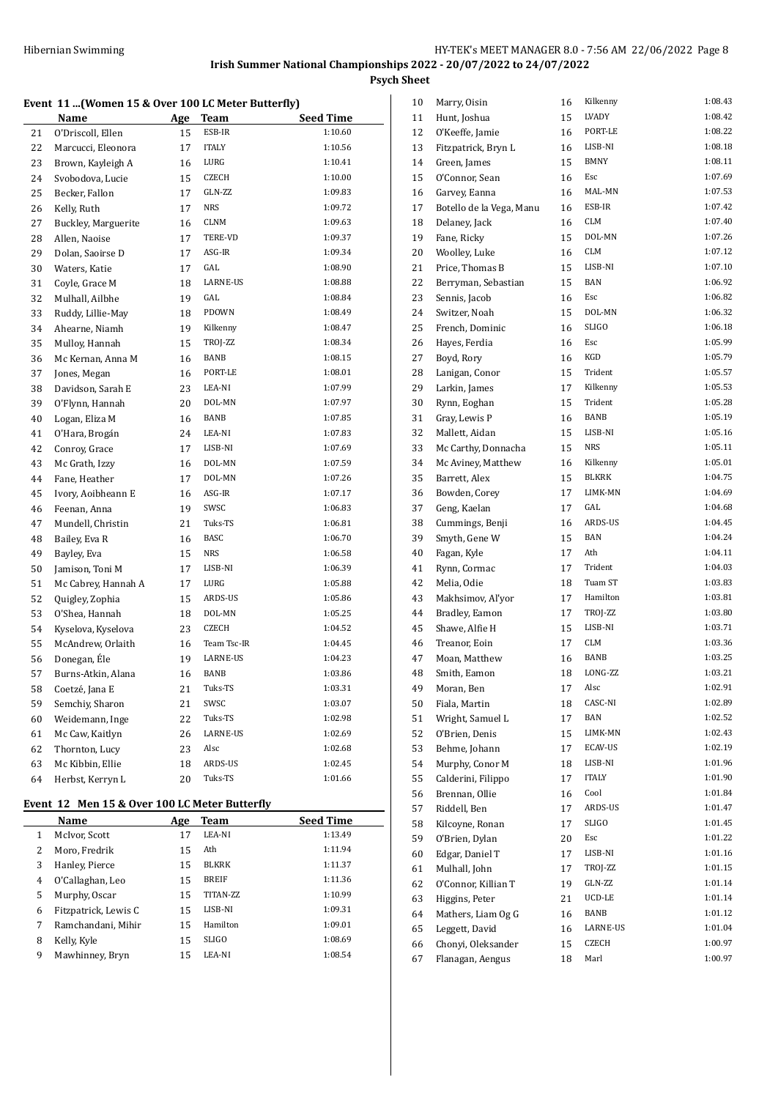#### **Event 11 ...(Women 15 & Over 100 LC Meter Butterfly)**

|    | Name                | <u>Age</u> | Team            | Seed Time |
|----|---------------------|------------|-----------------|-----------|
| 21 | O'Driscoll, Ellen   | 15         | ESB-IR          | 1:10.60   |
| 22 | Marcucci, Eleonora  | 17         | <b>ITALY</b>    | 1:10.56   |
| 23 | Brown, Kayleigh A   | 16         | LURG            | 1:10.41   |
| 24 | Svobodova, Lucie    | 15         | CZECH           | 1:10.00   |
| 25 | Becker, Fallon      | 17         | GLN-ZZ          | 1:09.83   |
| 26 | Kelly, Ruth         | 17         | <b>NRS</b>      | 1:09.72   |
| 27 | Buckley, Marguerite | 16         | <b>CLNM</b>     | 1:09.63   |
| 28 | Allen, Naoise       | 17         | TERE-VD         | 1:09.37   |
| 29 | Dolan, Saoirse D    | 17         | ASG-IR          | 1:09.34   |
| 30 | Waters, Katie       | 17         | GAL             | 1:08.90   |
| 31 | Coyle, Grace M      | 18         | <b>LARNE-US</b> | 1:08.88   |
| 32 | Mulhall, Ailbhe     | 19         | GAL             | 1:08.84   |
| 33 | Ruddy, Lillie-May   | 18         | PDOWN           | 1:08.49   |
| 34 | Ahearne, Niamh      | 19         | Kilkenny        | 1:08.47   |
| 35 | Mulloy, Hannah      | 15         | TROJ-ZZ         | 1:08.34   |
| 36 | Mc Kernan, Anna M   | 16         | <b>BANB</b>     | 1:08.15   |
| 37 | Jones, Megan        | 16         | PORT-LE         | 1:08.01   |
| 38 | Davidson, Sarah E   | 23         | LEA-NI          | 1:07.99   |
| 39 | O'Flynn, Hannah     | 20         | DOL-MN          | 1:07.97   |
| 40 | Logan, Eliza M      | 16         | BANB            | 1:07.85   |
| 41 | O'Hara, Brogán      | 24         | LEA-NI          | 1:07.83   |
| 42 | Conroy, Grace       | 17         | LISB-NI         | 1:07.69   |
| 43 | Mc Grath, Izzy      | 16         | DOL-MN          | 1:07.59   |
| 44 | Fane, Heather       | 17         | DOL-MN          | 1:07.26   |
| 45 | Ivory, Aoibheann E  | 16         | ASG-IR          | 1:07.17   |
| 46 | Feenan, Anna        | 19         | SWSC            | 1:06.83   |
| 47 | Mundell, Christin   | 21         | Tuks-TS         | 1:06.81   |
| 48 | Bailey, Eva R       | 16         | BASC            | 1:06.70   |
| 49 | Bayley, Eva         | 15         | <b>NRS</b>      | 1:06.58   |
| 50 | Jamison, Toni M     | 17         | LISB-NI         | 1:06.39   |
| 51 | Mc Cabrey, Hannah A | 17         | LURG            | 1:05.88   |
| 52 | Quigley, Zophia     | 15         | ARDS-US         | 1:05.86   |
| 53 | O'Shea, Hannah      | 18         | DOL-MN          | 1:05.25   |
| 54 | Kyselova, Kyselova  | 23         | CZECH           | 1:04.52   |
| 55 | McAndrew, Orlaith   | 16         | Team Tsc-IR     | 1:04.45   |
| 56 | Donegan, Éle        | 19         | LARNE-US        | 1:04.23   |
| 57 | Burns-Atkin, Alana  | 16         | BANB            | 1:03.86   |
| 58 | Coetzé, Jana E      | 21         | Tuks-TS         | 1:03.31   |
| 59 | Semchiy, Sharon     | 21         | SWSC            | 1:03.07   |
| 60 | Weidemann, Inge     | 22         | Tuks-TS         | 1:02.98   |
| 61 | Mc Caw, Kaitlyn     | 26         | LARNE-US        | 1:02.69   |
| 62 | Thornton, Lucy      | 23         | Alsc            | 1:02.68   |
| 63 | Mc Kibbin, Ellie    | 18         | ARDS-US         | 1:02.45   |
| 64 | Herbst, Kerryn L    | 20         | Tuks-TS         | 1:01.66   |

# **Event 12 Men 15 & Over 100 LC Meter Butterfly**

|   | Name                 | Age | <b>Team</b>  | <b>Seed Time</b> |
|---|----------------------|-----|--------------|------------------|
| 1 | McIvor, Scott        | 17  | LEA-NI       | 1:13.49          |
| 2 | Moro, Fredrik        | 15  | Ath          | 1:11.94          |
| 3 | Hanley, Pierce       | 15  | <b>BLKRK</b> | 1:11.37          |
| 4 | O'Callaghan, Leo     | 15  | <b>BREIF</b> | 1:11.36          |
| 5 | Murphy, Oscar        | 15  | TITAN-ZZ     | 1:10.99          |
| 6 | Fitzpatrick, Lewis C | 15  | LISB-NI      | 1:09.31          |
| 7 | Ramchandani, Mihir   | 15  | Hamilton     | 1:09.01          |
| 8 | Kelly, Kyle          | 15  | <b>SLIGO</b> | 1:08.69          |
| 9 | Mawhinney, Bryn      | 15  | LEA-NI       | 1:08.54          |

| 10       | Marry, Oisin             | 16 | Kilkenny           | 1:08.43 |
|----------|--------------------------|----|--------------------|---------|
| 11       | Hunt, Joshua             | 15 | LVADY              | 1:08.42 |
| 12       | O'Keeffe, Jamie          | 16 | PORT-LE            | 1:08.22 |
| 13       | Fitzpatrick, Bryn L      | 16 | LISB-NI            | 1:08.18 |
| 14       | Green, James             | 15 | BMNY               | 1:08.11 |
| 15       | O'Connor, Sean           | 16 | Esc                | 1:07.69 |
| 16       | Garvey, Eanna            | 16 | MAL-MN             | 1:07.53 |
| 17       | Botello de la Vega, Manu | 16 | ESB-IR             | 1:07.42 |
| 18       | Delaney, Jack            | 16 | <b>CLM</b>         | 1:07.40 |
| 19       | Fane, Ricky              | 15 | DOL-MN             | 1:07.26 |
| 20       | Woolley, Luke            | 16 | <b>CLM</b>         | 1:07.12 |
| 21       | Price, Thomas B          | 15 | LISB-NI            | 1:07.10 |
| 22       | Berryman, Sebastian      | 15 | <b>BAN</b>         | 1:06.92 |
| 23       | Sennis, Jacob            | 16 | Esc                | 1:06.82 |
| 24       | Switzer, Noah            | 15 | DOL-MN             | 1:06.32 |
| 25       | French, Dominic          | 16 | <b>SLIGO</b>       | 1:06.18 |
| 26       | Hayes, Ferdia            | 16 | Esc                | 1:05.99 |
| 27       | Boyd, Rory               | 16 | KGD                | 1:05.79 |
| 28       | Lanigan, Conor           | 15 | Trident            | 1:05.57 |
| 29       | Larkin, James            | 17 | Kilkenny           | 1:05.53 |
| 30       | Rynn, Eoghan             | 15 | Trident            | 1:05.28 |
| 31       | Gray, Lewis P            | 16 | <b>BANB</b>        | 1:05.19 |
| 32       | Mallett, Aidan           | 15 | LISB-NI            | 1:05.16 |
| 33       | Mc Carthy, Donnacha      | 15 | <b>NRS</b>         | 1:05.11 |
| 34       | Mc Aviney, Matthew       | 16 | Kilkenny           | 1:05.01 |
| 35       | Barrett, Alex            | 15 | BLKRK              | 1:04.75 |
| 36       | Bowden, Corey            | 17 | LIMK-MN            | 1:04.69 |
| 37       | Geng, Kaelan             | 17 | GAL                | 1:04.68 |
| 38       | Cummings, Benji          | 16 | ARDS-US            | 1:04.45 |
|          |                          | 15 | <b>BAN</b>         | 1:04.24 |
| 39<br>40 | Smyth, Gene W            | 17 | Ath                | 1:04.11 |
|          | Fagan, Kyle              |    | Trident            | 1:04.03 |
| 41       | Rynn, Cormac             | 17 | Tuam ST            | 1:03.83 |
| 42       | Melia, Odie              | 18 | Hamilton           | 1:03.81 |
| 43       | Makhsimov, Al'yor        | 17 |                    | 1:03.80 |
| 44       | Bradley, Eamon           | 17 | TROJ-ZZ<br>LISB-NI | 1:03.71 |
| 45       | Shawe, Alfie H           | 15 |                    |         |
| 46       | Treanor, Eoin            | 17 | <b>CLM</b>         | 1:03.36 |
| 47       | Moan, Matthew            | 16 | BANB               | 1:03.25 |
| 48       | Smith, Eamon             | 18 | LONG-ZZ            | 1:03.21 |
| 49       | Moran, Ben               | 17 | Alsc               | 1:02.91 |
| 50       | Fiala, Martin            | 18 | CASC-NI            | 1:02.89 |
| 51       | Wright, Samuel L         | 17 | BAN                | 1:02.52 |
| 52       | O'Brien, Denis           | 15 | LIMK-MN            | 1:02.43 |
| 53       | Behme, Johann            | 17 | ECAV-US            | 1:02.19 |
| 54       | Murphy, Conor M          | 18 | LISB-NI            | 1:01.96 |
| 55       | Calderini, Filippo       | 17 | <b>ITALY</b>       | 1:01.90 |
| 56       | Brennan, Ollie           | 16 | Cool               | 1:01.84 |
| 57       | Riddell, Ben             | 17 | ARDS-US            | 1:01.47 |
| 58       | Kilcoyne, Ronan          | 17 | SLIGO              | 1:01.45 |
| 59       | O'Brien, Dylan           | 20 | Esc                | 1:01.22 |
| 60       | Edgar, Daniel T          | 17 | LISB-NI            | 1:01.16 |
| 61       | Mulhall, John            | 17 | TROJ-ZZ            | 1:01.15 |
| 62       | O'Connor, Killian T      | 19 | GLN-ZZ             | 1:01.14 |
| 63       | Higgins, Peter           | 21 | UCD-LE             | 1:01.14 |
| 64       | Mathers, Liam Og G       | 16 | BANB               | 1:01.12 |
| 65       | Leggett, David           | 16 | LARNE-US           | 1:01.04 |
| 66       | Chonyi, Oleksander       | 15 | CZECH              | 1:00.97 |
| 67       | Flanagan, Aengus         | 18 | Marl               | 1:00.97 |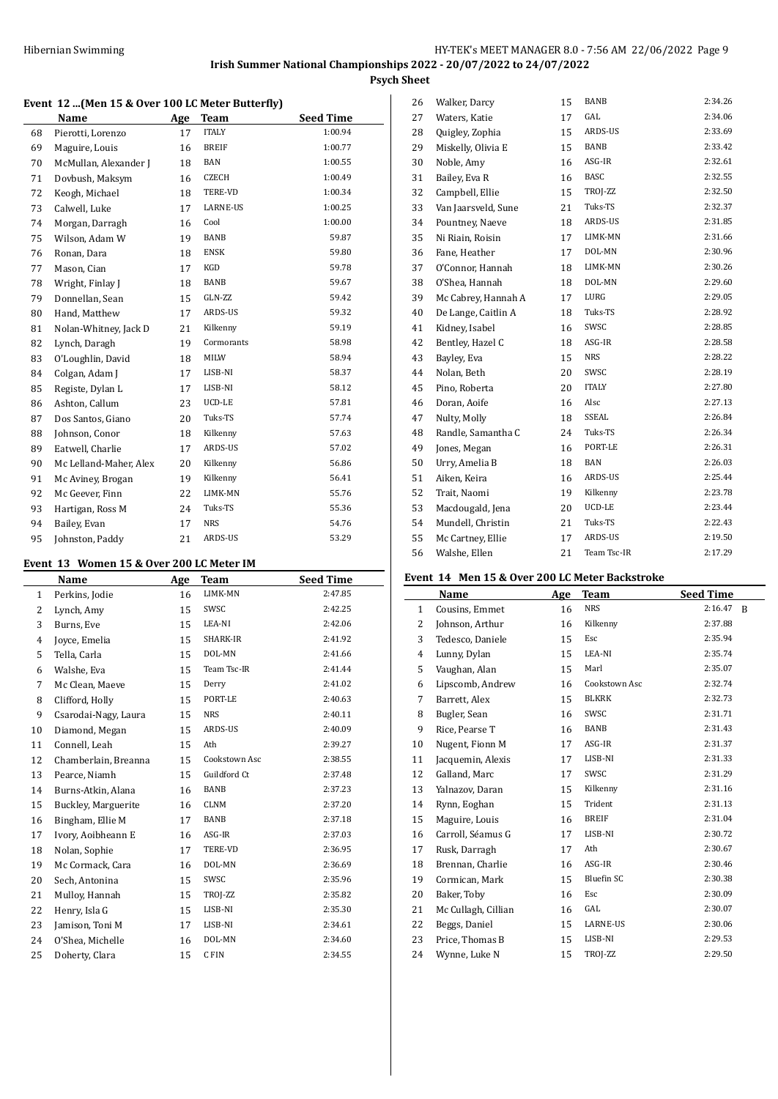### **Event 12 ...(Men 15 & Over 100 LC Meter Butterfly)**

|    | Name                   | Age | <b>Team</b>     | <b>Seed Time</b> |
|----|------------------------|-----|-----------------|------------------|
| 68 | Pierotti, Lorenzo      | 17  | <b>ITALY</b>    | 1:00.94          |
| 69 | Maguire, Louis         | 16  | <b>BREIF</b>    | 1:00.77          |
| 70 | McMullan, Alexander J  | 18  | <b>BAN</b>      | 1:00.55          |
| 71 | Dovbush, Maksym        | 16  | CZECH           | 1:00.49          |
| 72 | Keogh, Michael         | 18  | TERE-VD         | 1:00.34          |
| 73 | Calwell, Luke          | 17  | <b>LARNE-US</b> | 1:00.25          |
| 74 | Morgan, Darragh        | 16  | Cool            | 1:00.00          |
| 75 | Wilson, Adam W         | 19  | BANB            | 59.87            |
| 76 | Ronan, Dara            | 18  | <b>ENSK</b>     | 59.80            |
| 77 | Mason, Cian            | 17  | KGD             | 59.78            |
| 78 | Wright, Finlay J       | 18  | BANB            | 59.67            |
| 79 | Donnellan, Sean        | 15  | GLN-ZZ          | 59.42            |
| 80 | Hand, Matthew          | 17  | ARDS-US         | 59.32            |
| 81 | Nolan-Whitney, Jack D  | 21  | Kilkenny        | 59.19            |
| 82 | Lynch, Daragh          | 19  | Cormorants      | 58.98            |
| 83 | O'Loughlin, David      | 18  | MILW            | 58.94            |
| 84 | Colgan, Adam J         | 17  | LISB-NI         | 58.37            |
| 85 | Registe, Dylan L       | 17  | LISB-NI         | 58.12            |
| 86 | Ashton, Callum         | 23  | UCD-LE          | 57.81            |
| 87 | Dos Santos, Giano      | 20  | Tuks-TS         | 57.74            |
| 88 | Johnson, Conor         | 18  | Kilkenny        | 57.63            |
| 89 | Eatwell, Charlie       | 17  | ARDS-US         | 57.02            |
| 90 | Mc Lelland-Maher, Alex | 20  | Kilkenny        | 56.86            |
| 91 | Mc Aviney, Brogan      | 19  | Kilkenny        | 56.41            |
| 92 | Mc Geever, Finn        | 22  | LIMK-MN         | 55.76            |
| 93 | Hartigan, Ross M       | 24  | Tuks-TS         | 55.36            |
| 94 | Bailey, Evan           | 17  | <b>NRS</b>      | 54.76            |
| 95 | Johnston, Paddy        | 21  | ARDS-US         | 53.29            |

#### **Event 13 Women 15 & Over 200 LC Meter IM**

|              | Name                 | Age | <b>Team</b>   | <b>Seed Time</b> |
|--------------|----------------------|-----|---------------|------------------|
| $\mathbf{1}$ | Perkins, Jodie       | 16  | LIMK-MN       | 2:47.85          |
| 2            | Lynch, Amy           | 15  | SWSC          | 2:42.25          |
| 3            | Burns, Eve           | 15  | LEA-NI        | 2:42.06          |
| 4            | Joyce, Emelia        | 15  | SHARK-IR      | 2:41.92          |
| 5            | Tella, Carla         | 15  | DOL-MN        | 2:41.66          |
| 6            | Walshe, Eva          | 15  | Team Tsc-IR   | 2:41.44          |
| 7            | Mc Clean, Maeve      | 15  | Derry         | 2:41.02          |
| 8            | Clifford, Holly      | 15  | PORT-LE       | 2:40.63          |
| 9            | Csarodai-Nagy, Laura | 15  | <b>NRS</b>    | 2:40.11          |
| 10           | Diamond, Megan       | 15  | ARDS-US       | 2:40.09          |
| 11           | Connell, Leah        | 15  | Ath           | 2:39.27          |
| 12           | Chamberlain, Breanna | 15  | Cookstown Asc | 2:38.55          |
| 13           | Pearce, Niamh        | 15  | Guildford Ct  | 2:37.48          |
| 14           | Burns-Atkin, Alana   | 16  | BANB          | 2:37.23          |
| 15           | Buckley, Marguerite  | 16  | CLNM          | 2:37.20          |
| 16           | Bingham, Ellie M     | 17  | BANB          | 2:37.18          |
| 17           | Ivory, Aoibheann E   | 16  | ASG-IR        | 2:37.03          |
| 18           | Nolan, Sophie        | 17  | TERE-VD       | 2:36.95          |
| 19           | Mc Cormack, Cara     | 16  | DOL-MN        | 2:36.69          |
| 20           | Sech, Antonina       | 15  | SWSC          | 2:35.96          |
| 21           | Mulloy, Hannah       | 15  | TROJ-ZZ       | 2:35.82          |
| 22           | Henry, Isla G        | 15  | LISB-NI       | 2:35.30          |
| 23           | Jamison, Toni M      | 17  | LISB-NI       | 2:34.61          |
| 24           | O'Shea, Michelle     | 16  | DOL-MN        | 2:34.60          |
| 25           | Doherty, Clara       | 15  | C FIN         | 2:34.55          |

| 26 | Walker, Darcy       | 15 | <b>BANB</b>  | 2:34.26 |
|----|---------------------|----|--------------|---------|
| 27 | Waters, Katie       | 17 | GAL          | 2:34.06 |
| 28 | Quigley, Zophia     | 15 | ARDS-US      | 2:33.69 |
| 29 | Miskelly, Olivia E  | 15 | <b>BANB</b>  | 2.33.42 |
| 30 | Noble, Amy          | 16 | ASG-IR       | 2:32.61 |
| 31 | Bailey, Eva R       | 16 | <b>BASC</b>  | 2:32.55 |
| 32 | Campbell, Ellie     | 15 | TROJ-ZZ      | 2:32.50 |
| 33 | Van Jaarsveld, Sune | 21 | Tuks-TS      | 2:32.37 |
| 34 | Pountney, Naeve     | 18 | ARDS-US      | 2:31.85 |
| 35 | Ni Riain, Roisin    | 17 | LIMK-MN      | 2:31.66 |
| 36 | Fane, Heather       | 17 | DOL-MN       | 2:30.96 |
| 37 | O'Connor, Hannah    | 18 | LIMK-MN      | 2:30.26 |
| 38 | O'Shea, Hannah      | 18 | DOL-MN       | 2:29.60 |
| 39 | Mc Cabrey, Hannah A | 17 | LURG         | 2:29.05 |
| 40 | De Lange, Caitlin A | 18 | Tuks-TS      | 2:28.92 |
| 41 | Kidney, Isabel      | 16 | SWSC         | 2:28.85 |
| 42 | Bentley, Hazel C    | 18 | ASG-IR       | 2:28.58 |
| 43 | Bayley, Eva         | 15 | <b>NRS</b>   | 2:28.22 |
| 44 | Nolan, Beth         | 20 | SWSC         | 2:28.19 |
| 45 | Pino, Roberta       | 20 | <b>ITALY</b> | 2:27.80 |
| 46 | Doran, Aoife        | 16 | Alsc         | 2:27.13 |
| 47 | Nulty, Molly        | 18 | SSEAL        | 2:26.84 |
| 48 | Randle, Samantha C  | 24 | Tuks-TS      | 2:26.34 |
| 49 | Jones, Megan        | 16 | PORT-LE      | 2:26.31 |
| 50 | Urry, Amelia B      | 18 | <b>BAN</b>   | 2:26.03 |
| 51 | Aiken, Keira        | 16 | ARDS-US      | 2:25.44 |
| 52 | Trait, Naomi        | 19 | Kilkenny     | 2:23.78 |
| 53 | Macdougald, Jena    | 20 | UCD-LE       | 2:23.44 |
| 54 | Mundell, Christin   | 21 | Tuks-TS      | 2:22.43 |
| 55 | Mc Cartney, Ellie   | 17 | ARDS-US      | 2:19.50 |
| 56 | Walshe, Ellen       | 21 | Team Tsc-IR  | 2:17.29 |

#### **Event 14 Men 15 & Over 200 LC Meter Backstroke**

|                | Name                | Age | Team          | <b>Seed Time</b>        |
|----------------|---------------------|-----|---------------|-------------------------|
| 1              | Cousins, Emmet      | 16  | <b>NRS</b>    | 2:16.47<br><sup>B</sup> |
| 2              | Johnson, Arthur     | 16  | Kilkenny      | 2:37.88                 |
| 3              | Tedesco, Daniele    | 15  | Esc           | 2:35.94                 |
| $\overline{4}$ | Lunny, Dylan        | 15  | LEA-NI        | 2:35.74                 |
| 5              | Vaughan, Alan       | 15  | Marl          | 2:35.07                 |
| 6              | Lipscomb, Andrew    | 16  | Cookstown Asc | 2:32.74                 |
| 7              | Barrett, Alex       | 15  | <b>BLKRK</b>  | 2:32.73                 |
| 8              | Bugler, Sean        | 16  | SWSC          | 2:31.71                 |
| 9              | Rice, Pearse T      | 16  | BANB          | 2:31.43                 |
| 10             | Nugent, Fionn M     | 17  | ASG-IR        | 2:31.37                 |
| 11             | Jacquemin, Alexis   | 17  | LISB-NI       | 2:31.33                 |
| 12             | Galland, Marc       | 17  | SWSC          | 2:31.29                 |
| 13             | Yalnazov, Daran     | 15  | Kilkenny      | 2:31.16                 |
| 14             | Rynn, Eoghan        | 15  | Trident       | 2:31.13                 |
| 15             | Maguire, Louis      | 16  | <b>BREIF</b>  | 2:31.04                 |
| 16             | Carroll, Séamus G   | 17  | LISB-NI       | 2:30.72                 |
| 17             | Rusk, Darragh       | 17  | Ath           | 2:30.67                 |
| 18             | Brennan, Charlie    | 16  | ASG-IR        | 2:30.46                 |
| 19             | Cormican, Mark      | 15  | Bluefin SC    | 2:30.38                 |
| 20             | Baker, Toby         | 16  | Esc           | 2:30.09                 |
| 21             | Mc Cullagh, Cillian | 16  | GAL           | 2:30.07                 |
| 22             | Beggs, Daniel       | 15  | LARNE-US      | 2:30.06                 |
| 23             | Price, Thomas B     | 15  | LISB-NI       | 2:29.53                 |
| 24             | Wynne, Luke N       | 15  | TROJ-ZZ       | 2:29.50                 |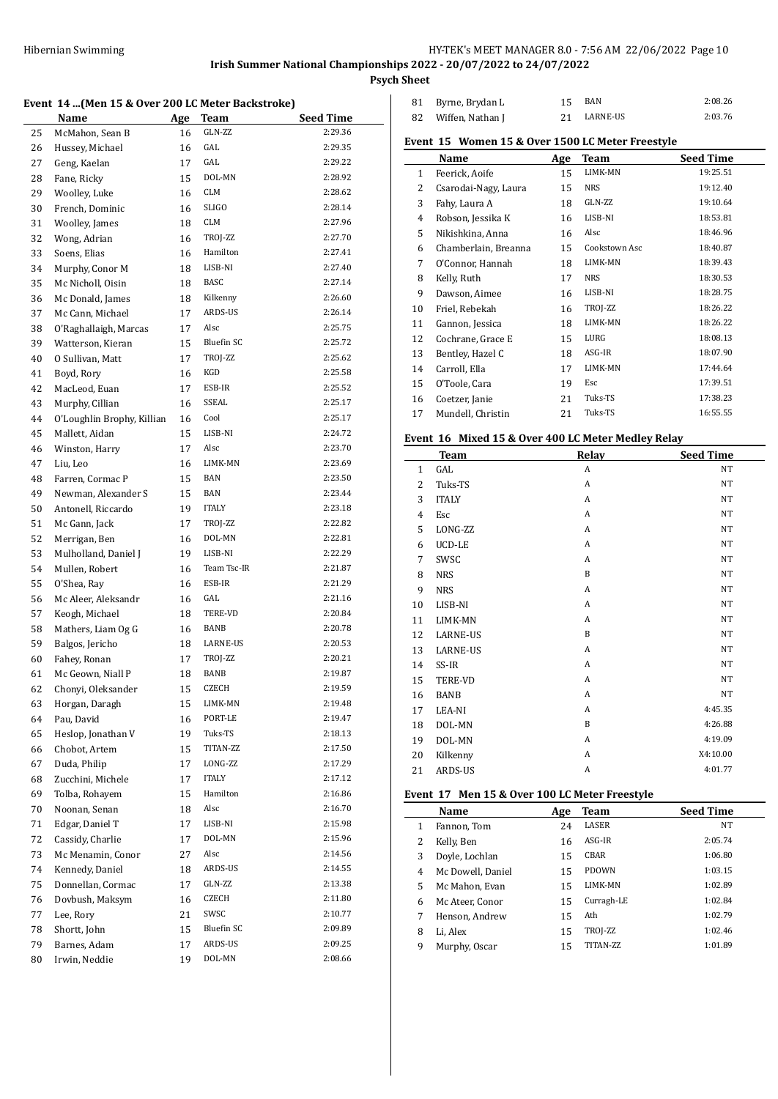**Psych Sheet**

#### **Event 14 ...(Men 15 & Over 200 LC Meter Backstroke)**

|    | 11 munto a over 200 no meter backstrone |     |                   |                  |
|----|-----------------------------------------|-----|-------------------|------------------|
|    | Name                                    | Age | <b>Team</b>       | <b>Seed Time</b> |
| 25 | McMahon, Sean B                         | 16  | GLN-ZZ            | 2:29.36          |
| 26 | Hussey, Michael                         | 16  | GAL               | 2:29.35          |
| 27 | Geng, Kaelan                            | 17  | GAL               | 2:29.22          |
| 28 | Fane, Ricky                             | 15  | DOL-MN            | 2:28.92          |
| 29 | Woolley, Luke                           | 16  | <b>CLM</b>        | 2:28.62          |
| 30 | French, Dominic                         | 16  | <b>SLIGO</b>      | 2:28.14          |
| 31 | Woolley, James                          | 18  | CLM               | 2:27.96          |
| 32 | Wong, Adrian                            | 16  | TROJ-ZZ           | 2:27.70          |
| 33 | Soens, Elias                            | 16  | Hamilton          | 2:27.41          |
| 34 | Murphy, Conor M                         | 18  | LISB-NI           | 2:27.40          |
| 35 | Mc Nicholl, Oisin                       | 18  | BASC              | 2:27.14          |
| 36 | Mc Donald, James                        | 18  | Kilkenny          | 2:26.60          |
| 37 | Mc Cann, Michael                        | 17  | ARDS-US           | 2:26.14          |
| 38 | O'Raghallaigh, Marcas                   | 17  | Alsc              | 2:25.75          |
| 39 | Watterson, Kieran                       | 15  | <b>Bluefin SC</b> | 2:25.72          |
| 40 | 0 Sullivan, Matt                        | 17  | TROJ-ZZ           | 2:25.62          |
| 41 | Boyd, Rory                              | 16  | KGD               | 2:25.58          |
| 42 | MacLeod, Euan                           | 17  | ESB-IR            | 2:25.52          |
| 43 | Murphy, Cillian                         | 16  | SSEAL             | 2:25.17          |
| 44 | O'Loughlin Brophy, Killian              | 16  | Cool              | 2:25.17          |
| 45 | Mallett, Aidan                          | 15  | LISB-NI           | 2:24.72          |
| 46 | Winston, Harry                          | 17  | Alsc              | 2:23.70          |
| 47 | Liu, Leo                                | 16  | LIMK-MN           | 2:23.69          |
| 48 | Farren, Cormac P                        | 15  | BAN               | 2:23.50          |
| 49 | Newman, Alexander S                     | 15  | BAN               | 2:23.44          |
| 50 | Antonell, Riccardo                      | 19  | <b>ITALY</b>      | 2:23.18          |
| 51 | Mc Gann, Jack                           | 17  | TROJ-ZZ           | 2:22.82          |
| 52 | Merrigan, Ben                           | 16  | DOL-MN            | 2:22.81          |
| 53 | Mulholland, Daniel J                    | 19  | LISB-NI           | 2:22.29          |
| 54 | Mullen, Robert                          | 16  | Team Tsc-IR       | 2:21.87          |
| 55 | O'Shea, Ray                             | 16  | ESB-IR            | 2:21.29          |
| 56 | Mc Aleer, Aleksandr                     | 16  | GAL               | 2:21.16          |
| 57 | Keogh, Michael                          | 18  | TERE-VD           | 2:20.84          |
| 58 | Mathers, Liam Og G                      | 16  | BANB              | 2:20.78          |
| 59 | Balgos, Jericho                         | 18  | LARNE-US          | 2:20.53          |
| 60 | Fahey, Ronan                            | 17  | TROJ-ZZ           | 2:20.21          |
| 61 | Mc Geown, Niall P                       | 18  | BANB              | 2:19.87          |
| 62 | Chonyi, Oleksander                      | 15  | CZECH             | 2:19.59          |
| 63 | Horgan, Daragh                          | 15  | LIMK-MN           | 2:19.48          |
| 64 | Pau, David                              | 16  | PORT-LE           | 2:19.47          |
| 65 | Heslop, Jonathan V                      | 19  | Tuks-TS           | 2:18.13          |
| 66 | Chobot, Artem                           | 15  | TITAN-ZZ          | 2:17.50          |
| 67 | Duda, Philip                            | 17  | LONG-ZZ           | 2:17.29          |
| 68 | Zucchini, Michele                       | 17  | <b>ITALY</b>      | 2:17.12          |
| 69 | Tolba, Rohayem                          | 15  | Hamilton          | 2:16.86          |
|    |                                         |     | Alsc              | 2:16.70          |
| 70 | Noonan, Senan                           | 18  | LISB-NI           | 2:15.98          |
| 71 | Edgar, Daniel T                         | 17  |                   |                  |
| 72 | Cassidy, Charlie                        | 17  | DOL-MN            | 2:15.96          |
| 73 | Mc Menamin, Conor                       | 27  | Alsc              | 2:14.56          |
| 74 | Kennedy, Daniel                         | 18  | ARDS-US           | 2:14.55          |
| 75 | Donnellan, Cormac                       | 17  | GLN-ZZ            | 2:13.38          |
| 76 | Dovbush, Maksym                         | 16  | CZECH             | 2:11.80          |
| 77 | Lee, Rory                               | 21  | SWSC              | 2:10.77          |
| 78 | Shortt, John                            | 15  | <b>Bluefin SC</b> | 2:09.89          |
| 79 | Barnes, Adam                            | 17  | ARDS-US           | 2:09.25          |
| 80 | Irwin, Neddie                           | 19  | DOL-MN            | 2:08.66          |

| 81 Byrne, Brydan L  | BAN      | 2:08.26 |
|---------------------|----------|---------|
| 82 Wiffen, Nathan J | LARNE-US | 2:03.76 |

# **Event 15 Women 15 & Over 1500 LC Meter Freestyle**

|              | Name                 | Age | Team          | <b>Seed Time</b> |
|--------------|----------------------|-----|---------------|------------------|
| $\mathbf{1}$ | Feerick, Aoife       | 15  | LIMK-MN       | 19:25.51         |
| 2            | Csarodai-Nagy, Laura | 15  | NRS           | 19:12.40         |
| 3            | Fahy, Laura A        | 18  | GLN-ZZ        | 19:10.64         |
| 4            | Robson, Jessika K    | 16  | LISB-NI       | 18:53.81         |
| 5            | Nikishkina, Anna     | 16  | Alsc          | 18:46.96         |
| 6            | Chamberlain, Breanna | 15  | Cookstown Asc | 18:40.87         |
| 7            | O'Connor, Hannah     | 18  | LIMK-MN       | 18:39.43         |
| 8            | Kelly, Ruth          | 17  | NRS           | 18:30.53         |
| 9            | Dawson, Aimee        | 16  | LISB-NI       | 18:28.75         |
| 10           | Friel, Rebekah       | 16  | TROJ-ZZ       | 18:26.22         |
| 11           | Gannon, Jessica      | 18  | LIMK-MN       | 18:26.22         |
| 12           | Cochrane, Grace E    | 15  | LURG          | 18:08.13         |
| 13           | Bentley, Hazel C     | 18  | ASG-IR        | 18:07.90         |
| 14           | Carroll, Ella        | 17  | LIMK-MN       | 17:44.64         |
| 15           | O'Toole, Cara        | 19  | Esc           | 17:39.51         |
| 16           | Coetzer, Janie       | 21  | Tuks-TS       | 17:38.23         |
| 17           | Mundell, Christin    | 21  | Tuks-TS       | 16:55.55         |

### **Event 16 Mixed 15 & Over 400 LC Meter Medley Relay**

|                | <b>Team</b>     | Relay       | <b>Seed Time</b> |
|----------------|-----------------|-------------|------------------|
| $\mathbf{1}$   | GAL             | A           | <b>NT</b>        |
| $\overline{c}$ | Tuks-TS         | A           | <b>NT</b>        |
| 3              | <b>ITALY</b>    | A           | <b>NT</b>        |
| 4              | Esc             | A           | <b>NT</b>        |
| 5              | LONG-ZZ         | A           | <b>NT</b>        |
| 6              | UCD-LE          | A           | NT               |
| 7              | SWSC            | A           | <b>NT</b>        |
| 8              | <b>NRS</b>      | B           | <b>NT</b>        |
| 9              | <b>NRS</b>      | A           | NT               |
| 10             | LISB-NI         | A           | <b>NT</b>        |
| 11             | LIMK-MN         | A           | <b>NT</b>        |
| 12             | <b>LARNE-US</b> | B           | <b>NT</b>        |
| 13             | <b>LARNE-US</b> | A           | <b>NT</b>        |
| 14             | SS-IR           | A           | NT               |
| 15             | <b>TERE-VD</b>  | A           | <b>NT</b>        |
| 16             | <b>BANB</b>     | A           | <b>NT</b>        |
| 17             | LEA-NI          | A           | 4:45.35          |
| 18             | DOL-MN          | $\mathbf B$ | 4:26.88          |
| 19             | DOL-MN          | A           | 4:19.09          |
| 20             | Kilkenny        | A           | X4:10.00         |
| 21             | ARDS-US         | A           | 4:01.77          |

# **Event 17 Men 15 & Over 100 LC Meter Freestyle**

|   | Name              | Age | <b>Team</b>  | <b>Seed Time</b> |
|---|-------------------|-----|--------------|------------------|
| 1 | Fannon, Tom       | 24  | LASER        | NT               |
| 2 | Kelly, Ben        | 16  | $ASG-IR$     | 2:05.74          |
| 3 | Doyle, Lochlan    | 15  | <b>CBAR</b>  | 1:06.80          |
| 4 | Mc Dowell, Daniel | 15  | <b>PDOWN</b> | 1:03.15          |
| 5 | Mc Mahon, Evan    | 15  | LIMK-MN      | 1:02.89          |
| 6 | Mc Ateer, Conor   | 15  | Curragh-LE   | 1:02.84          |
| 7 | Henson, Andrew    | 15  | Ath          | 1:02.79          |
| 8 | Li, Alex          | 15  | TROJ-ZZ      | 1:02.46          |
| 9 | Murphy, Oscar     | 15  | TITAN-ZZ     | 1:01.89          |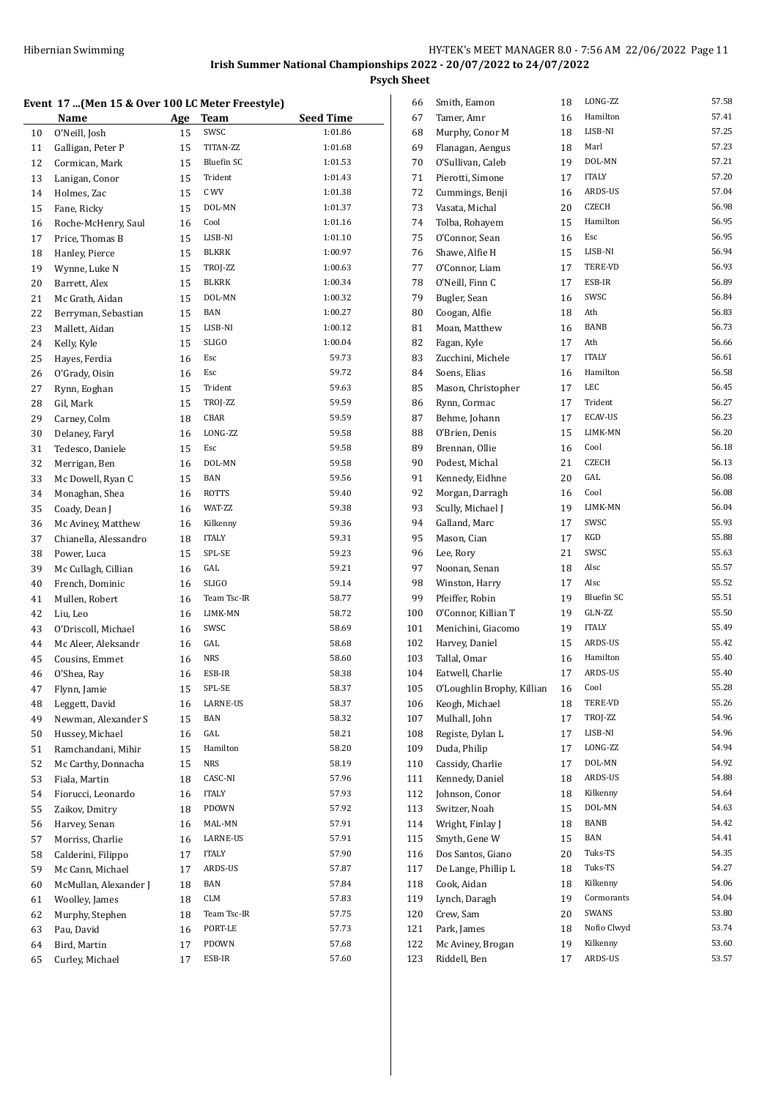### **Event 17 ...(Men 15 & Over 100 LC Meter Freestyle)**

|          | 17 approach to a over 100 BC ricter ricestyle<br>Name | Age | <b>Team</b>          | <b>Seed Time</b> |
|----------|-------------------------------------------------------|-----|----------------------|------------------|
| 10       | O'Neill, Josh                                         | 15  | SWSC                 | 1:01.86          |
| 11       | Galligan, Peter P                                     | 15  | TITAN-ZZ             | 1:01.68          |
| 12       | Cormican, Mark                                        | 15  | <b>Bluefin SC</b>    | 1:01.53          |
| 13       | Lanigan, Conor                                        | 15  | Trident              | 1:01.43          |
| 14       | Holmes, Zac                                           | 15  | C WV                 | 1:01.38          |
| 15       | Fane, Ricky                                           | 15  | DOL-MN               | 1:01.37          |
| 16       | Roche-McHenry, Saul                                   | 16  | Cool                 | 1:01.16          |
| 17       | Price, Thomas B                                       | 15  | LISB-NI              | 1:01.10          |
| 18       | Hanley, Pierce                                        | 15  | BLKRK                | 1:00.97          |
| 19       | Wynne, Luke N                                         | 15  | TROJ-ZZ              | 1:00.63          |
| 20       | Barrett, Alex                                         | 15  | <b>BLKRK</b>         | 1:00.34          |
| 21       | Mc Grath, Aidan                                       | 15  | DOL-MN               | 1:00.32          |
| 22       | Berryman, Sebastian                                   | 15  | BAN                  | 1:00.27          |
| 23       | Mallett, Aidan                                        | 15  | LISB-NI              | 1:00.12          |
| 24       | Kelly, Kyle                                           | 15  | <b>SLIGO</b>         | 1:00.04          |
| 25       | Hayes, Ferdia                                         | 16  | Esc                  | 59.73            |
|          | O'Grady, Oisin                                        | 16  | Esc                  | 59.72            |
| 26<br>27 | Rynn, Eoghan                                          | 15  | Trident              | 59.63            |
|          |                                                       |     | TROJ-ZZ              | 59.59            |
| 28       | Gil, Mark                                             | 15  | CBAR                 | 59.59            |
| 29       | Carney, Colm<br>Delaney, Faryl                        | 18  | LONG-ZZ              | 59.58            |
| 30       |                                                       | 16  | Esc                  | 59.58            |
| 31       | Tedesco, Daniele                                      | 15  |                      | 59.58            |
| 32       | Merrigan, Ben                                         | 16  | DOL-MN<br><b>BAN</b> | 59.56            |
| 33       | Mc Dowell, Ryan C                                     | 15  | <b>ROTTS</b>         | 59.40            |
| 34       | Monaghan, Shea                                        | 16  |                      |                  |
| 35       | Coady, Dean J                                         | 16  | WAT-ZZ               | 59.38            |
| 36       | Mc Aviney, Matthew                                    | 16  | Kilkenny             | 59.36            |
| 37       | Chianella, Alessandro                                 | 18  | <b>ITALY</b>         | 59.31            |
| 38       | Power, Luca                                           | 15  | SPL-SE               | 59.23            |
| 39       | Mc Cullagh, Cillian                                   | 16  | GAL<br><b>SLIGO</b>  | 59.21<br>59.14   |
| 40       | French, Dominic                                       | 16  | Team Tsc-IR          | 58.77            |
| 41       | Mullen, Robert                                        | 16  |                      |                  |
| 42       | Liu, Leo                                              | 16  | LIMK-MN<br>SWSC      | 58.72<br>58.69   |
| 43       | O'Driscoll, Michael                                   | 16  |                      |                  |
| 44       | Mc Aleer, Aleksandr                                   | 16  | GAL<br><b>NRS</b>    | 58.68<br>58.60   |
| 45       | Cousins, Emmet                                        | 16  | ESB-IR               | 58.38            |
| 46       | O'Shea, Ray                                           | 16  |                      |                  |
| 47       | Flynn, Jamie                                          | 15  | SPL-SE               | 58.37            |
| 48       | Leggett, David<br>Newman, Alexander S                 | 16  | LARNE-US<br>BAN      | 58.37<br>58.32   |
| 49       |                                                       | 15  | GAL                  | 58.21            |
| 50       | Hussey, Michael                                       | 16  | Hamilton             |                  |
| 51       | Ramchandani, Mihir                                    | 15  | NRS                  | 58.20<br>58.19   |
| 52       | Mc Carthy, Donnacha                                   | 15  |                      |                  |
| 53       | Fiala, Martin                                         | 18  | CASC-NI              | 57.96            |
| 54       | Fiorucci, Leonardo                                    | 16  | <b>ITALY</b>         | 57.93            |
| 55       | Zaikov, Dmitry                                        | 18  | PDOWN                | 57.92            |
| 56       | Harvey, Senan                                         | 16  | MAL-MN               | 57.91            |
| 57       | Morriss, Charlie                                      | 16  | LARNE-US             | 57.91            |
| 58       | Calderini, Filippo                                    | 17  | ITALY                | 57.90            |
| 59       | Mc Cann, Michael                                      | 17  | ARDS-US              | 57.87            |
| 60       | McMullan, Alexander J                                 | 18  | BAN                  | 57.84            |
| 61       | Woolley, James                                        | 18  | CLM                  | 57.83            |
| 62       | Murphy, Stephen                                       | 18  | Team Tsc-IR          | 57.75            |
| 63       | Pau, David                                            | 16  | PORT-LE              | 57.73            |
| 64       | Bird, Martin                                          | 17  | PDOWN                | 57.68            |
| 65       | Curley, Michael                                       | 17  | ESB-IR               | 57.60            |

| 66         | Smith, Eamon                      | 18       | LONG-ZZ           | 57.58          |
|------------|-----------------------------------|----------|-------------------|----------------|
| 67         | Tamer, Amr                        | 16       | Hamilton          | 57.41          |
| 68         | Murphy, Conor M                   | 18       | LISB-NI           | 57.25          |
| 69         | Flanagan, Aengus                  | 18       | Marl              | 57.23          |
| 70         | O'Sullivan, Caleb                 | 19       | DOL-MN            | 57.21          |
| 71         | Pierotti, Simone                  | 17       | <b>ITALY</b>      | 57.20          |
| 72         | Cummings, Benji                   | 16       | ARDS-US           | 57.04          |
| 73         | Vasata, Michal                    | 20       | CZECH             | 56.98          |
| 74         | Tolba, Rohayem                    | 15       | Hamilton          | 56.95          |
| 75         | O'Connor, Sean                    | 16       | Esc               | 56.95          |
| 76         | Shawe, Alfie H                    | 15       | LISB-NI           | 56.94          |
| 77         | O'Connor, Liam                    | 17       | TERE-VD           | 56.93          |
| 78         | O'Neill, Finn C                   | 17       | ESB-IR            | 56.89          |
| 79         | Bugler, Sean                      | 16       | SWSC              | 56.84          |
| 80         | Coogan, Alfie                     | 18       | Ath               | 56.83          |
| 81         | Moan, Matthew                     | 16       | <b>BANB</b>       | 56.73          |
| 82         | Fagan, Kyle                       | 17       | Ath               | 56.66          |
| 83         | Zucchini, Michele                 | 17       | <b>ITALY</b>      | 56.61          |
| 84         | Soens, Elias                      | 16       | Hamilton          | 56.58          |
| 85         | Mason, Christopher                | 17       | LEC               | 56.45          |
| 86         | Rynn, Cormac                      | 17       | Trident           | 56.27          |
| 87         | Behme, Johann                     | 17       | <b>ECAV-US</b>    | 56.23          |
| 88         | O'Brien, Denis                    | 15       | LIMK-MN           | 56.20          |
| 89         | Brennan, Ollie                    | 16       | Cool              | 56.18          |
| 90         | Podest, Michal                    | 21       | <b>CZECH</b>      | 56.13          |
| 91         | Kennedy, Eidhne                   | 20       | GAL               | 56.08          |
| 92         | Morgan, Darragh                   | 16       | Cool              | 56.08          |
| 93         | Scully, Michael J                 | 19       | LIMK-MN           | 56.04          |
| 94         | Galland, Marc                     | 17       | SWSC              | 55.93          |
| 95         | Mason, Cian                       | 17       | KGD               | 55.88          |
| 96         | Lee, Rory                         | 21       | SWSC              | 55.63          |
| 97         | Noonan, Senan                     | 18       | Alsc              | 55.57          |
| 98         | Winston, Harry                    | 17       | Alsc              | 55.52          |
| 99         | Pfeiffer, Robin                   | 19       | <b>Bluefin SC</b> | 55.51          |
| 100        | O'Connor, Killian T               | 19       | GLN-ZZ            | 55.50          |
| 101        | Menichini, Giacomo                | 19       | <b>ITALY</b>      | 55.49          |
| 102        | Harvey, Daniel                    | 15       | <b>ARDS-US</b>    | 55.42          |
| 103        | Tallal, Omar                      | 16       | Hamilton          | 55.40          |
| 104        | Eatwell, Charlie                  | 17       | ARDS-US           | 55.40          |
| 105        | O'Loughlin Brophy, Killian        | 16       | Cool              | 55.28          |
| 106        | Keogh, Michael                    | 18       | TERE-VD           | 55.26          |
| 107        | Mulhall, John                     | 17       | TROJ-ZZ           | 54.96          |
| 108        | Registe, Dylan L                  | 17       | LISB-NI           | 54.96<br>54.94 |
| 109        | Duda, Philip<br>Cassidy, Charlie  | 17       | LONG-ZZ<br>DOL-MN | 54.92          |
| 110        |                                   | 17       | ARDS-US           | 54.88          |
| 111        | Kennedy, Daniel<br>Johnson, Conor | 18<br>18 | Kilkenny          | 54.64          |
| 112<br>113 | Switzer, Noah                     | 15       | DOL-MN            | 54.63          |
| 114        | Wright, Finlay J                  | 18       | BANB              | 54.42          |
| 115        | Smyth, Gene W                     | 15       | BAN               | 54.41          |
| 116        | Dos Santos, Giano                 | 20       | Tuks-TS           | 54.35          |
| 117        | De Lange, Phillip L               | 18       | Tuks-TS           | 54.27          |
| 118        | Cook, Aidan                       | 18       | Kilkenny          | 54.06          |
| 119        | Lynch, Daragh                     | 19       | Cormorants        | 54.04          |
| 120        | Crew, Sam                         | 20       | SWANS             | 53.80          |
| 121        | Park, James                       | 18       | Nofio Clwyd       | 53.74          |
| 122        | Mc Aviney, Brogan                 | 19       | Kilkenny          | 53.60          |
| 123        | Riddell, Ben                      | 17       | ARDS-US           | 53.57          |
|            |                                   |          |                   |                |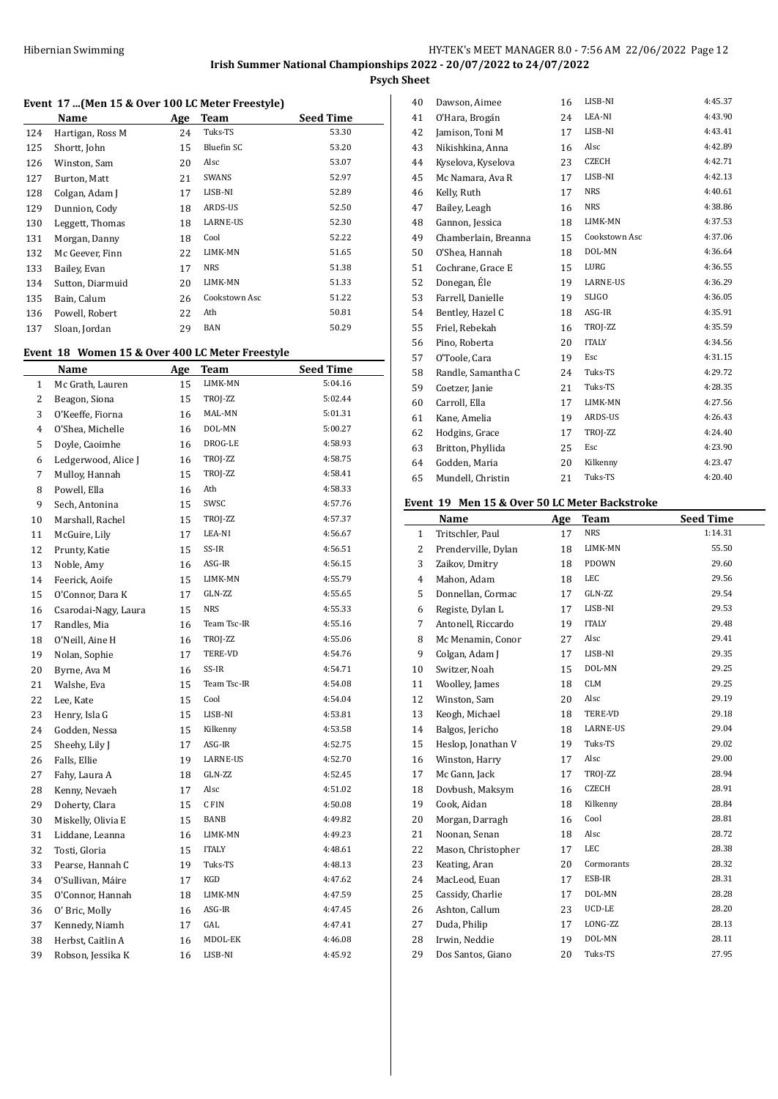## **Event 17 ...(Men 15 & Over 100 LC Meter Freestyle)**

|     | Name             | Age | <b>Team</b>     | <b>Seed Time</b> |
|-----|------------------|-----|-----------------|------------------|
| 124 | Hartigan, Ross M | 24  | Tuks-TS         | 53.30            |
| 125 | Shortt, John     | 15  | Bluefin SC      | 53.20            |
| 126 | Winston, Sam     | 20  | Alsc            | 53.07            |
| 127 | Burton, Matt     | 21  | SWANS           | 52.97            |
| 128 | Colgan, Adam J   | 17  | LISB-NI         | 52.89            |
| 129 | Dunnion, Cody    | 18  | ARDS-US         | 52.50            |
| 130 | Leggett, Thomas  | 18  | <b>LARNE-US</b> | 52.30            |
| 131 | Morgan, Danny    | 18  | Cool            | 52.22            |
| 132 | Mc Geever, Finn  | 22  | LIMK-MN         | 51.65            |
| 133 | Bailey, Evan     | 17  | NRS             | 51.38            |
| 134 | Sutton, Diarmuid | 20  | LIMK-MN         | 51.33            |
| 135 | Bain, Calum      | 26  | Cookstown Asc   | 51.22            |
| 136 | Powell, Robert   | 22  | Ath             | 50.81            |
| 137 | Sloan, Jordan    | 29  | BAN             | 50.29            |
|     |                  |     |                 |                  |

# **Event 18 Women 15 & Over 400 LC Meter Freestyle**

| Name                 | Age | <b>Team</b>  | <b>Seed Time</b> |
|----------------------|-----|--------------|------------------|
| Mc Grath, Lauren     | 15  | LIMK-MN      | 5:04.16          |
| Beagon, Siona        | 15  | TROJ-ZZ      | 5:02.44          |
| O'Keeffe, Fiorna     | 16  | MAL-MN       | 5:01.31          |
| O'Shea, Michelle     | 16  | DOL-MN       | 5:00.27          |
| Doyle, Caoimhe       | 16  | DROG-LE      | 4:58.93          |
| Ledgerwood, Alice J  | 16  | TROJ-ZZ      | 4:58.75          |
| Mulloy, Hannah       | 15  | TROJ-ZZ      | 4:58.41          |
| Powell, Ella         | 16  | Ath          | 4:58.33          |
| Sech, Antonina       | 15  | SWSC         | 4:57.76          |
| Marshall, Rachel     | 15  | TROJ-ZZ      | 4:57.37          |
| McGuire, Lily        | 17  | LEA-NI       | 4:56.67          |
| Prunty, Katie        | 15  | SS-IR        | 4:56.51          |
| Noble, Amy           | 16  | ASG-IR       | 4:56.15          |
| Feerick, Aoife       | 15  | LIMK-MN      | 4:55.79          |
| O'Connor, Dara K     | 17  | GLN-ZZ       | 4:55.65          |
| Csarodai-Nagy, Laura | 15  | <b>NRS</b>   | 4:55.33          |
| Randles, Mia         | 16  | Team Tsc-IR  | 4:55.16          |
| O'Neill, Aine H      | 16  | TROJ-ZZ      | 4:55.06          |
| Nolan, Sophie        | 17  | TERE-VD      | 4:54.76          |
| Byrne, Ava M         | 16  | SS-IR        | 4:54.71          |
| Walshe, Eva          | 15  | Team Tsc-IR  | 4:54.08          |
| Lee, Kate            | 15  | Cool         | 4:54.04          |
| Henry, Isla G        | 15  | LISB-NI      | 4:53.81          |
| Godden, Nessa        | 15  | Kilkenny     | 4:53.58          |
| Sheehy, Lily J       | 17  | ASG-IR       | 4:52.75          |
| Falls, Ellie         | 19  | LARNE-US     | 4:52.70          |
| Fahy, Laura A        | 18  | GLN-ZZ       | 4:52.45          |
| Kenny, Nevaeh        | 17  | Alsc         | 4:51.02          |
| Doherty, Clara       | 15  | C FIN        | 4:50.08          |
| Miskelly, Olivia E   | 15  | <b>BANB</b>  | 4:49.82          |
| Liddane, Leanna      | 16  | LIMK-MN      | 4:49.23          |
| Tosti, Gloria        | 15  | <b>ITALY</b> | 4:48.61          |
| Pearse, Hannah C     | 19  | Tuks-TS      | 4:48.13          |
| O'Sullivan, Máire    | 17  | KGD          | 4:47.62          |
| O'Connor, Hannah     | 18  | LIMK-MN      | 4:47.59          |
| O' Bric, Molly       | 16  | ASG-IR       | 4:47.45          |
| Kennedy, Niamh       | 17  | GAL          | 4:47.41          |
| Herbst, Caitlin A    | 16  | MDOL-EK      | 4:46.08          |
| Robson, Jessika K    | 16  | LISB-NI      | 4:45.92          |
|                      |     |              |                  |

| 40 | Dawson, Aimee        | 16 | LISB-NI       | 4:45.37 |
|----|----------------------|----|---------------|---------|
| 41 | O'Hara, Brogán       | 24 | LEA-NI        | 4:43.90 |
| 42 | Jamison, Toni M      | 17 | LISB-NI       | 4:43.41 |
| 43 | Nikishkina, Anna     | 16 | Alsc          | 4:42.89 |
| 44 | Kyselova, Kyselova   | 23 | <b>CZECH</b>  | 4:42.71 |
| 45 | Mc Namara, Ava R     | 17 | LISB-NI       | 4:42.13 |
| 46 | Kelly, Ruth          | 17 | <b>NRS</b>    | 4:40.61 |
| 47 | Bailey, Leagh        | 16 | <b>NRS</b>    | 4:38.86 |
| 48 | Gannon, Jessica      | 18 | LIMK-MN       | 4:37.53 |
| 49 | Chamberlain, Breanna | 15 | Cookstown Asc | 4:37.06 |
| 50 | O'Shea, Hannah       | 18 | DOL-MN        | 4:36.64 |
| 51 | Cochrane, Grace E    | 15 | LURG          | 4:36.55 |
| 52 | Donegan, Éle         | 19 | LARNE-US      | 4:36.29 |
| 53 | Farrell, Danielle    | 19 | <b>SLIGO</b>  | 4:36.05 |
| 54 | Bentley, Hazel C     | 18 | ASG-IR        | 4:35.91 |
| 55 | Friel, Rebekah       | 16 | TROJ-ZZ       | 4:35.59 |
| 56 | Pino, Roberta        | 20 | <b>ITALY</b>  | 4:34.56 |
| 57 | O'Toole, Cara        | 19 | Esc           | 4:31.15 |
| 58 | Randle, Samantha C   | 24 | Tuks-TS       | 4:29.72 |
| 59 | Coetzer, Janie       | 21 | Tuks-TS       | 4:28.35 |
| 60 | Carroll, Ella        | 17 | LIMK-MN       | 4:27.56 |
| 61 | Kane, Amelia         | 19 | ARDS-US       | 4:26.43 |
| 62 | Hodgins, Grace       | 17 | TROJ-ZZ       | 4:24.40 |
| 63 | Britton, Phyllida    | 25 | Esc           | 4:23.90 |
| 64 | Godden, Maria        | 20 | Kilkenny      | 4:23.47 |
| 65 | Mundell, Christin    | 21 | Tuks-TS       | 4:20.40 |
|    |                      |    |               |         |

### **Event 19 Men 15 & Over 50 LC Meter Backstroke**

l,

|              | Name                | Age | Team         | <b>Seed Time</b> |
|--------------|---------------------|-----|--------------|------------------|
| $\mathbf{1}$ | Tritschler, Paul    | 17  | <b>NRS</b>   | 1:14.31          |
| 2            | Prenderville, Dylan | 18  | LIMK-MN      | 55.50            |
| 3            | Zaikov, Dmitry      | 18  | PDOWN        | 29.60            |
| 4            | Mahon, Adam         | 18  | LEC          | 29.56            |
| 5            | Donnellan, Cormac   | 17  | GLN-ZZ       | 29.54            |
| 6            | Registe, Dylan L    | 17  | LISB-NI      | 29.53            |
| 7            | Antonell, Riccardo  | 19  | <b>ITALY</b> | 29.48            |
| 8            | Mc Menamin, Conor   | 27  | Alsc         | 29.41            |
| 9            | Colgan, Adam J      | 17  | LISB-NI      | 29.35            |
| 10           | Switzer, Noah       | 15  | DOL-MN       | 29.25            |
| 11           | Woolley, James      | 18  | <b>CLM</b>   | 29.25            |
| 12           | Winston, Sam        | 20  | Alsc         | 29.19            |
| 13           | Keogh, Michael      | 18  | TERE-VD      | 29.18            |
| 14           | Balgos, Jericho     | 18  | LARNE-US     | 29.04            |
| 15           | Heslop, Jonathan V  | 19  | Tuks-TS      | 29.02            |
| 16           | Winston, Harry      | 17  | Alsc         | 29.00            |
| 17           | Mc Gann, Jack       | 17  | TROJ-ZZ      | 28.94            |
| 18           | Dovbush, Maksym     | 16  | <b>CZECH</b> | 28.91            |
| 19           | Cook, Aidan         | 18  | Kilkenny     | 28.84            |
| 20           | Morgan, Darragh     | 16  | Cool         | 28.81            |
| 21           | Noonan, Senan       | 18  | Alsc         | 28.72            |
| 22           | Mason, Christopher  | 17  | LEC          | 28.38            |
| 23           | Keating, Aran       | 20  | Cormorants   | 28.32            |
| 24           | MacLeod, Euan       | 17  | ESB-IR       | 28.31            |
| 25           | Cassidy, Charlie    | 17  | DOL-MN       | 28.28            |
| 26           | Ashton, Callum      | 23  | UCD-LE       | 28.20            |
| 27           | Duda, Philip        | 17  | LONG-ZZ      | 28.13            |
| 28           | Irwin, Neddie       | 19  | DOL-MN       | 28.11            |
| 29           | Dos Santos, Giano   | 20  | Tuks-TS      | 27.95            |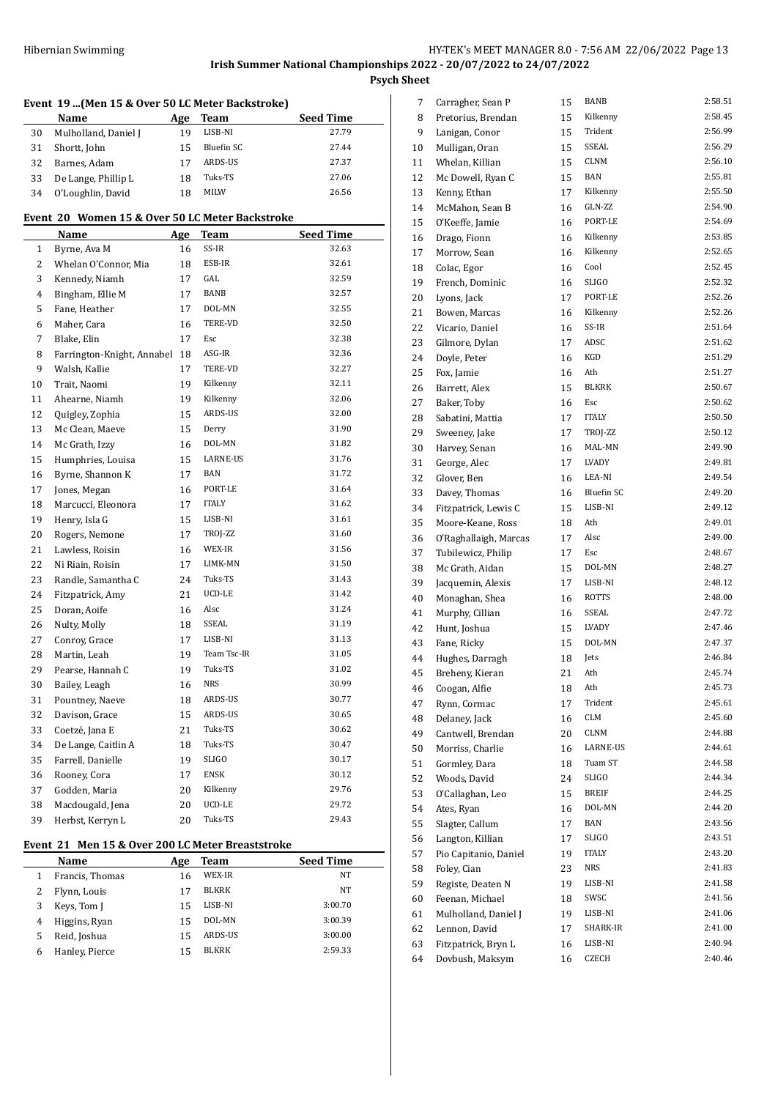# **Event 19 ...(Men 15 & Over 50 LC Meter Backstroke) Name Age Team Seed Time** 30 Mulholland, Daniel I 19 LISB-NI 27.79 31 Shortt, John 15 Bluefin SC 27.44 Barnes, Adam 17 ARDS-US 27.37 33 De Lange, Phillip L 18 Tuks-TS 27.06 O'Loughlin, David 18 MILW 26.56 **Event 20 Women 15 & Over 50 LC Meter Backstroke Name Age Team Seed Time** 1 Byrne, Ava M 16 SS-IR 32.63 2 Whelan O'Connor, Mia 18 ESB-IR 32.61 3 Kennedy, Niamh 17 GAL 32.59 4 Bingham, Ellie M 17 BANB 32.57 Fane, Heather 17 DOL-MN 32.55 Maher, Cara 16 TERE-VD 32.50 7 Blake, Elin 17 Esc 32.38 Farrington-Knight, Annabel 18 ASG-IR 32.36 Walsh, Kallie 17 TERE-VD 32.27 Trait, Naomi 19 Kilkenny 32.11 Ahearne, Niamh 19 Kilkenny 32.06 12 Quigley, Zophia 15 ARDS-US 32.00 13 Mc Clean, Maeve 15 Derry 31.90 14 Mc Grath, Izzy 16 DOL-MN 31.82 Humphries, Louisa 15 LARNE-US 31.76 16 Byrne, Shannon K 17 BAN 31.72 17 Jones, Megan 16 PORT-LE 31.64 Marcucci, Eleonora 17 ITALY 31.62 19 Henry, Isla G 15 LISB-NI 31.61 20 Rogers, Nemone 17 TROJ-ZZ 31.60 21 Lawless, Roisin 16 WEX-IR 31.56 22 Ni Riain, Roisin 17 LIMK-MN 31.50 23 Randle, Samantha C 24 Tuks-TS 31.43 Fitzpatrick, Amy 21 UCD-LE 31.42 25 Doran, Aoife 16 Alsc 31.24 Nulty, Molly 18 SSEAL 31.19 27 Conroy, Grace 17 LISB-NI 31.13 28 Martin, Leah 19 Team Tsc-IR 31.05 29 Pearse, Hannah C 19 Tuks-TS 31.02 30 Bailey, Leagh 16 NRS 30.99 31 Pountney, Naeve 18 ARDS-US 30.77 32 Davison, Grace 15 ARDS-US 30.65 33 Coetzé, Jana E 21 Tuks-TS 30.62 34 De Lange, Caitlin A 18 Tuks-TS 30.47 Farrell, Danielle 19 SLIGO 30.17 Rooney, Cora 17 ENSK 30.12 Godden, Maria 20 Kilkenny 29.76 Macdougald, Jena 20 UCD-LE 29.72 39 Herbst, Kerryn L 20 Tuks-TS 29.43

# **Event 21 Men 15 & Over 200 LC Meter Breaststroke**

 $\overline{a}$ 

|   | Name            | Age | Team         | <b>Seed Time</b> |
|---|-----------------|-----|--------------|------------------|
|   | Francis, Thomas | 16  | WEX-IR       | NT               |
|   | Flynn, Louis    |     | <b>BLKRK</b> | NT               |
|   | Keys, Tom J     | 15  | LISB-NI      | 3:00.70          |
| 4 | Higgins, Ryan   | 15  | DOL-MN       | 3:00.39          |
| 5 | Reid, Joshua    | 15  | ARDS-US      | 3:00.00          |
| h | Hanley, Pierce  |     | <b>BLKRK</b> | 2:59.33          |

| 7  | Carragher, Sean P     | 15 | <b>BANB</b>       | 2:58.51 |
|----|-----------------------|----|-------------------|---------|
| 8  | Pretorius, Brendan    | 15 | Kilkenny          | 2:58.45 |
| 9  | Lanigan, Conor        | 15 | Trident           | 2:56.99 |
| 10 | Mulligan, Oran        | 15 | SSEAL             | 2:56.29 |
| 11 | Whelan, Killian       | 15 | <b>CLNM</b>       | 2:56.10 |
| 12 | Mc Dowell, Ryan C     | 15 | <b>BAN</b>        | 2:55.81 |
| 13 | Kenny, Ethan          | 17 | Kilkenny          | 2:55.50 |
| 14 | McMahon, Sean B       | 16 | GLN-ZZ            | 2:54.90 |
| 15 | O'Keeffe, Jamie       | 16 | PORT-LE           | 2:54.69 |
| 16 | Drago, Fionn          | 16 | Kilkenny          | 2:53.85 |
| 17 | Morrow, Sean          | 16 | Kilkenny          | 2:52.65 |
| 18 | Colac, Egor           | 16 | Cool              | 2:52.45 |
| 19 | French, Dominic       | 16 | <b>SLIGO</b>      | 2:52.32 |
| 20 | Lyons, Jack           | 17 | PORT-LE           | 2:52.26 |
| 21 | Bowen, Marcas         | 16 | Kilkenny          | 2:52.26 |
| 22 | Vicario, Daniel       | 16 | SS-IR             | 2:51.64 |
| 23 | Gilmore, Dylan        | 17 | ADSC              | 2:51.62 |
| 24 | Doyle, Peter          | 16 | KGD               | 2:51.29 |
| 25 | Fox, Jamie            | 16 | Ath               | 2:51.27 |
|    |                       |    | <b>BLKRK</b>      | 2:50.67 |
| 26 | Barrett, Alex         | 15 | Esc               | 2:50.62 |
| 27 | Baker, Toby           | 16 |                   |         |
| 28 | Sabatini, Mattia      | 17 | <b>ITALY</b>      | 2:50.50 |
| 29 | Sweeney, Jake         | 17 | TROJ-ZZ           | 2:50.12 |
| 30 | Harvey, Senan         | 16 | MAL-MN            | 2:49.90 |
| 31 | George, Alec          | 17 | LVADY             | 2:49.81 |
| 32 | Glover, Ben           | 16 | LEA-NI            | 2:49.54 |
| 33 | Davey, Thomas         | 16 | <b>Bluefin SC</b> | 2:49.20 |
| 34 | Fitzpatrick, Lewis C  | 15 | LISB-NI           | 2:49.12 |
| 35 | Moore-Keane, Ross     | 18 | Ath               | 2:49.01 |
| 36 | O'Raghallaigh, Marcas | 17 | Alsc              | 2:49.00 |
| 37 | Tubilewicz, Philip    | 17 | Esc               | 2:48.67 |
| 38 | Mc Grath, Aidan       | 15 | DOL-MN            | 2:48.27 |
| 39 | Jacquemin, Alexis     | 17 | LISB-NI           | 2:48.12 |
| 40 | Monaghan, Shea        | 16 | <b>ROTTS</b>      | 2:48.00 |
| 41 | Murphy, Cillian       | 16 | SSEAL             | 2:47.72 |
| 42 | Hunt, Joshua          | 15 | LVADY             | 2:47.46 |
| 43 | Fane, Ricky           | 15 | DOL-MN            | 2:47.37 |
| 44 | Hughes, Darragh       | 18 | Jets              | 2:46.84 |
| 45 | Breheny, Kieran       | 21 | Ath               | 2:45.74 |
| 46 | Coogan, Alfie         | 18 | Ath               | 2:45.73 |
| 47 | Rynn, Cormac          | 17 | Trident           | 2:45.61 |
| 48 | Delaney, Jack         | 16 | CLM               | 2:45.60 |
| 49 | Cantwell, Brendan     | 20 | CLNM              | 2:44.88 |
| 50 | Morriss, Charlie      | 16 | LARNE-US          | 2:44.61 |
| 51 | Gormley, Dara         | 18 | Tuam ST           | 2:44.58 |
| 52 | Woods, David          | 24 | <b>SLIGO</b>      | 2:44.34 |
| 53 | O'Callaghan, Leo      | 15 | <b>BREIF</b>      | 2:44.25 |
| 54 | Ates, Ryan            | 16 | DOL-MN            | 2:44.20 |
| 55 | Slagter, Callum       | 17 | BAN               | 2:43.56 |
| 56 | Langton, Killian      | 17 | <b>SLIGO</b>      | 2:43.51 |
| 57 | Pio Capitanio, Daniel | 19 | ITALY             | 2:43.20 |
| 58 | Foley, Cian           | 23 | NRS               | 2:41.83 |
| 59 | Registe, Deaten N     | 19 | LISB-NI           | 2:41.58 |
|    |                       |    | SWSC              | 2:41.56 |
| 60 | Feenan, Michael       | 18 |                   |         |
| 61 | Mulholland, Daniel J  | 19 | LISB-NI           | 2:41.06 |
| 62 | Lennon, David         | 17 | SHARK-IR          | 2:41.00 |
| 63 | Fitzpatrick, Bryn L   | 16 | LISB-NI           | 2:40.94 |
| 64 | Dovbush, Maksym       | 16 | CZECH             | 2:40.46 |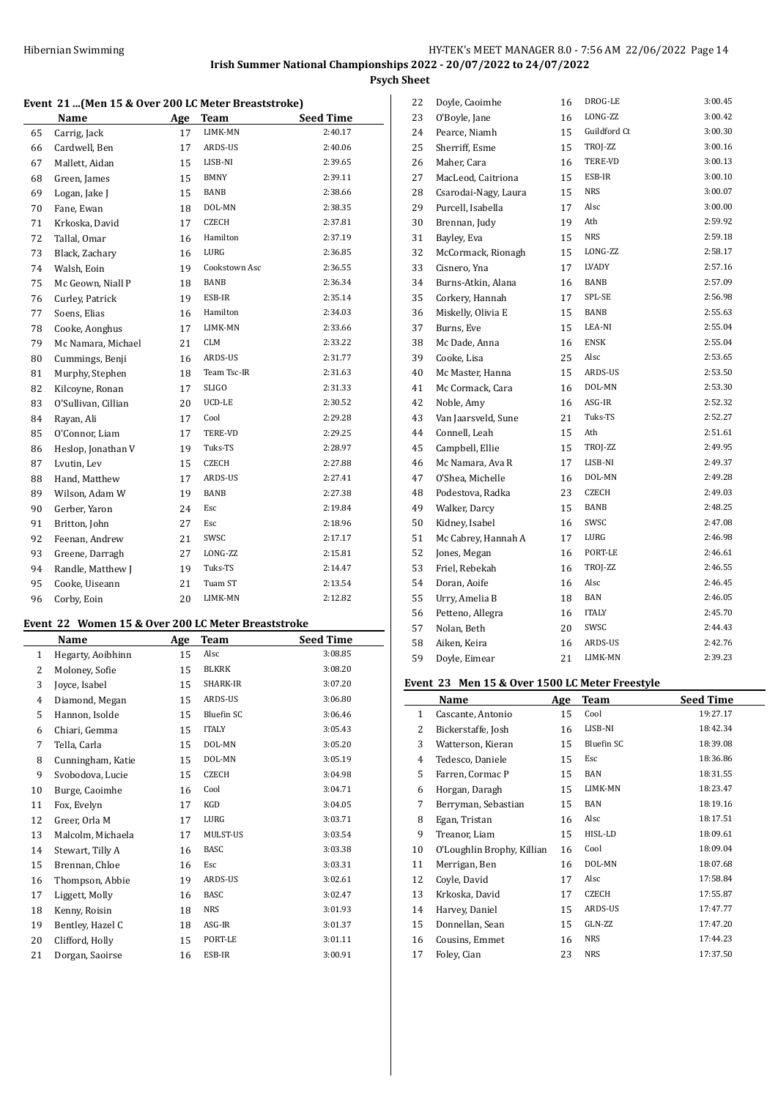## Hibernian Swimming **HY-TEK's MEET MANAGER 8.0 - 7:56 AM 22/06/2022** Page 14 **Irish Summer National Championships 2022 - 20/07/2022 to 24/07/2022 Psych Sheet**

#### **Event 21 ...(Men 15 & Over 200 LC Meter Breaststroke)**

|    | Name                | Age | Team          | <b>Seed Time</b> |
|----|---------------------|-----|---------------|------------------|
| 65 | Carrig, Jack        | 17  | LIMK-MN       | 2:40.17          |
| 66 | Cardwell, Ben       | 17  | ARDS-US       | 2:40.06          |
| 67 | Mallett, Aidan      | 15  | LISB-NI       | 2:39.65          |
| 68 | Green, James        | 15  | <b>BMNY</b>   | 2:39.11          |
| 69 | Logan, Jake J       | 15  | BANB          | 2:38.66          |
| 70 | Fane, Ewan          | 18  | DOL-MN        | 2:38.35          |
| 71 | Krkoska, David      | 17  | <b>CZECH</b>  | 2:37.81          |
| 72 | Tallal, Omar        | 16  | Hamilton      | 2:37.19          |
| 73 | Black, Zachary      | 16  | LURG          | 2:36.85          |
| 74 | Walsh, Eoin         | 19  | Cookstown Asc | 2:36.55          |
| 75 | Mc Geown, Niall P   | 18  | BANB          | 2:36.34          |
| 76 | Curley, Patrick     | 19  | ESB-IR        | 2:35.14          |
| 77 | Soens, Elias        | 16  | Hamilton      | 2:34.03          |
| 78 | Cooke, Aonghus      | 17  | LIMK-MN       | 2:33.66          |
| 79 | Mc Namara, Michael  | 21  | <b>CLM</b>    | 2:33.22          |
| 80 | Cummings, Benji     | 16  | ARDS-US       | 2:31.77          |
| 81 | Murphy, Stephen     | 18  | Team Tsc-IR   | 2:31.63          |
| 82 | Kilcoyne, Ronan     | 17  | <b>SLIGO</b>  | 2:31.33          |
| 83 | O'Sullivan, Cillian | 20  | UCD-LE        | 2:30.52          |
| 84 | Rayan, Ali          | 17  | Cool          | 2:29.28          |
| 85 | O'Connor, Liam      | 17  | TERE-VD       | 2:29.25          |
| 86 | Heslop, Jonathan V  | 19  | Tuks-TS       | 2:28.97          |
| 87 | Lvutin, Lev         | 15  | CZECH         | 2:27.88          |
| 88 | Hand, Matthew       | 17  | ARDS-US       | 2:27.41          |
| 89 | Wilson, Adam W      | 19  | BANB          | 2:27.38          |
| 90 | Gerber, Yaron       | 24  | Esc           | 2:19.84          |
| 91 | Britton, John       | 27  | Esc           | 2:18.96          |
| 92 | Feenan, Andrew      | 21  | SWSC          | 2:17.17          |
| 93 | Greene, Darragh     | 27  | LONG-ZZ       | 2:15.81          |
| 94 | Randle, Matthew J   | 19  | Tuks-TS       | 2:14.47          |
| 95 | Cooke, Uiseann      | 21  | Tuam ST       | 2:13.54          |
| 96 | Corby, Eoin         | 20  | LIMK-MN       | 2:12.82          |

#### **Event 22 Women 15 & Over 200 LC Meter Breaststroke**

|              | Name              | Age | <b>Team</b>  | <b>Seed Time</b> |
|--------------|-------------------|-----|--------------|------------------|
| $\mathbf{1}$ | Hegarty, Aoibhinn | 15  | Alsc         | 3:08.85          |
| 2            | Moloney, Sofie    | 15  | <b>BLKRK</b> | 3:08.20          |
| 3            | Joyce, Isabel     | 15  | SHARK-IR     | 3:07.20          |
| 4            | Diamond, Megan    | 15  | ARDS-US      | 3:06.80          |
| 5            | Hannon, Isolde    | 15  | Bluefin SC   | 3:06.46          |
| 6            | Chiari, Gemma     | 15  | <b>ITALY</b> | 3:05.43          |
| 7            | Tella, Carla      | 15  | DOL-MN       | 3:05.20          |
| 8            | Cunningham, Katie | 15  | DOL-MN       | 3:05.19          |
| 9            | Svobodova, Lucie  | 15  | <b>CZECH</b> | 3:04.98          |
| 10           | Burge, Caoimhe    | 16  | Cool         | 3:04.71          |
| 11           | Fox, Evelyn       | 17  | KGD          | 3:04.05          |
| 12           | Greer, Orla M     | 17  | LURG         | 3:03.71          |
| 13           | Malcolm, Michaela | 17  | MULST-US     | 3:03.54          |
| 14           | Stewart, Tilly A  | 16  | <b>BASC</b>  | 3:03.38          |
| 15           | Brennan, Chloe    | 16  | Esc          | 3:03.31          |
| 16           | Thompson, Abbie   | 19  | ARDS-US      | 3:02.61          |
| 17           | Liggett, Molly    | 16  | <b>BASC</b>  | 3:02.47          |
| 18           | Kenny, Roisin     | 18  | <b>NRS</b>   | 3:01.93          |
| 19           | Bentley, Hazel C  | 18  | ASG-IR       | 3:01.37          |
| 20           | Clifford, Holly   | 15  | PORT-LE      | 3:01.11          |
| 21           | Dorgan, Saoirse   | 16  | ESB-IR       | 3:00.91          |

| 22 | Doyle, Caoimhe       | 16 | DROG-LE      | 3:00.45 |
|----|----------------------|----|--------------|---------|
| 23 | O'Boyle, Jane        | 16 | LONG-ZZ      | 3:00.42 |
| 24 | Pearce, Niamh        | 15 | Guildford Ct | 3:00.30 |
| 25 | Sherriff, Esme       | 15 | TROJ-ZZ      | 3:00.16 |
| 26 | Maher, Cara          | 16 | TERE-VD      | 3:00.13 |
| 27 | MacLeod, Caitriona   | 15 | ESB-IR       | 3:00.10 |
| 28 | Csarodai-Nagy, Laura | 15 | <b>NRS</b>   | 3:00.07 |
| 29 | Purcell, Isabella    | 17 | Alsc         | 3:00.00 |
| 30 | Brennan, Judy        | 19 | Ath          | 2:59.92 |
| 31 | Bayley, Eva          | 15 | <b>NRS</b>   | 2:59.18 |
| 32 | McCormack, Rionagh   | 15 | LONG-ZZ      | 2:58.17 |
| 33 | Cisnero, Yna         | 17 | LVADY        | 2:57.16 |
| 34 | Burns-Atkin, Alana   | 16 | <b>BANB</b>  | 2:57.09 |
| 35 | Corkery, Hannah      | 17 | SPL-SE       | 2:56.98 |
| 36 | Miskelly, Olivia E   | 15 | <b>BANB</b>  | 2:55.63 |
| 37 | Burns, Eve           | 15 | LEA-NI       | 2:55.04 |
| 38 | Mc Dade, Anna        | 16 | <b>ENSK</b>  | 2:55.04 |
| 39 | Cooke, Lisa          | 25 | Alsc         | 2:53.65 |
| 40 | Mc Master, Hanna     | 15 | ARDS-US      | 2:53.50 |
| 41 | Mc Cormack, Cara     | 16 | DOL-MN       | 2:53.30 |
| 42 | Noble, Amy           | 16 | ASG-IR       | 2:52.32 |
| 43 | Van Jaarsveld, Sune  | 21 | Tuks-TS      | 2:52.27 |
| 44 | Connell, Leah        | 15 | Ath          | 2:51.61 |
| 45 | Campbell, Ellie      | 15 | TROJ-ZZ      | 2:49.95 |
| 46 | Mc Namara, Ava R     | 17 | LISB-NI      | 2:49.37 |
| 47 | O'Shea, Michelle     | 16 | DOL-MN       | 2:49.28 |
| 48 | Podestova, Radka     | 23 | <b>CZECH</b> | 2:49.03 |
| 49 | Walker, Darcy        | 15 | <b>BANB</b>  | 2:48.25 |
| 50 | Kidney, Isabel       | 16 | SWSC         | 2:47.08 |
| 51 | Mc Cabrey, Hannah A  | 17 | LURG         | 2:46.98 |
| 52 | Jones, Megan         | 16 | PORT-LE      | 2:46.61 |
| 53 | Friel, Rebekah       | 16 | TROJ-ZZ      | 2:46.55 |
| 54 | Doran, Aoife         | 16 | Alsc         | 2:46.45 |
| 55 | Urry, Amelia B       | 18 | <b>BAN</b>   | 2:46.05 |
| 56 | Petteno, Allegra     | 16 | <b>ITALY</b> | 2:45.70 |
| 57 | Nolan, Beth          | 20 | SWSC         | 2:44.43 |
| 58 | Aiken, Keira         | 16 | ARDS-US      | 2:42.76 |
| 59 | Doyle, Eimear        | 21 | LIMK-MN      | 2:39.23 |

### **Event 23 Men 15 & Over 1500 LC Meter Freestyle**

|    | Name                       | Age | Team       | <b>Seed Time</b> |
|----|----------------------------|-----|------------|------------------|
| 1  | Cascante, Antonio          | 15  | Cool       | 19:27.17         |
| 2  | Bickerstaffe, Josh         | 16  | LISB-NI    | 18:42.34         |
| 3  | Watterson, Kieran          | 15  | Bluefin SC | 18:39.08         |
| 4  | Tedesco, Daniele           | 15  | Esc        | 18:36.86         |
| 5  | Farren, Cormac P           | 15  | BAN        | 18:31.55         |
| 6  | Horgan, Daragh             | 15  | LIMK-MN    | 18:23.47         |
| 7  | Berryman, Sebastian        | 15  | BAN        | 18:19.16         |
| 8  | Egan, Tristan              | 16  | Alsc       | 18:17.51         |
| 9  | Treanor, Liam              | 15  | HISL-LD    | 18:09.61         |
| 10 | O'Loughlin Brophy, Killian | 16  | Cool       | 18:09.04         |
| 11 | Merrigan, Ben              | 16  | DOL-MN     | 18:07.68         |
| 12 | Coyle, David               | 17  | Alsc       | 17:58.84         |
| 13 | Krkoska, David             | 17  | CZECH      | 17:55.87         |
| 14 | Harvey, Daniel             | 15  | ARDS-US    | 17:47.77         |
| 15 | Donnellan, Sean            | 15  | GLN-ZZ     | 17:47.20         |
| 16 | Cousins, Emmet             | 16  | NRS        | 17:44.23         |
| 17 | Foley, Cian                | 23  | NRS        | 17:37.50         |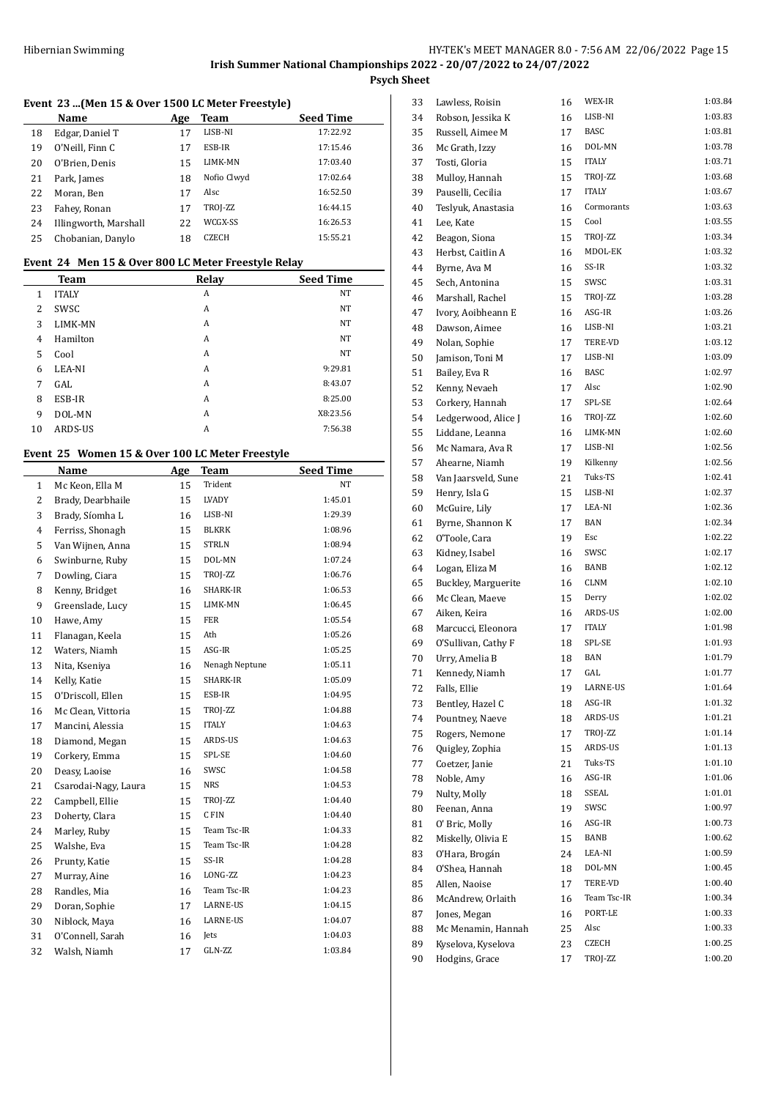# **Event 23 ...(Men 15 & Over 1500 LC Meter Freestyle)**

|    | Name                  | Age | Team         | <b>Seed Time</b> |
|----|-----------------------|-----|--------------|------------------|
| 18 | Edgar, Daniel T       | 17  | LISB-NI      | 17:22.92         |
| 19 | O'Neill, Finn C       | 17  | ESB-IR       | 17:15.46         |
| 20 | O'Brien, Denis        | 15  | LIMK-MN      | 17:03.40         |
| 21 | Park, James           | 18  | Nofio Clwyd  | 17:02.64         |
| 22 | Moran, Ben            | 17  | Alsc         | 16:52.50         |
| 23 | Fahey, Ronan          | 17  | TROJ-ZZ      | 16:44.15         |
| 24 | Illingworth, Marshall | 22  | WCGX-SS      | 16:26.53         |
| 25 | Chobanian, Danylo     | 18  | <b>CZECH</b> | 15:55.21         |

# **Event 24 Men 15 & Over 800 LC Meter Freestyle Relay**

|    | Team           | Relay | <b>Seed Time</b> |
|----|----------------|-------|------------------|
| 1  | <b>ITALY</b>   | A     | <b>NT</b>        |
| 2  | SWSC           | A     | <b>NT</b>        |
| 3  | <b>LIMK-MN</b> | A     | <b>NT</b>        |
| 4  | Hamilton       | A     | <b>NT</b>        |
| 5  | Cool           | A     | <b>NT</b>        |
| 6  | LEA-NI         | A     | 9:29.81          |
| 7  | GAL            | A     | 8:43.07          |
| 8  | ESB-IR         | A     | 8:25.00          |
| 9  | DOL-MN         | A     | X8:23.56         |
| 10 | ARDS-US        | A     | 7:56.38          |

# **Event 25 Women 15 & Over 100 LC Meter Freestyle**

|                | Name                 | Age | <b>Team</b>    | <b>Seed Time</b> |
|----------------|----------------------|-----|----------------|------------------|
| $\mathbf{1}$   | Mc Keon, Ella M      | 15  | Trident        | NT               |
| $\overline{c}$ | Brady, Dearbhaile    | 15  | LVADY          | 1:45.01          |
| 3              | Brady, Síomha L      | 16  | LISB-NI        | 1:29.39          |
| 4              | Ferriss, Shonagh     | 15  | <b>BLKRK</b>   | 1:08.96          |
| 5              | Van Wijnen, Anna     | 15  | <b>STRLN</b>   | 1:08.94          |
| 6              | Swinburne, Ruby      | 15  | DOL-MN         | 1:07.24          |
| 7              | Dowling, Ciara       | 15  | TROJ-ZZ        | 1:06.76          |
| 8              | Kenny, Bridget       | 16  | SHARK-IR       | 1:06.53          |
| 9              | Greenslade, Lucy     | 15  | LIMK-MN        | 1:06.45          |
| 10             | Hawe, Amy            | 15  | <b>FER</b>     | 1:05.54          |
| 11             | Flanagan, Keela      | 15  | Ath            | 1:05.26          |
| 12             | Waters, Niamh        | 15  | ASG-IR         | 1:05.25          |
| 13             | Nita, Kseniya        | 16  | Nenagh Neptune | 1:05.11          |
| 14             | Kelly, Katie         | 15  | SHARK-IR       | 1:05.09          |
| 15             | O'Driscoll, Ellen    | 15  | ESB-IR         | 1:04.95          |
| 16             | Mc Clean, Vittoria   | 15  | TROJ-ZZ        | 1:04.88          |
| 17             | Mancini, Alessia     | 15  | <b>ITALY</b>   | 1:04.63          |
| 18             | Diamond, Megan       | 15  | ARDS-US        | 1:04.63          |
| 19             | Corkery, Emma        | 15  | SPL-SE         | 1:04.60          |
| 20             | Deasy, Laoise        | 16  | SWSC           | 1:04.58          |
| 21             | Csarodai-Nagy, Laura | 15  | <b>NRS</b>     | 1:04.53          |
| 22             | Campbell, Ellie      | 15  | TROJ-ZZ        | 1:04.40          |
| 23             | Doherty, Clara       | 15  | C FIN          | 1:04.40          |
| 24             | Marley, Ruby         | 15  | Team Tsc-IR    | 1:04.33          |
| 25             | Walshe, Eva          | 15  | Team Tsc-IR    | 1:04.28          |
| 26             | Prunty, Katie        | 15  | SS-IR          | 1:04.28          |
| 27             | Murray, Aine         | 16  | LONG-ZZ        | 1:04.23          |
| 28             | Randles, Mia         | 16  | Team Tsc-IR    | 1:04.23          |
| 29             | Doran, Sophie        | 17  | LARNE-US       | 1:04.15          |
| 30             | Niblock, Maya        | 16  | LARNE-US       | 1:04.07          |
| 31             | O'Connell, Sarah     | 16  | Jets           | 1:04.03          |
| 32             | Walsh, Niamh         | 17  | GLN-ZZ         | 1:03.84          |

| 33 | Lawless, Roisin     | 16 | WEX-IR               | 1:03.84 |
|----|---------------------|----|----------------------|---------|
| 34 | Robson, Jessika K   | 16 | LISB-NI              | 1:03.83 |
| 35 | Russell, Aimee M    | 17 | <b>BASC</b>          | 1:03.81 |
| 36 | Mc Grath, Izzy      | 16 | DOL-MN               | 1:03.78 |
| 37 | Tosti, Gloria       | 15 | <b>ITALY</b>         | 1:03.71 |
| 38 | Mulloy, Hannah      | 15 | TROJ-ZZ              | 1:03.68 |
| 39 | Pauselli, Cecilia   | 17 | <b>ITALY</b>         | 1:03.67 |
| 40 | Teslyuk, Anastasia  | 16 | Cormorants           | 1:03.63 |
| 41 | Lee, Kate           | 15 | Cool                 | 1:03.55 |
| 42 | Beagon, Siona       | 15 | TROJ-ZZ              | 1:03.34 |
| 43 | Herbst, Caitlin A   | 16 | MDOL-EK              | 1:03.32 |
| 44 | Byrne, Ava M        | 16 | SS-IR                | 1:03.32 |
| 45 | Sech, Antonina      | 15 | SWSC                 | 1:03.31 |
| 46 | Marshall, Rachel    | 15 | TROJ-ZZ              | 1:03.28 |
| 47 | Ivory, Aoibheann E  | 16 | ASG-IR               | 1:03.26 |
| 48 | Dawson, Aimee       | 16 | LISB-NI              | 1:03.21 |
| 49 | Nolan, Sophie       | 17 | TERE-VD              | 1:03.12 |
| 50 | Jamison, Toni M     | 17 | LISB-NI              | 1:03.09 |
| 51 | Bailey, Eva R       | 16 | <b>BASC</b>          | 1:02.97 |
| 52 | Kenny, Nevaeh       | 17 | Alsc                 | 1:02.90 |
| 53 | Corkery, Hannah     | 17 | SPL-SE               | 1:02.64 |
| 54 | Ledgerwood, Alice J | 16 | TROJ-ZZ              | 1:02.60 |
| 55 | Liddane, Leanna     | 16 | LIMK-MN              | 1:02.60 |
| 56 | Mc Namara, Ava R    | 17 | LISB-NI              | 1:02.56 |
| 57 | Ahearne, Niamh      | 19 | Kilkenny             | 1:02.56 |
|    |                     |    | Tuks-TS              | 1:02.41 |
| 58 | Van Jaarsveld, Sune | 21 | LISB-NI              | 1:02.37 |
| 59 | Henry, Isla G       | 15 |                      | 1:02.36 |
| 60 | McGuire, Lily       | 17 | LEA-NI<br><b>BAN</b> | 1:02.34 |
| 61 | Byrne, Shannon K    | 17 |                      |         |
| 62 | O'Toole, Cara       | 19 | Esc                  | 1:02.22 |
| 63 | Kidney, Isabel      | 16 | SWSC                 | 1:02.17 |
| 64 | Logan, Eliza M      | 16 | BANB                 | 1:02.12 |
| 65 | Buckley, Marguerite | 16 | CLNM                 | 1:02.10 |
| 66 | Mc Clean, Maeve     | 15 | Derry                | 1:02.02 |
| 67 | Aiken, Keira        | 16 | ARDS-US              | 1:02.00 |
| 68 | Marcucci, Eleonora  | 17 | <b>ITALY</b>         | 1:01.98 |
| 69 | O'Sullivan, Cathy F | 18 | SPL-SE               | 1:01.93 |
| 70 | Urry, Amelia B      | 18 | <b>BAN</b>           | 1:01.79 |
| 71 | Kennedy, Niamh      | 17 | GAL                  | 1:01.77 |
| 72 | Falls, Ellie        | 19 | LARNE-US             | 1:01.64 |
| 73 | Bentley, Hazel C    | 18 | ASG-IR               | 1:01.32 |
| 74 | Pountney, Naeve     | 18 | ARDS-US              | 1:01.21 |
| 75 | Rogers, Nemone      | 17 | TROJ-ZZ              | 1:01.14 |
| 76 | Quigley, Zophia     | 15 | ARDS-US              | 1:01.13 |
| 77 | Coetzer, Janie      | 21 | Tuks-TS              | 1:01.10 |
| 78 | Noble, Amy          | 16 | ASG-IR               | 1:01.06 |
| 79 | Nulty, Molly        | 18 | SSEAL                | 1:01.01 |
| 80 | Feenan, Anna        | 19 | SWSC                 | 1:00.97 |
| 81 | O' Bric, Molly      | 16 | ASG-IR               | 1:00.73 |
| 82 | Miskelly, Olivia E  | 15 | BANB                 | 1:00.62 |
| 83 | O'Hara, Brogán      | 24 | LEA-NI               | 1:00.59 |
| 84 | O'Shea, Hannah      | 18 | DOL-MN               | 1:00.45 |
| 85 | Allen, Naoise       | 17 | TERE-VD              | 1:00.40 |
| 86 | McAndrew, Orlaith   | 16 | Team Tsc-IR          | 1:00.34 |
| 87 | Jones, Megan        | 16 | PORT-LE              | 1:00.33 |
| 88 | Mc Menamin, Hannah  | 25 | Alsc                 | 1:00.33 |
| 89 | Kyselova, Kyselova  | 23 | CZECH                | 1:00.25 |
| 90 | Hodgins, Grace      | 17 | TROJ-ZZ              | 1:00.20 |
|    |                     |    |                      |         |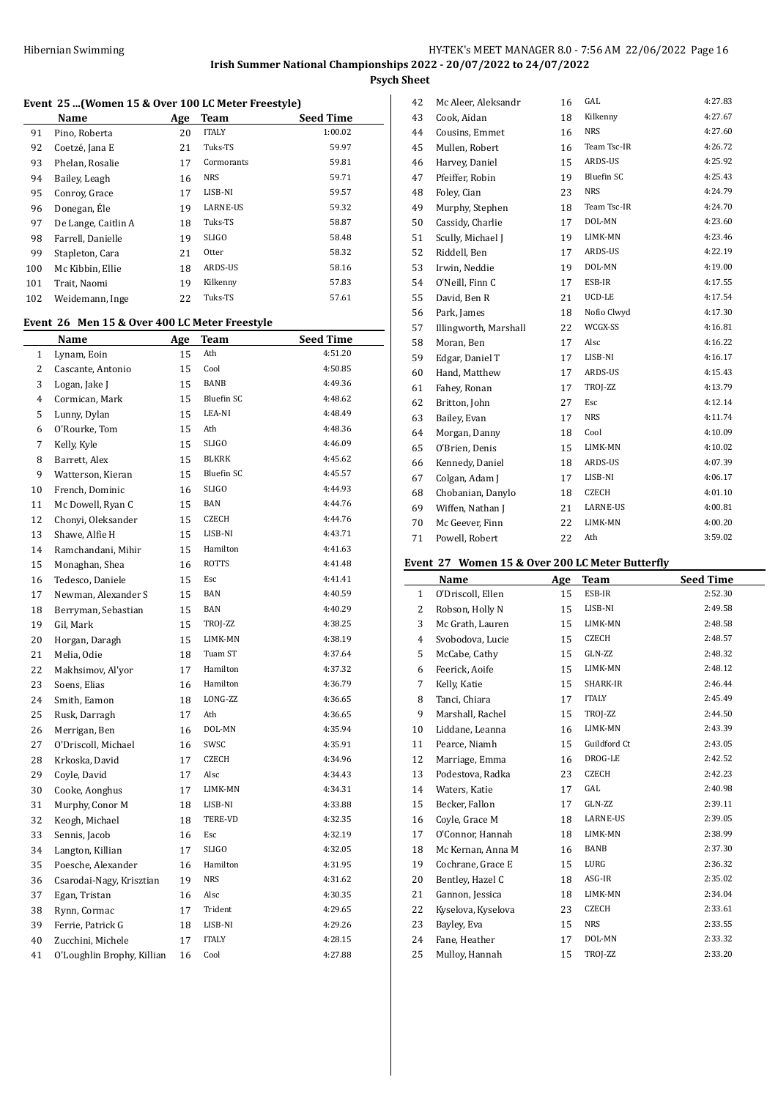# **Event 25 ...(Women 15 & Over 100 LC Meter Freestyle)**

|     | Name                | Age | <b>Team</b>     | <b>Seed Time</b> |
|-----|---------------------|-----|-----------------|------------------|
| 91  | Pino, Roberta       | 20  | <b>ITALY</b>    | 1:00.02          |
| 92  | Coetzé, Jana E      | 21  | Tuks-TS         | 59.97            |
| 93  | Phelan, Rosalie     | 17  | Cormorants      | 59.81            |
| 94  | Bailey, Leagh       | 16  | <b>NRS</b>      | 59.71            |
| 95  | Conroy, Grace       | 17  | LISB-NI         | 59.57            |
| 96  | Donegan, Éle        | 19  | <b>LARNE-US</b> | 59.32            |
| 97  | De Lange, Caitlin A | 18  | Tuks-TS         | 58.87            |
| 98  | Farrell, Danielle   | 19  | <b>SLIGO</b>    | 58.48            |
| 99  | Stapleton, Cara     | 21  | Otter           | 58.32            |
| 100 | Mc Kibbin, Ellie    | 18  | ARDS-US         | 58.16            |
| 101 | Trait, Naomi        | 19  | Kilkenny        | 57.83            |
| 102 | Weidemann, Inge     | 22  | Tuks-TS         | 57.61            |
|     |                     |     |                 |                  |

### **Event 26 Men 15 & Over 400 LC Meter Freestyle**

|                | <u>Name</u>                | <u>Age</u> | <b>Team</b>       | <b>Seed Time</b> |
|----------------|----------------------------|------------|-------------------|------------------|
| 1              | Lynam, Eoin                | 15         | Ath               | 4:51.20          |
| 2              | Cascante, Antonio          | 15         | Cool              | 4:50.85          |
| 3              | Logan, Jake J              | 15         | <b>BANB</b>       | 4:49.36          |
| $\overline{4}$ | Cormican, Mark             | 15         | <b>Bluefin SC</b> | 4:48.62          |
| 5              | Lunny, Dylan               | 15         | LEA-NI            | 4:48.49          |
| 6              | O'Rourke, Tom              | 15         | Ath               | 4:48.36          |
| 7              | Kelly, Kyle                | 15         | <b>SLIGO</b>      | 4:46.09          |
| 8              | Barrett, Alex              | 15         | <b>BLKRK</b>      | 4:45.62          |
| 9              | Watterson, Kieran          | 15         | <b>Bluefin SC</b> | 4:45.57          |
| 10             | French, Dominic            | 16         | <b>SLIGO</b>      | 4:44.93          |
| 11             | Mc Dowell, Ryan C          | 15         | <b>BAN</b>        | 4:44.76          |
| 12             | Chonyi, Oleksander         | 15         | CZECH             | 4:44.76          |
| 13             | Shawe, Alfie H             | 15         | LISB-NI           | 4:43.71          |
| 14             | Ramchandani, Mihir         | 15         | Hamilton          | 4:41.63          |
| 15             | Monaghan, Shea             | 16         | <b>ROTTS</b>      | 4:41.48          |
| 16             | Tedesco, Daniele           | 15         | Esc               | 4:41.41          |
| 17             | Newman, Alexander S        | 15         | <b>BAN</b>        | 4:40.59          |
| 18             | Berryman, Sebastian        | 15         | <b>BAN</b>        | 4:40.29          |
| 19             | Gil, Mark                  | 15         | TROJ-ZZ           | 4:38.25          |
| 20             | Horgan, Daragh             | 15         | LIMK-MN           | 4:38.19          |
| 21             | Melia, Odie                | 18         | Tuam ST           | 4:37.64          |
| 22             | Makhsimov, Al'yor          | 17         | Hamilton          | 4:37.32          |
| 23             | Soens, Elias               | 16         | Hamilton          | 4:36.79          |
| 24             | Smith, Eamon               | 18         | LONG-ZZ           | 4:36.65          |
| 25             | Rusk, Darragh              | 17         | Ath               | 4:36.65          |
| 26             | Merrigan, Ben              | 16         | DOL-MN            | 4:35.94          |
| 27             | O'Driscoll, Michael        | 16         | SWSC              | 4:35.91          |
| 28             | Krkoska, David             | 17         | <b>CZECH</b>      | 4:34.96          |
| 29             | Coyle, David               | 17         | Alsc              | 4:34.43          |
| 30             | Cooke, Aonghus             | 17         | LIMK-MN           | 4:34.31          |
| 31             | Murphy, Conor M            | 18         | LISB-NI           | 4:33.88          |
| 32             | Keogh, Michael             | 18         | TERE-VD           | 4:32.35          |
| 33             | Sennis, Jacob              | 16         | Esc               | 4:32.19          |
| 34             | Langton, Killian           | 17         | <b>SLIGO</b>      | 4:32.05          |
| 35             | Poesche, Alexander         | 16         | Hamilton          | 4:31.95          |
| 36             | Csarodai-Nagy, Krisztian   | 19         | <b>NRS</b>        | 4:31.62          |
| 37             | Egan, Tristan              | 16         | Alsc              | 4:30.35          |
| 38             | Rynn, Cormac               | 17         | Trident           | 4:29.65          |
| 39             | Ferrie, Patrick G          | 18         | LISB-NI           | 4:29.26          |
| 40             | Zucchini, Michele          | 17         | <b>ITALY</b>      | 4:28.15          |
| 41             | O'Loughlin Brophy, Killian | 16         | Cool              | 4:27.88          |

| 42 | Mc Aleer, Aleksandr   | 16 | GAL          | 4:27.83 |
|----|-----------------------|----|--------------|---------|
| 43 | Cook, Aidan           | 18 | Kilkenny     | 4:27.67 |
| 44 | Cousins, Emmet        | 16 | <b>NRS</b>   | 4:27.60 |
| 45 | Mullen, Robert        | 16 | Team Tsc-IR  | 4:26.72 |
| 46 | Harvey, Daniel        | 15 | ARDS-US      | 4:25.92 |
| 47 | Pfeiffer, Robin       | 19 | Bluefin SC   | 4:25.43 |
| 48 | Foley, Cian           | 23 | <b>NRS</b>   | 4:24.79 |
| 49 | Murphy, Stephen       | 18 | Team Tsc-IR  | 4:24.70 |
| 50 | Cassidy, Charlie      | 17 | DOL-MN       | 4:23.60 |
| 51 | Scully, Michael J     | 19 | LIMK-MN      | 4:23.46 |
| 52 | Riddell, Ben          | 17 | ARDS-US      | 4:22.19 |
| 53 | Irwin, Neddie         | 19 | DOL-MN       | 4:19.00 |
| 54 | O'Neill, Finn C       | 17 | ESB-IR       | 4:17.55 |
| 55 | David, Ben R          | 21 | UCD-LE       | 4:17.54 |
| 56 | Park, James           | 18 | Nofio Clwyd  | 4:17.30 |
| 57 | Illingworth, Marshall | 22 | WCGX-SS      | 4:16.81 |
| 58 | Moran, Ben            | 17 | Alsc         | 4:16.22 |
| 59 | Edgar, Daniel T       | 17 | LISB-NI      | 4:16.17 |
| 60 | Hand, Matthew         | 17 | ARDS-US      | 4:15.43 |
| 61 | Fahey, Ronan          | 17 | TROJ-ZZ      | 4:13.79 |
| 62 | Britton, John         | 27 | Esc          | 4:12.14 |
| 63 | Bailey, Evan          | 17 | <b>NRS</b>   | 4:11.74 |
| 64 | Morgan, Danny         | 18 | Cool         | 4:10.09 |
| 65 | O'Brien, Denis        | 15 | LIMK-MN      | 4:10.02 |
| 66 | Kennedy, Daniel       | 18 | ARDS-US      | 4:07.39 |
| 67 | Colgan, Adam J        | 17 | LISB-NI      | 4:06.17 |
| 68 | Chobanian, Danylo     | 18 | <b>CZECH</b> | 4:01.10 |
| 69 | Wiffen, Nathan J      | 21 | LARNE-US     | 4:00.81 |
| 70 | Mc Geever, Finn       | 22 | LIMK-MN      | 4:00.20 |
| 71 | Powell, Robert        | 22 | Ath          | 3:59.02 |

# **Event 27 Women 15 & Over 200 LC Meter Butterfly**

|              | Name               | Age | Team         | <b>Seed Time</b> |
|--------------|--------------------|-----|--------------|------------------|
| $\mathbf{1}$ | O'Driscoll, Ellen  | 15  | ESB-IR       | 2:52.30          |
| 2            | Robson, Holly N    | 15  | LISB-NI      | 2:49.58          |
| 3            | Mc Grath, Lauren   | 15  | LIMK-MN      | 2:48.58          |
| 4            | Svobodova, Lucie   | 15  | CZECH        | 2:48.57          |
| 5            | McCabe, Cathy      | 15  | GLN-ZZ       | 2:48.32          |
| 6            | Feerick, Aoife     | 15  | LIMK-MN      | 2:48.12          |
| 7            | Kelly, Katie       | 15  | SHARK-IR     | 2:46.44          |
| 8            | Tanci, Chiara      | 17  | <b>ITALY</b> | 2:45.49          |
| 9            | Marshall, Rachel   | 15  | TROJ-ZZ      | 2:44.50          |
| 10           | Liddane, Leanna    | 16  | LIMK-MN      | 2:43.39          |
| 11           | Pearce, Niamh      | 15  | Guildford Ct | 2:43.05          |
| 12           | Marriage, Emma     | 16  | DROG-LE      | 2:42.52          |
| 13           | Podestova, Radka   | 23  | <b>CZECH</b> | 2:42.23          |
| 14           | Waters, Katie      | 17  | GAL          | 2:40.98          |
| 15           | Becker, Fallon     | 17  | GLN-ZZ       | 2:39.11          |
| 16           | Coyle, Grace M     | 18  | LARNE-US     | 2:39.05          |
| 17           | O'Connor, Hannah   | 18  | LIMK-MN      | 2:38.99          |
| 18           | Mc Kernan, Anna M  | 16  | BANB         | 2:37.30          |
| 19           | Cochrane, Grace E  | 15  | LURG         | 2:36.32          |
| 20           | Bentley, Hazel C   | 18  | ASG-IR       | 2:35.02          |
| 21           | Gannon, Jessica    | 18  | LIMK-MN      | 2:34.04          |
| 22           | Kyselova, Kyselova | 23  | <b>CZECH</b> | 2:33.61          |
| 23           | Bayley, Eva        | 15  | <b>NRS</b>   | 2:33.55          |
| 24           | Fane, Heather      | 17  | DOL-MN       | 2:33.32          |
| 25           | Mulloy, Hannah     | 15  | TROJ-ZZ      | 2:33.20          |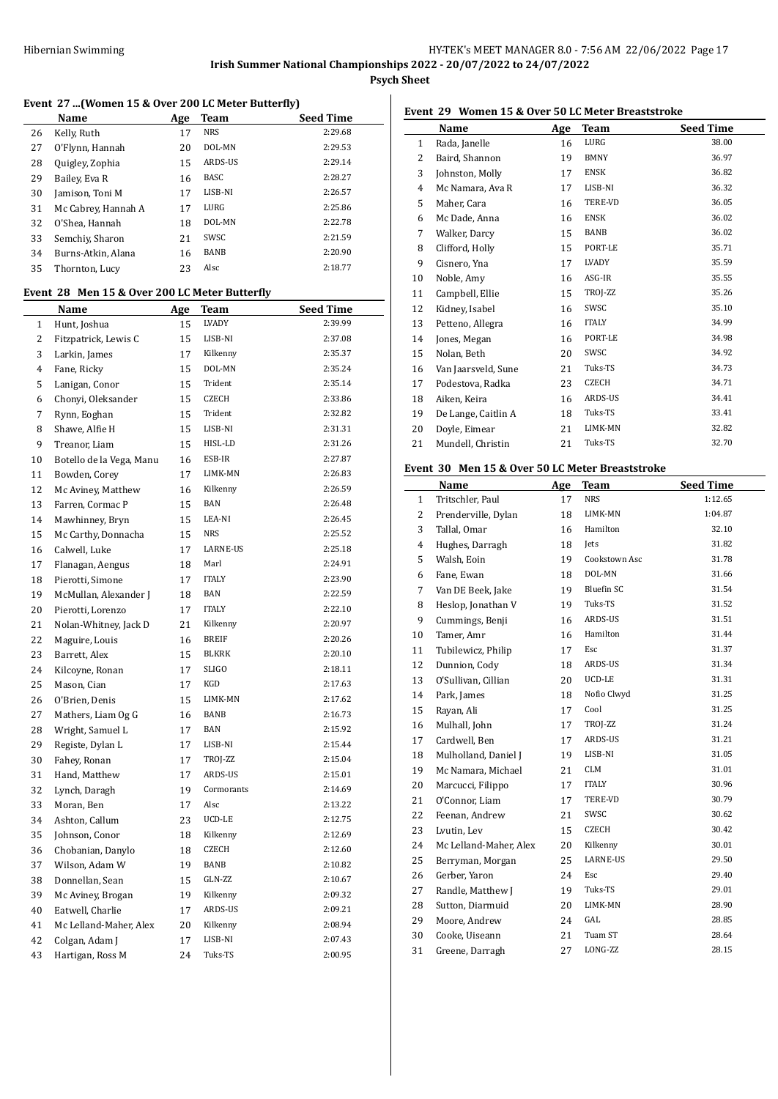# **Event 27 ...(Women 15 & Over 200 LC Meter Butterfly)**

|    | Name                | Age | Team           | <b>Seed Time</b> |
|----|---------------------|-----|----------------|------------------|
| 26 | Kelly, Ruth         | 17  | <b>NRS</b>     | 2:29.68          |
| 27 | O'Flynn, Hannah     | 20  | DOL-MN         | 2:29.53          |
| 28 | Quigley, Zophia     | 15  | <b>ARDS-US</b> | 2:29.14          |
| 29 | Bailey, Eva R       | 16  | <b>BASC</b>    | 2:28.27          |
| 30 | Jamison, Toni M     | 17  | LISB-NI        | 2:26.57          |
| 31 | Mc Cabrey, Hannah A | 17  | LURG           | 2:25.86          |
| 32 | O'Shea, Hannah      | 18  | DOL-MN         | 2:22.78          |
| 33 | Semchiy, Sharon     | 21  | SWSC           | 2:21.59          |
| 34 | Burns-Atkin, Alana  | 16  | <b>BANB</b>    | 2:20.90          |
| 35 | Thornton, Lucy      | 23  | Alsc           | 2:18.77          |

# **Event 28 Men 15 & Over 200 LC Meter Butterfly**

|              | <b>Name</b>              | <u>Age</u> | Team         | <b>Seed Time</b> |
|--------------|--------------------------|------------|--------------|------------------|
| $\mathbf{1}$ | Hunt, Joshua             | 15         | LVADY        | 2:39.99          |
| 2            | Fitzpatrick, Lewis C     | 15         | LISB-NI      | 2:37.08          |
| 3            | Larkin, James            | 17         | Kilkenny     | 2:35.37          |
| 4            | Fane, Ricky              | 15         | DOL-MN       | 2:35.24          |
| 5            | Lanigan, Conor           | 15         | Trident      | 2:35.14          |
| 6            | Chonyi, Oleksander       | 15         | <b>CZECH</b> | 2:33.86          |
| 7            | Rynn, Eoghan             | 15         | Trident      | 2:32.82          |
| 8            | Shawe, Alfie H           | 15         | LISB-NI      | 2:31.31          |
| 9            | Treanor, Liam            | 15         | HISL-LD      | 2:31.26          |
| 10           | Botello de la Vega, Manu | 16         | ESB-IR       | 2:27.87          |
| 11           | Bowden, Corey            | 17         | LIMK-MN      | 2:26.83          |
| 12           | Mc Aviney, Matthew       | 16         | Kilkenny     | 2:26.59          |
| 13           | Farren, Cormac P         | 15         | <b>BAN</b>   | 2:26.48          |
| 14           | Mawhinney, Bryn          | 15         | LEA-NI       | 2:26.45          |
| 15           | Mc Carthy, Donnacha      | 15         | <b>NRS</b>   | 2:25.52          |
| 16           | Calwell, Luke            | 17         | LARNE-US     | 2:25.18          |
| 17           | Flanagan, Aengus         | 18         | Marl         | 2:24.91          |
| 18           | Pierotti, Simone         | 17         | <b>ITALY</b> | 2:23.90          |
| 19           | McMullan, Alexander J    | 18         | BAN          | 2:22.59          |
| 20           | Pierotti, Lorenzo        | 17         | <b>ITALY</b> | 2:22.10          |
| 21           | Nolan-Whitney, Jack D    | 21         | Kilkenny     | 2:20.97          |
| 22           | Maguire, Louis           | 16         | <b>BREIF</b> | 2:20.26          |
| 23           | Barrett, Alex            | 15         | BLKRK        | 2:20.10          |
| 24           | Kilcoyne, Ronan          | 17         | <b>SLIGO</b> | 2:18.11          |
| 25           | Mason, Cian              | 17         | KGD          | 2:17.63          |
| 26           | O'Brien, Denis           | 15         | LIMK-MN      | 2:17.62          |
| 27           | Mathers, Liam Og G       | 16         | BANB         | 2:16.73          |
| 28           | Wright, Samuel L         | 17         | BAN          | 2:15.92          |
| 29           | Registe, Dylan L         | 17         | LISB-NI      | 2:15.44          |
| 30           | Fahey, Ronan             | 17         | TROJ-ZZ      | 2:15.04          |
| 31           | Hand, Matthew            | 17         | ARDS-US      | 2:15.01          |
| 32           | Lynch, Daragh            | 19         | Cormorants   | 2:14.69          |
| 33           | Moran, Ben               | 17         | Alsc         | 2:13.22          |
| 34           | Ashton, Callum           | 23         | UCD-LE       | 2:12.75          |
| 35           | Johnson, Conor           | 18         | Kilkenny     | 2:12.69          |
| 36           | Chobanian, Danylo        | 18         | CZECH        | 2:12.60          |
| 37           | Wilson, Adam W           | 19         | BANB         | 2:10.82          |
| 38           | Donnellan, Sean          | 15         | GLN-ZZ       | 2:10.67          |
| 39           | Mc Aviney, Brogan        | 19         | Kilkenny     | 2:09.32          |
| 40           | Eatwell, Charlie         | 17         | ARDS-US      | 2:09.21          |
| 41           | Mc Lelland-Maher, Alex   | 20         | Kilkenny     | 2:08.94          |
| 42           | Colgan, Adam J           | 17         | LISB-NI      | 2:07.43          |
| 43           | Hartigan, Ross M         | 24         | Tuks-TS      | 2:00.95          |

# **Event 29 Women 15 & Over 50 LC Meter Breaststroke**

|              | Name                | Age | <b>Team</b>    | <b>Seed Time</b> |
|--------------|---------------------|-----|----------------|------------------|
| $\mathbf{1}$ | Rada, Janelle       | 16  | LURG           | 38.00            |
| 2            | Baird, Shannon      | 19  | <b>BMNY</b>    | 36.97            |
| 3            | Johnston, Molly     | 17  | <b>ENSK</b>    | 36.82            |
| 4            | Mc Namara, Ava R    | 17  | LISB-NI        | 36.32            |
| 5            | Maher, Cara         | 16  | <b>TERE-VD</b> | 36.05            |
| 6            | Mc Dade, Anna       | 16  | <b>ENSK</b>    | 36.02            |
| 7            | Walker, Darcy       | 15  | BANB           | 36.02            |
| 8            | Clifford, Holly     | 15  | PORT-LE        | 35.71            |
| 9            | Cisnero, Yna        | 17  | LVADY          | 35.59            |
| 10           | Noble, Amy          | 16  | ASG-IR         | 35.55            |
| 11           | Campbell, Ellie     | 15  | TROJ-ZZ        | 35.26            |
| 12           | Kidney, Isabel      | 16  | SWSC           | 35.10            |
| 13           | Petteno, Allegra    | 16  | <b>ITALY</b>   | 34.99            |
| 14           | Jones, Megan        | 16  | PORT-LE        | 34.98            |
| 15           | Nolan, Beth         | 20  | SWSC           | 34.92            |
| 16           | Van Jaarsveld, Sune | 21  | Tuks-TS        | 34.73            |
| 17           | Podestova, Radka    | 23  | <b>CZECH</b>   | 34.71            |
| 18           | Aiken, Keira        | 16  | ARDS-US        | 34.41            |
| 19           | De Lange, Caitlin A | 18  | Tuks-TS        | 33.41            |
| 20           | Doyle, Eimear       | 21  | LIMK-MN        | 32.82            |
| 21           | Mundell, Christin   | 21  | Tuks-TS        | 32.70            |
|              |                     |     |                |                  |

#### **Event 30 Men 15 & Over 50 LC Meter Breaststroke**

|                | Name                   | Age | Team              | <b>Seed Time</b> |
|----------------|------------------------|-----|-------------------|------------------|
| 1              | Tritschler, Paul       | 17  | <b>NRS</b>        | 1:12.65          |
| 2              | Prenderville, Dylan    | 18  | LIMK-MN           | 1:04.87          |
| 3              | Tallal, Omar           | 16  | Hamilton          | 32.10            |
| $\overline{4}$ | Hughes, Darragh        | 18  | <b>Jets</b>       | 31.82            |
| 5              | Walsh, Eoin            | 19  | Cookstown Asc     | 31.78            |
| 6              | Fane, Ewan             | 18  | DOL-MN            | 31.66            |
| 7              | Van DE Beek, Jake      | 19  | <b>Bluefin SC</b> | 31.54            |
| 8              | Heslop, Jonathan V     | 19  | Tuks-TS           | 31.52            |
| 9              | Cummings, Benji        | 16  | ARDS-US           | 31.51            |
| 10             | Tamer, Amr             | 16  | Hamilton          | 31.44            |
| 11             | Tubilewicz, Philip     | 17  | Esc               | 31.37            |
| 12             | Dunnion, Cody          | 18  | ARDS-US           | 31.34            |
| 13             | O'Sullivan, Cillian    | 20  | UCD-LE            | 31.31            |
| 14             | Park, James            | 18  | Nofio Clwyd       | 31.25            |
| 15             | Rayan, Ali             | 17  | Cool              | 31.25            |
| 16             | Mulhall, John          | 17  | TROJ-ZZ           | 31.24            |
| 17             | Cardwell, Ben          | 17  | ARDS-US           | 31.21            |
| 18             | Mulholland, Daniel J   | 19  | LISB-NI           | 31.05            |
| 19             | Mc Namara, Michael     | 21  | <b>CLM</b>        | 31.01            |
| 20             | Marcucci, Filippo      | 17  | <b>ITALY</b>      | 30.96            |
| 21             | O'Connor, Liam         | 17  | TERE-VD           | 30.79            |
| 22             | Feenan, Andrew         | 21  | SWSC              | 30.62            |
| 23             | Lvutin, Lev            | 15  | <b>CZECH</b>      | 30.42            |
| 24             | Mc Lelland-Maher, Alex | 20  | Kilkenny          | 30.01            |
| 25             | Berryman, Morgan       | 25  | LARNE-US          | 29.50            |
| 26             | Gerber, Yaron          | 24  | Esc               | 29.40            |
| 27             | Randle, Matthew J      | 19  | Tuks-TS           | 29.01            |
| 28             | Sutton, Diarmuid       | 20  | LIMK-MN           | 28.90            |
| 29             | Moore, Andrew          | 24  | GAL               | 28.85            |
| 30             | Cooke, Uiseann         | 21  | Tuam ST           | 28.64            |
| 31             | Greene, Darragh        | 27  | LONG-ZZ           | 28.15            |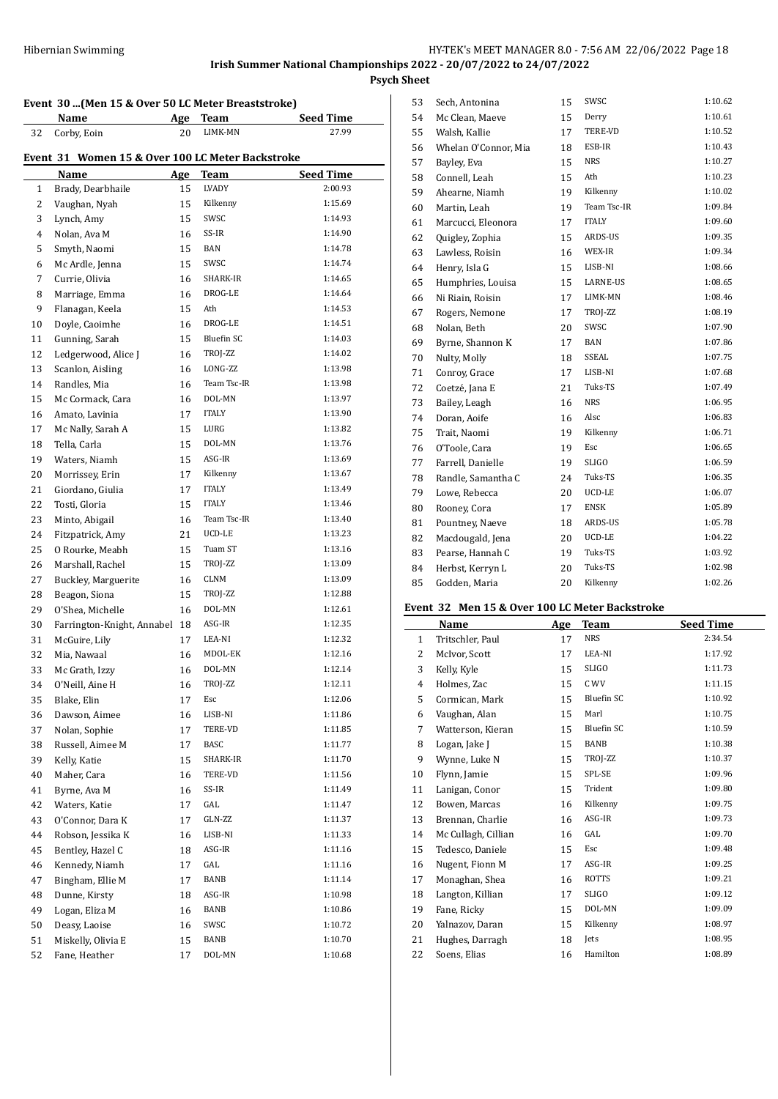**Psych Sheet**

# **Event 30 ...(Men 15 & Over 50 LC Meter Breaststroke)**

|    | Name                                             | <u>Age</u> | Team              | <b>Seed Time</b> |
|----|--------------------------------------------------|------------|-------------------|------------------|
| 32 | Corby, Eoin                                      | 20         | LIMK-MN           | 27.99            |
|    | Event 31 Women 15 & Over 100 LC Meter Backstroke |            |                   |                  |
|    | Name                                             | <u>Age</u> | Team              | <b>Seed Time</b> |
| 1  | Brady, Dearbhaile                                | 15         | LVADY             | 2:00.93          |
| 2  | Vaughan, Nyah                                    | 15         | Kilkenny          | 1:15.69          |
| 3  | Lynch, Amy                                       | 15         | SWSC              | 1:14.93          |
| 4  | Nolan, Ava M                                     | 16         | SS-IR             | 1:14.90          |
| 5  | Smyth, Naomi                                     | 15         | <b>BAN</b>        | 1:14.78          |
| 6  | Mc Ardle, Jenna                                  | 15         | SWSC              | 1:14.74          |
| 7  | Currie, Olivia                                   | 16         | SHARK-IR          | 1:14.65          |
| 8  | Marriage, Emma                                   | 16         | DROG-LE           | 1:14.64          |
| 9  | Flanagan, Keela                                  | 15         | Ath               | 1:14.53          |
| 10 | Doyle, Caoimhe                                   | 16         | DROG-LE           | 1:14.51          |
| 11 | Gunning, Sarah                                   | 15         | <b>Bluefin SC</b> | 1:14.03          |
| 12 | Ledgerwood, Alice J                              | 16         | TROJ-ZZ           | 1:14.02          |
| 13 | Scanlon, Aisling                                 | 16         | LONG-ZZ           | 1:13.98          |
| 14 | Randles, Mia                                     | 16         | Team Tsc-IR       | 1:13.98          |
| 15 | Mc Cormack, Cara                                 | 16         | DOL-MN            | 1:13.97          |
| 16 | Amato, Lavinia                                   | 17         | <b>ITALY</b>      | 1:13.90          |
| 17 | Mc Nally, Sarah A                                | 15         | LURG              | 1:13.82          |
| 18 | Tella, Carla                                     | 15         | DOL-MN            | 1:13.76          |
| 19 | Waters, Niamh                                    | 15         | ASG-IR            | 1:13.69          |
| 20 | Morrissey, Erin                                  | 17         | Kilkenny          | 1:13.67          |
| 21 | Giordano, Giulia                                 | 17         | <b>ITALY</b>      | 1:13.49          |
| 22 | Tosti, Gloria                                    | 15         | <b>ITALY</b>      | 1:13.46          |
| 23 | Minto, Abigail                                   | 16         | Team Tsc-IR       | 1:13.40          |
| 24 | Fitzpatrick, Amy                                 | 21         | UCD-LE            | 1:13.23          |
| 25 | 0 Rourke, Meabh                                  | 15         | Tuam ST           | 1:13.16          |
| 26 | Marshall, Rachel                                 | 15         | TROJ-ZZ           | 1:13.09          |
| 27 | Buckley, Marguerite                              | 16         | <b>CLNM</b>       | 1:13.09          |
| 28 | Beagon, Siona                                    | 15         | TROJ-ZZ           | 1:12.88          |
| 29 | O'Shea, Michelle                                 | 16         | DOL-MN            | 1:12.61          |
| 30 | Farrington-Knight, Annabel                       | 18         | ASG-IR            | 1:12.35          |
| 31 | McGuire, Lily                                    | 17         | LEA-NI            | 1:12.32          |
| 32 | Mia, Nawaal                                      | 16         | MDOL-EK           | 1:12.16          |
| 33 | Mc Grath, Izzy                                   | 16         | DOL-MN            | 1:12.14          |
| 34 | O'Neill, Aine H                                  | 16         | TROJ-ZZ           | 1:12.11          |
| 35 | Blake, Elin                                      | 17         | Esc               | 1:12.06          |
| 36 | Dawson, Aimee                                    | 16         | LISB-NI           | 1:11.86          |
| 37 | Nolan, Sophie                                    | 17         | TERE-VD           | 1:11.85          |
| 38 | Russell, Aimee M                                 | 17         | BASC              | 1:11.77          |
| 39 | Kelly, Katie                                     | 15         | SHARK-IR          | 1:11.70          |
| 40 | Maher, Cara                                      | 16         | TERE-VD           | 1:11.56          |
| 41 | Byrne, Ava M                                     | 16         | SS-IR             | 1:11.49          |
| 42 | Waters, Katie                                    | 17         | GAL               | 1:11.47          |
| 43 | O'Connor, Dara K                                 | 17         | GLN-ZZ            | 1:11.37          |
| 44 | Robson, Jessika K                                | 16         | LISB-NI           | 1:11.33          |
| 45 | Bentley, Hazel C                                 | 18         | ASG-IR            | 1:11.16          |
| 46 | Kennedy, Niamh                                   | 17         | GAL               | 1:11.16          |
| 47 | Bingham, Ellie M                                 | 17         | BANB              | 1:11.14          |
| 48 | Dunne, Kirsty                                    | 18         | ASG-IR            | 1:10.98          |
| 49 | Logan, Eliza M                                   | 16         | BANB              | 1:10.86          |
| 50 | Deasy, Laoise                                    | 16         | SWSC              | 1:10.72          |
| 51 | Miskelly, Olivia E                               | 15         | BANB              | 1:10.70          |
| 52 | Fane, Heather                                    | 17         | DOL-MN            | 1:10.68          |
|    |                                                  |            |                   |                  |

| 53 | Sech, Antonina       | 15 | SWSC         | 1:10.62 |
|----|----------------------|----|--------------|---------|
| 54 | Mc Clean, Maeve      | 15 | Derry        | 1:10.61 |
| 55 | Walsh, Kallie        | 17 | TERE-VD      | 1:10.52 |
| 56 | Whelan O'Connor, Mia | 18 | ESB-IR       | 1:10.43 |
| 57 | Bayley, Eva          | 15 | <b>NRS</b>   | 1:10.27 |
| 58 | Connell, Leah        | 15 | Ath          | 1:10.23 |
| 59 | Ahearne, Niamh       | 19 | Kilkenny     | 1:10.02 |
| 60 | Martin, Leah         | 19 | Team Tsc-IR  | 1:09.84 |
| 61 | Marcucci, Eleonora   | 17 | <b>ITALY</b> | 1:09.60 |
| 62 | Quigley, Zophia      | 15 | ARDS-US      | 1:09.35 |
| 63 | Lawless, Roisin      | 16 | WEX-IR       | 1:09.34 |
| 64 | Henry, Isla G        | 15 | LISB-NI      | 1:08.66 |
| 65 | Humphries, Louisa    | 15 | LARNE-US     | 1:08.65 |
| 66 | Ni Riain, Roisin     | 17 | LIMK-MN      | 1:08.46 |
| 67 | Rogers, Nemone       | 17 | TROJ-ZZ      | 1:08.19 |
| 68 | Nolan, Beth          | 20 | SWSC         | 1:07.90 |
| 69 | Byrne, Shannon K     | 17 | BAN          | 1:07.86 |
| 70 | Nulty, Molly         | 18 | SSEAL        | 1:07.75 |
| 71 | Conroy, Grace        | 17 | LISB-NI      | 1:07.68 |
| 72 | Coetzé, Jana E       | 21 | Tuks-TS      | 1:07.49 |
| 73 | Bailey, Leagh        | 16 | <b>NRS</b>   | 1:06.95 |
| 74 | Doran, Aoife         | 16 | Alsc         | 1:06.83 |
| 75 | Trait, Naomi         | 19 | Kilkenny     | 1:06.71 |
| 76 | O'Toole, Cara        | 19 | Esc          | 1:06.65 |
| 77 | Farrell, Danielle    | 19 | <b>SLIGO</b> | 1:06.59 |
| 78 | Randle, Samantha C   | 24 | Tuks-TS      | 1:06.35 |
| 79 | Lowe, Rebecca        | 20 | UCD-LE       | 1:06.07 |
| 80 | Rooney, Cora         | 17 | <b>ENSK</b>  | 1:05.89 |
| 81 | Pountney, Naeve      | 18 | ARDS-US      | 1:05.78 |
| 82 | Macdougald, Jena     | 20 | UCD-LE       | 1:04.22 |
| 83 | Pearse, Hannah C     | 19 | Tuks-TS      | 1:03.92 |
| 84 | Herbst, Kerryn L     | 20 | Tuks-TS      | 1:02.98 |
| 85 | Godden, Maria        | 20 | Kilkenny     | 1:02.26 |
|    |                      |    |              |         |

#### **Event 32 Men 15 & Over 100 LC Meter Backstroke**

|              | Name                | <b>Age</b> | Team              | <b>Seed Time</b> |
|--------------|---------------------|------------|-------------------|------------------|
| $\mathbf{1}$ | Tritschler, Paul    | 17         | <b>NRS</b>        | 2:34.54          |
| 2            | McIvor, Scott       | 17         | LEA-NI            | 1:17.92          |
| 3            | Kelly, Kyle         | 15         | <b>SLIGO</b>      | 1:11.73          |
| 4            | Holmes, Zac         | 15         | C WV              | 1:11.15          |
| 5            | Cormican, Mark      | 15         | <b>Bluefin SC</b> | 1:10.92          |
| 6            | Vaughan, Alan       | 15         | Marl              | 1:10.75          |
| 7            | Watterson, Kieran   | 15         | Bluefin SC        | 1:10.59          |
| 8            | Logan, Jake J       | 15         | BANB              | 1:10.38          |
| 9            | Wynne, Luke N       | 15         | TROJ-ZZ           | 1:10.37          |
| 10           | Flynn, Jamie        | 15         | SPL-SE            | 1:09.96          |
| 11           | Lanigan, Conor      | 15         | Trident           | 1:09.80          |
| 12           | Bowen, Marcas       | 16         | Kilkenny          | 1:09.75          |
| 13           | Brennan, Charlie    | 16         | ASG-IR            | 1:09.73          |
| 14           | Mc Cullagh, Cillian | 16         | GAL               | 1:09.70          |
| 15           | Tedesco, Daniele    | 15         | Esc               | 1:09.48          |
| 16           | Nugent, Fionn M     | 17         | ASG-IR            | 1:09.25          |
| 17           | Monaghan, Shea      | 16         | <b>ROTTS</b>      | 1:09.21          |
| 18           | Langton, Killian    | 17         | <b>SLIGO</b>      | 1:09.12          |
| 19           | Fane, Ricky         | 15         | DOL-MN            | 1:09.09          |
| 20           | Yalnazov, Daran     | 15         | Kilkenny          | 1:08.97          |
| 21           | Hughes, Darragh     | 18         | <b>Jets</b>       | 1:08.95          |
| 22           | Soens, Elias        | 16         | Hamilton          | 1:08.89          |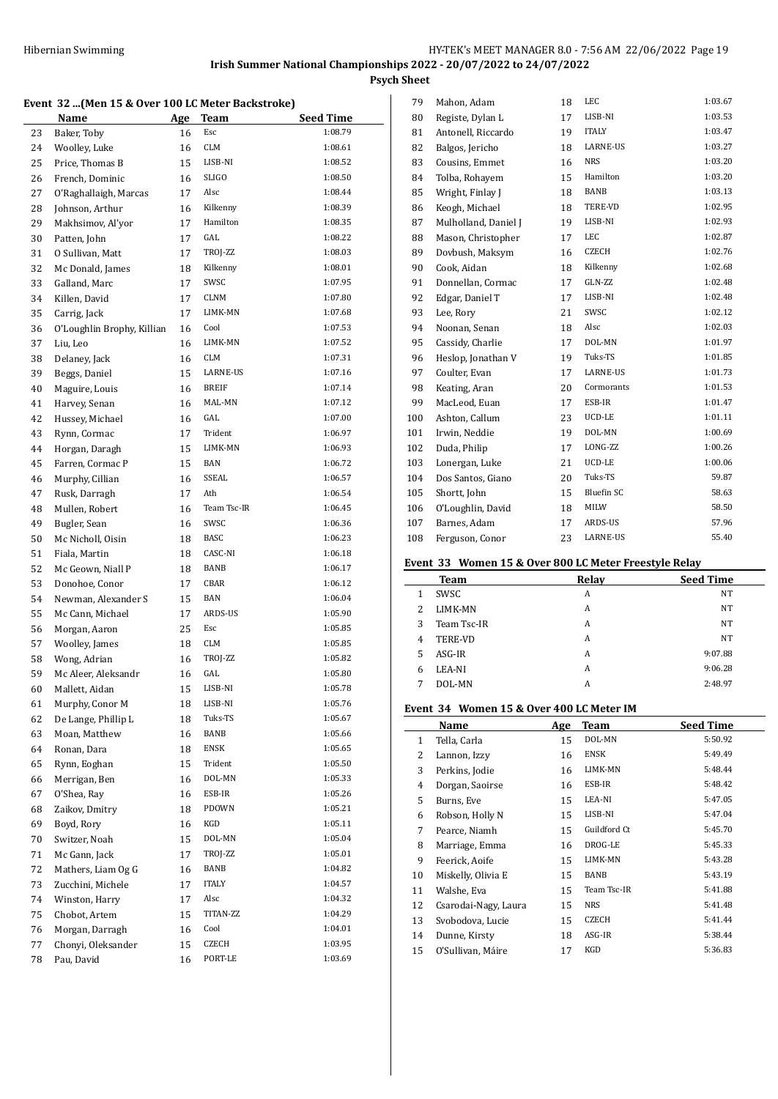**Event 32 ...(Men 15 & Over 100 LC Meter Backstroke)**

|    | Name                       | Age | <b>Team</b>  | <b>Seed Time</b> |
|----|----------------------------|-----|--------------|------------------|
| 23 | Baker, Toby                | 16  | Esc          | 1:08.79          |
| 24 | Woolley, Luke              | 16  | <b>CLM</b>   | 1:08.61          |
| 25 | Price, Thomas B            | 15  | LISB-NI      | 1:08.52          |
| 26 | French, Dominic            | 16  | SLIGO        | 1:08.50          |
| 27 | O'Raghallaigh, Marcas      | 17  | Alsc         | 1:08.44          |
| 28 | Johnson, Arthur            | 16  | Kilkenny     | 1:08.39          |
| 29 | Makhsimov, Al'yor          | 17  | Hamilton     | 1:08.35          |
| 30 | Patten, John               | 17  | GAL          | 1:08.22          |
| 31 | 0 Sullivan, Matt           | 17  | TROJ-ZZ      | 1:08.03          |
| 32 | Mc Donald, James           | 18  | Kilkenny     | 1:08.01          |
| 33 | Galland, Marc              | 17  | SWSC         | 1:07.95          |
| 34 | Killen, David              | 17  | <b>CLNM</b>  | 1:07.80          |
| 35 | Carrig, Jack               | 17  | LIMK-MN      | 1:07.68          |
| 36 | O'Loughlin Brophy, Killian | 16  | Cool         | 1:07.53          |
| 37 | Liu, Leo                   | 16  | LIMK-MN      | 1:07.52          |
| 38 | Delaney, Jack              | 16  | <b>CLM</b>   | 1:07.31          |
| 39 | Beggs, Daniel              | 15  | LARNE-US     | 1:07.16          |
| 40 | Maguire, Louis             | 16  | <b>BREIF</b> | 1:07.14          |
| 41 | Harvey, Senan              | 16  | MAL-MN       | 1:07.12          |
| 42 | Hussey, Michael            | 16  | GAL          | 1:07.00          |
| 43 | Rynn, Cormac               | 17  | Trident      | 1:06.97          |
| 44 | Horgan, Daragh             | 15  | LIMK-MN      | 1:06.93          |
| 45 | Farren, Cormac P           | 15  | BAN          | 1:06.72          |
| 46 | Murphy, Cillian            | 16  | <b>SSEAL</b> | 1:06.57          |
| 47 | Rusk, Darragh              | 17  | Ath          | 1:06.54          |
| 48 | Mullen, Robert             | 16  | Team Tsc-IR  | 1:06.45          |
| 49 | Bugler, Sean               | 16  | SWSC         | 1:06.36          |
| 50 | Mc Nicholl, Oisin          | 18  | BASC         | 1:06.23          |
| 51 | Fiala, Martin              | 18  | CASC-NI      | 1:06.18          |
| 52 | Mc Geown, Niall P          | 18  | BANB         | 1:06.17          |
| 53 | Donohoe, Conor             | 17  | CBAR         | 1:06.12          |
| 54 | Newman, Alexander S        | 15  | BAN          | 1:06.04          |
| 55 | Mc Cann, Michael           | 17  | ARDS-US      | 1:05.90          |
| 56 | Morgan, Aaron              | 25  | Esc          | 1:05.85          |
| 57 | Woolley, James             | 18  | <b>CLM</b>   | 1:05.85          |
| 58 | Wong, Adrian               | 16  | TROJ-ZZ      | 1:05.82          |
| 59 | Mc Aleer, Aleksandr        | 16  | GAL          | 1:05.80          |
| 60 | Mallett, Aidan             | 15  | LISB-NI      | 1:05.78          |
| 61 | Murphy, Conor M            | 18  | LISB-NI      | 1:05.76          |
| 62 | De Lange, Phillip L        | 18  | Tuks-TS      | 1:05.67          |
| 63 | Moan, Matthew              | 16  | BANB         | 1:05.66          |
| 64 | Ronan, Dara                | 18  | <b>ENSK</b>  | 1:05.65          |
| 65 | Rynn, Eoghan               | 15  | Trident      | 1:05.50          |
| 66 | Merrigan, Ben              | 16  | DOL-MN       | 1:05.33          |
| 67 | O'Shea, Ray                | 16  | ESB-IR       | 1:05.26          |
| 68 | Zaikov, Dmitry             | 18  | PDOWN        | 1:05.21          |
| 69 | Boyd, Rory                 | 16  | KGD          | 1:05.11          |
| 70 | Switzer, Noah              | 15  | DOL-MN       | 1:05.04          |
| 71 | Mc Gann, Jack              | 17  | TROJ-ZZ      | 1:05.01          |
| 72 | Mathers, Liam Og G         | 16  | BANB         | 1:04.82          |
| 73 | Zucchini, Michele          | 17  | <b>ITALY</b> | 1:04.57          |
| 74 | Winston, Harry             | 17  | Alsc         | 1:04.32          |
| 75 | Chobot, Artem              | 15  | TITAN-ZZ     | 1:04.29          |
| 76 | Morgan, Darragh            | 16  | Cool         | 1:04.01          |
| 77 | Chonyi, Oleksander         | 15  | CZECH        | 1:03.95          |
| 78 | Pau, David                 | 16  | PORT-LE      | 1:03.69          |

| 79  | Mahon, Adam          | 18 | LEC             | 1:03.67 |
|-----|----------------------|----|-----------------|---------|
| 80  | Registe, Dylan L     | 17 | LISB-NI         | 1:03.53 |
| 81  | Antonell, Riccardo   | 19 | <b>ITALY</b>    | 1:03.47 |
| 82  | Balgos, Jericho      | 18 | <b>LARNE-US</b> | 1:03.27 |
| 83  | Cousins, Emmet       | 16 | <b>NRS</b>      | 1:03.20 |
| 84  | Tolba, Rohayem       | 15 | Hamilton        | 1:03.20 |
| 85  | Wright, Finlay J     | 18 | BANB            | 1:03.13 |
| 86  | Keogh, Michael       | 18 | TERE-VD         | 1:02.95 |
| 87  | Mulholland, Daniel J | 19 | LISB-NI         | 1:02.93 |
| 88  | Mason, Christopher   | 17 | LEC             | 1:02.87 |
| 89  | Dovbush, Maksym      | 16 | <b>CZECH</b>    | 1:02.76 |
| 90  | Cook, Aidan          | 18 | Kilkenny        | 1:02.68 |
| 91  | Donnellan, Cormac    | 17 | GLN-ZZ          | 1:02.48 |
| 92  | Edgar, Daniel T      | 17 | LISB-NI         | 1:02.48 |
| 93  | Lee, Rory            | 21 | SWSC            | 1:02.12 |
| 94  | Noonan, Senan        | 18 | Alsc            | 1:02.03 |
| 95  | Cassidy, Charlie     | 17 | DOL-MN          | 1:01.97 |
| 96  | Heslop, Jonathan V   | 19 | Tuks-TS         | 1:01.85 |
| 97  | Coulter, Evan        | 17 | LARNE-US        | 1:01.73 |
| 98  | Keating, Aran        | 20 | Cormorants      | 1:01.53 |
| 99  | MacLeod. Euan        | 17 | ESB-IR          | 1:01.47 |
| 100 | Ashton, Callum       | 23 | UCD-LE          | 1:01.11 |
| 101 | Irwin, Neddie        | 19 | DOL-MN          | 1:00.69 |
| 102 | Duda, Philip         | 17 | LONG-ZZ         | 1:00.26 |
| 103 | Lonergan, Luke       | 21 | UCD-LE          | 1:00.06 |
| 104 | Dos Santos, Giano    | 20 | Tuks-TS         | 59.87   |
| 105 | Shortt, John         | 15 | Bluefin SC      | 58.63   |
| 106 | O'Loughlin, David    | 18 | MILW            | 58.50   |
| 107 | Barnes, Adam         | 17 | ARDS-US         | 57.96   |
| 108 | Ferguson, Conor      | 23 | <b>LARNE-US</b> | 55.40   |
|     |                      |    |                 |         |

### **Event 33 Women 15 & Over 800 LC Meter Freestyle Relay**

|   | Team           | Relay | <b>Seed Time</b> |
|---|----------------|-------|------------------|
| 1 | SWSC           | A     | NT               |
| 2 | <b>LIMK-MN</b> | A     | NT               |
| 3 | Team Tsc-IR    | A     | NT               |
| 4 | <b>TERE-VD</b> | A     | NT               |
| 5 | ASG-IR         | A     | 9:07.88          |
| 6 | LEA-NI         | A     | 9:06.28          |
| 7 | DOL-MN         | A     | 2:48.97          |

# **Event 34 Women 15 & Over 400 LC Meter IM**

|              | етсие эт пописи то осотет тоо встиете им |     |              |                  |  |  |
|--------------|------------------------------------------|-----|--------------|------------------|--|--|
|              | Name                                     | Age | <b>Team</b>  | <b>Seed Time</b> |  |  |
| $\mathbf{1}$ | Tella, Carla                             | 15  | DOL-MN       | 5:50.92          |  |  |
| 2            | Lannon, Izzy                             | 16  | <b>ENSK</b>  | 5:49.49          |  |  |
| 3            | Perkins, Jodie                           | 16  | LIMK-MN      | 5:48.44          |  |  |
| 4            | Dorgan, Saoirse                          | 16  | ESB-IR       | 5:48.42          |  |  |
| 5            | Burns, Eve                               | 15  | LEA-NI       | 5:47.05          |  |  |
| 6            | Robson, Holly N                          | 15  | LISB-NI      | 5:47.04          |  |  |
| 7            | Pearce, Niamh                            | 15  | Guildford Ct | 5:45.70          |  |  |
| 8            | Marriage, Emma                           | 16  | DROG-LE      | 5:45.33          |  |  |
| 9            | Feerick, Aoife                           | 15  | LIMK-MN      | 5:43.28          |  |  |
| 10           | Miskelly, Olivia E                       | 15  | BANB         | 5:43.19          |  |  |
| 11           | Walshe, Eva                              | 15  | Team Tsc-IR  | 5:41.88          |  |  |
| 12           | Csarodai-Nagy, Laura                     | 15  | NRS          | 5:41.48          |  |  |
| 13           | Svobodova, Lucie                         | 15  | <b>CZECH</b> | 5:41.44          |  |  |
| 14           | Dunne, Kirsty                            | 18  | ASG-IR       | 5:38.44          |  |  |
| 15           | O'Sullivan, Máire                        | 17  | KGD          | 5:36.83          |  |  |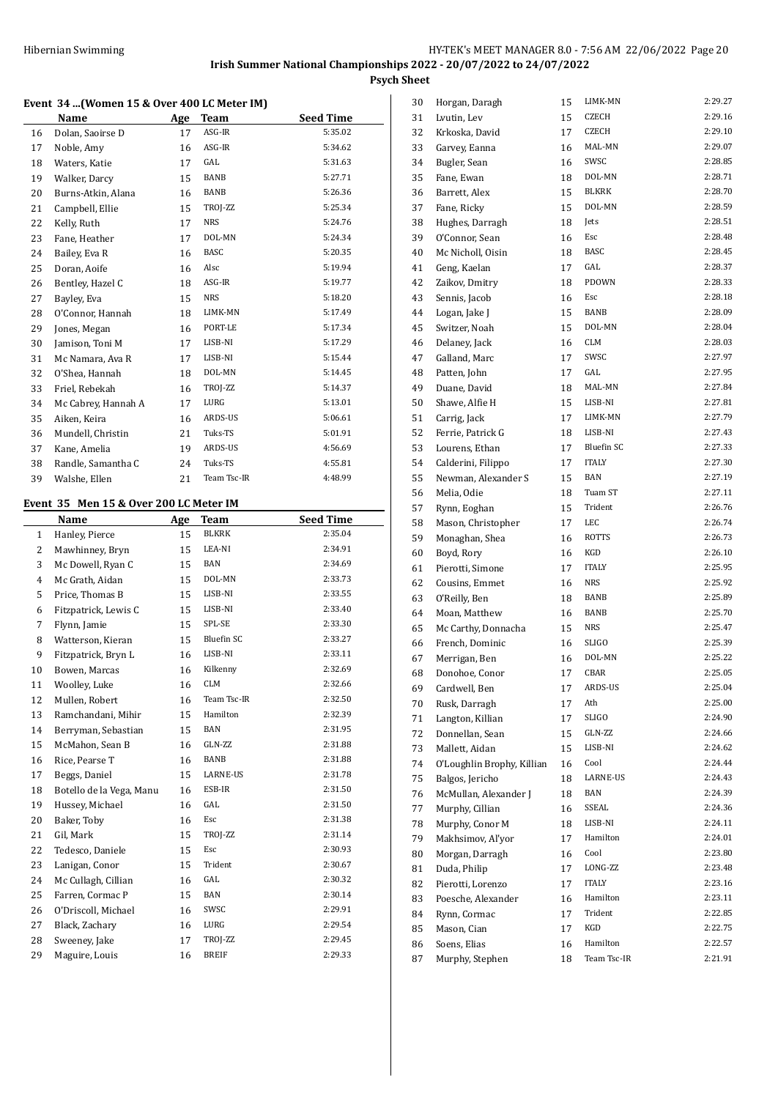#### **Event 34 ...(Women 15 & Over 400 LC Meter IM)**

|    | Name                                   | Age | <b>Team</b> | <b>Seed Time</b> |
|----|----------------------------------------|-----|-------------|------------------|
| 16 | Dolan, Saoirse D                       | 17  | ASG-IR      | 5:35.02          |
| 17 | Noble, Amy                             | 16  | ASG-IR      | 5:34.62          |
| 18 | Waters, Katie                          | 17  | GAL         | 5:31.63          |
| 19 | Walker, Darcy                          | 15  | BANB        | 5:27.71          |
| 20 | Burns-Atkin, Alana                     | 16  | <b>BANB</b> | 5:26.36          |
| 21 | Campbell, Ellie                        | 15  | TROJ-ZZ     | 5:25.34          |
| 22 | Kelly, Ruth                            | 17  | <b>NRS</b>  | 5:24.76          |
| 23 | Fane, Heather                          | 17  | DOL-MN      | 5:24.34          |
| 24 | Bailey, Eva R                          | 16  | <b>BASC</b> | 5:20.35          |
| 25 | Doran, Aoife                           | 16  | Alsc        | 5:19.94          |
| 26 | Bentley, Hazel C                       | 18  | ASG-IR      | 5:19.77          |
| 27 | Bayley, Eva                            | 15  | <b>NRS</b>  | 5:18.20          |
| 28 | O'Connor, Hannah                       | 18  | LIMK-MN     | 5:17.49          |
| 29 | Jones, Megan                           | 16  | PORT-LE     | 5:17.34          |
| 30 | Jamison, Toni M                        | 17  | LISB-NI     | 5:17.29          |
| 31 | Mc Namara, Ava R                       | 17  | LISB-NI     | 5:15.44          |
| 32 | O'Shea, Hannah                         | 18  | DOL-MN      | 5:14.45          |
| 33 | Friel, Rebekah                         | 16  | TROJ-ZZ     | 5:14.37          |
| 34 | Mc Cabrey, Hannah A                    | 17  | LURG        | 5:13.01          |
| 35 | Aiken, Keira                           | 16  | ARDS-US     | 5:06.61          |
| 36 | Mundell, Christin                      | 21  | Tuks-TS     | 5:01.91          |
| 37 | Kane, Amelia                           | 19  | ARDS-US     | 4:56.69          |
| 38 | Randle, Samantha C                     | 24  | Tuks-TS     | 4:55.81          |
| 39 | Walshe, Ellen                          | 21  | Team Tsc-IR | 4:48.99          |
|    | Event 35 Men 15 & Over 200 LC Meter IM |     |             |                  |
|    | Name                                   | Age | <b>Team</b> | <b>Seed Time</b> |

# 1 Hanley, Pierce 15 BLKRK 2:35.04 2 Mawhinney, Bryn 15 LEA-NI 2:34.91 3 Mc Dowell, Ryan C 15 BAN 2:34.69 Mc Grath, Aidan 15 DOL-MN 2:33.73 5 Price, Thomas B 15 LISB-NI 2:33.55 Fitzpatrick, Lewis C 15 LISB-NI 2:33.40 Flynn, Jamie 15 SPL-SE 2:33.30 8 Watterson, Kieran 15 Bluefin SC 2:33.27 9 Fitzpatrick, Bryn L 16 LISB-NI 2:33.11 Bowen, Marcas 16 Kilkenny 2:32.69 Woolley, Luke 16 CLM 2:32.66 12 Mullen, Robert 16 Team Tsc-IR 2:32.50 Ramchandani, Mihir 15 Hamilton 2:32.39 Berryman, Sebastian 15 BAN 2:31.95 15 McMahon, Sean B 16 GLN-ZZ 2:31.88 16 Rice, Pearse T 16 BANB 2:31.88 Beggs, Daniel 15 LARNE-US 2:31.78 Botello de la Vega, Manu 16 ESB-IR 2:31.50 Hussey, Michael 16 GAL 2:31.50 Baker, Toby 16 Esc 2:31.38 21 Gil, Mark 15 TROJ-ZZ 2:31.14 Tedesco, Daniele 15 Esc 2:30.93 23 Lanigan, Conor 15 Trident 2:30.67 24 Mc Cullagh, Cillian 16 GAL 2:30.32 Farren, Cormac P 15 BAN 2:30.14 O'Driscoll, Michael 16 SWSC 2:29.91 27 Black, Zachary 16 LURG 2:29.54 Sweeney, Jake 17 TROJ-ZZ 2:29.45 29 Maguire, Louis 16 BREIF 2:29.33

| 30 | Horgan, Daragh             | 15 | LIMK-MN           | 2:29.27 |
|----|----------------------------|----|-------------------|---------|
| 31 | Lvutin, Lev                | 15 | CZECH             | 2:29.16 |
| 32 | Krkoska, David             | 17 | CZECH             | 2:29.10 |
| 33 | Garvey, Eanna              | 16 | MAL-MN            | 2:29.07 |
| 34 | Bugler, Sean               | 16 | SWSC              | 2:28.85 |
| 35 | Fane, Ewan                 | 18 | DOL-MN            | 2:28.71 |
| 36 | Barrett, Alex              | 15 | <b>BLKRK</b>      | 2:28.70 |
| 37 | Fane, Ricky                | 15 | DOL-MN            | 2:28.59 |
| 38 | Hughes, Darragh            | 18 | Jets              | 2:28.51 |
| 39 | O'Connor, Sean             | 16 | Esc               | 2:28.48 |
| 40 | Mc Nicholl, Oisin          | 18 | <b>BASC</b>       | 2:28.45 |
| 41 | Geng, Kaelan               | 17 | GAL               | 2:28.37 |
| 42 | Zaikov, Dmitry             | 18 | PDOWN             | 2:28.33 |
| 43 | Sennis, Jacob              | 16 | Esc               | 2:28.18 |
| 44 | Logan, Jake J              | 15 | BANB              | 2:28.09 |
| 45 | Switzer, Noah              | 15 | DOL-MN            | 2:28.04 |
| 46 | Delaney, Jack              | 16 | CLM               | 2:28.03 |
| 47 | Galland, Marc              | 17 | SWSC              | 2:27.97 |
| 48 |                            | 17 | GAL               | 2:27.95 |
| 49 | Patten, John               |    | MAL-MN            | 2:27.84 |
|    | Duane, David               | 18 | LISB-NI           | 2:27.81 |
| 50 | Shawe, Alfie H             | 15 |                   | 2:27.79 |
| 51 | Carrig, Jack               | 17 | LIMK-MN           |         |
| 52 | Ferrie, Patrick G          | 18 | LISB-NI           | 2:27.43 |
| 53 | Lourens, Ethan             | 17 | <b>Bluefin SC</b> | 2:27.33 |
| 54 | Calderini, Filippo         | 17 | <b>ITALY</b>      | 2:27.30 |
| 55 | Newman, Alexander S        | 15 | <b>BAN</b>        | 2:27.19 |
| 56 | Melia, Odie                | 18 | Tuam ST           | 2:27.11 |
| 57 | Rynn, Eoghan               | 15 | Trident           | 2:26.76 |
| 58 | Mason, Christopher         | 17 | LEC               | 2:26.74 |
| 59 | Monaghan, Shea             | 16 | <b>ROTTS</b>      | 2:26.73 |
| 60 | Boyd, Rory                 | 16 | KGD               | 2:26.10 |
| 61 | Pierotti, Simone           | 17 | <b>ITALY</b>      | 2:25.95 |
| 62 | Cousins, Emmet             | 16 | <b>NRS</b>        | 2:25.92 |
| 63 | O'Reilly, Ben              | 18 | <b>BANB</b>       | 2:25.89 |
| 64 | Moan, Matthew              | 16 | BANB              | 2:25.70 |
| 65 | Mc Carthy, Donnacha        | 15 | <b>NRS</b>        | 2:25.47 |
| 66 | French, Dominic            | 16 | SLIGO             | 2:25.39 |
| 67 | Merrigan, Ben              | 16 | DOL-MN            | 2:25.22 |
| 68 | Donohoe, Conor             | 17 | CBAR              | 2:25.05 |
| 69 | Cardwell, Ben              | 17 | ARDS-US           | 2:25.04 |
| 70 | Rusk, Darragh              | 17 | Ath               | 2:25.00 |
| 71 | Langton, Killian           | 17 | <b>SLIGO</b>      | 2:24.90 |
| 72 | Donnellan, Sean            | 15 | GLN-ZZ            | 2:24.66 |
| 73 | Mallett, Aidan             | 15 | LISB-NI           | 2:24.62 |
| 74 | O'Loughlin Brophy, Killian | 16 | Cool              | 2:24.44 |
| 75 | Balgos, Jericho            | 18 | LARNE-US          | 2:24.43 |
| 76 | McMullan, Alexander J      | 18 | BAN               | 2:24.39 |
| 77 | Murphy, Cillian            | 16 | SSEAL             | 2:24.36 |
| 78 | Murphy, Conor M            | 18 | LISB-NI           | 2:24.11 |
| 79 | Makhsimov, Al'yor          | 17 | Hamilton          | 2:24.01 |
| 80 | Morgan, Darragh            | 16 | Cool              | 2:23.80 |
| 81 | Duda, Philip               | 17 | LONG-ZZ           | 2:23.48 |
| 82 | Pierotti, Lorenzo          | 17 | <b>ITALY</b>      | 2:23.16 |
| 83 | Poesche, Alexander         | 16 | Hamilton          | 2:23.11 |
| 84 | Rynn, Cormac               | 17 | Trident           | 2:22.85 |
| 85 | Mason, Cian                | 17 | KGD               | 2:22.75 |
| 86 | Soens, Elias               | 16 | Hamilton          | 2:22.57 |
| 87 | Murphy, Stephen            | 18 | Team Tsc-IR       | 2:21.91 |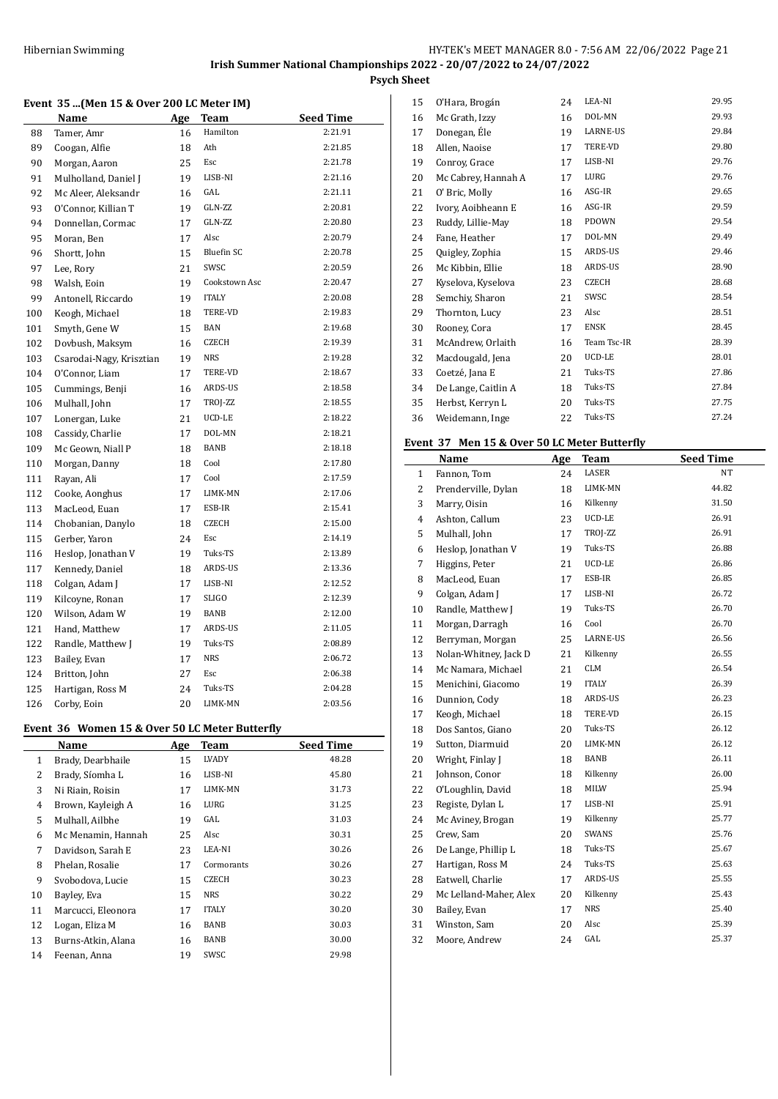## **Event 35 ...(Men 15 & Over 200 LC Meter IM)**

|     | Name                     | Age | Team              | <b>Seed Time</b> |
|-----|--------------------------|-----|-------------------|------------------|
| 88  | Tamer, Amr               | 16  | Hamilton          | 2:21.91          |
| 89  | Coogan, Alfie            | 18  | Ath               | 2:21.85          |
| 90  | Morgan, Aaron            | 25  | Esc               | 2:21.78          |
| 91  | Mulholland, Daniel J     | 19  | LISB-NI           | 2:21.16          |
| 92  | Mc Aleer, Aleksandr      | 16  | GAL               | 2:21.11          |
| 93  | O'Connor, Killian T      | 19  | GLN-ZZ            | 2:20.81          |
| 94  | Donnellan, Cormac        | 17  | GLN-ZZ            | 2:20.80          |
| 95  | Moran, Ben               | 17  | Alsc              | 2:20.79          |
| 96  | Shortt, John             | 15  | <b>Bluefin SC</b> | 2:20.78          |
| 97  | Lee, Rory                | 21  | SWSC              | 2:20.59          |
| 98  | Walsh, Eoin              | 19  | Cookstown Asc     | 2:20.47          |
| 99  | Antonell, Riccardo       | 19  | <b>ITALY</b>      | 2:20.08          |
| 100 | Keogh, Michael           | 18  | TERE-VD           | 2:19.83          |
| 101 | Smyth, Gene W            | 15  | BAN               | 2:19.68          |
| 102 | Dovbush, Maksym          | 16  | <b>CZECH</b>      | 2:19.39          |
| 103 | Csarodai-Nagy, Krisztian | 19  | <b>NRS</b>        | 2:19.28          |
| 104 | O'Connor, Liam           | 17  | TERE-VD           | 2:18.67          |
| 105 | Cummings, Benji          | 16  | ARDS-US           | 2:18.58          |
| 106 | Mulhall, John            | 17  | TROJ-ZZ           | 2:18.55          |
| 107 | Lonergan, Luke           | 21  | UCD-LE            | 2:18.22          |
| 108 | Cassidy, Charlie         | 17  | DOL-MN            | 2:18.21          |
| 109 | Mc Geown, Niall P        | 18  | BANB              | 2:18.18          |
| 110 | Morgan, Danny            | 18  | Cool              | 2:17.80          |
| 111 | Rayan, Ali               | 17  | Cool              | 2:17.59          |
| 112 | Cooke, Aonghus           | 17  | LIMK-MN           | 2:17.06          |
| 113 | MacLeod, Euan            | 17  | ESB-IR            | 2:15.41          |
| 114 | Chobanian, Danylo        | 18  | <b>CZECH</b>      | 2:15.00          |
| 115 | Gerber, Yaron            | 24  | Esc               | 2:14.19          |
| 116 | Heslop, Jonathan V       | 19  | Tuks-TS           | 2:13.89          |
| 117 | Kennedy, Daniel          | 18  | ARDS-US           | 2:13.36          |
| 118 | Colgan, Adam J           | 17  | LISB-NI           | 2:12.52          |
| 119 | Kilcoyne, Ronan          | 17  | <b>SLIGO</b>      | 2:12.39          |
| 120 | Wilson, Adam W           | 19  | <b>BANB</b>       | 2:12.00          |
| 121 | Hand, Matthew            | 17  | ARDS-US           | 2:11.05          |
| 122 | Randle, Matthew J        | 19  | Tuks-TS           | 2:08.89          |
| 123 | Bailey, Evan             | 17  | <b>NRS</b>        | 2:06.72          |
| 124 | Britton, John            | 27  | Esc               | 2:06.38          |
| 125 | Hartigan, Ross M         | 24  | Tuks-TS           | 2:04.28          |
| 126 | Corby, Eoin              | 20  | LIMK-MN           | 2:03.56          |

# **Event 36 Women 15 & Over 50 LC Meter Butterfly**

|    | Name               | Age | <b>Team</b>  | <b>Seed Time</b> |
|----|--------------------|-----|--------------|------------------|
| 1  | Brady, Dearbhaile  | 15  | LVADY        | 48.28            |
| 2  | Brady, Síomha L    | 16  | LISB-NI      | 45.80            |
| 3  | Ni Riain, Roisin   | 17  | LIMK-MN      | 31.73            |
| 4  | Brown, Kayleigh A  | 16  | LURG         | 31.25            |
| 5  | Mulhall, Ailbhe    | 19  | GAL          | 31.03            |
| 6  | Mc Menamin, Hannah | 25  | Alsc         | 30.31            |
| 7  | Davidson, Sarah E  | 23  | LEA-NI       | 30.26            |
| 8  | Phelan, Rosalie    | 17  | Cormorants   | 30.26            |
| 9  | Svobodova, Lucie   | 15  | CZECH        | 30.23            |
| 10 | Bayley, Eva        | 15  | NRS          | 30.22            |
| 11 | Marcucci, Eleonora | 17  | <b>ITALY</b> | 30.20            |
| 12 | Logan, Eliza M     | 16  | BANB         | 30.03            |
| 13 | Burns-Atkin, Alana | 16  | BANB         | 30.00            |
| 14 | Feenan, Anna       | 19  | SWSC         | 29.98            |

| 15 | O'Hara, Brogán      | 24 | LEA-NI       | 29.95 |
|----|---------------------|----|--------------|-------|
| 16 | Mc Grath, Izzy      | 16 | DOL-MN       | 29.93 |
| 17 | Donegan, Éle        | 19 | LARNE-US     | 29.84 |
| 18 | Allen, Naoise       | 17 | TERE-VD      | 29.80 |
| 19 | Conroy, Grace       | 17 | LISB-NI      | 29.76 |
| 20 | Mc Cabrey, Hannah A | 17 | LURG         | 29.76 |
| 21 | O' Bric, Molly      | 16 | ASG-IR       | 29.65 |
| 22 | Ivory, Aoibheann E  | 16 | ASG-IR       | 29.59 |
| 23 | Ruddy, Lillie-May   | 18 | PDOWN        | 29.54 |
| 24 | Fane, Heather       | 17 | DOL-MN       | 29.49 |
| 25 | Quigley, Zophia     | 15 | ARDS-US      | 29.46 |
| 26 | Mc Kibbin, Ellie    | 18 | ARDS-US      | 28.90 |
| 27 | Kyselova, Kyselova  | 23 | <b>CZECH</b> | 28.68 |
| 28 | Semchiy, Sharon     | 21 | SWSC         | 28.54 |
| 29 | Thornton, Lucy      | 23 | Alsc         | 28.51 |
| 30 | Rooney, Cora        | 17 | <b>ENSK</b>  | 28.45 |
| 31 | McAndrew, Orlaith   | 16 | Team Tsc-IR  | 28.39 |
| 32 | Macdougald, Jena    | 20 | UCD-LE       | 28.01 |
| 33 | Coetzé, Jana E      | 21 | Tuks-TS      | 27.86 |
| 34 | De Lange, Caitlin A | 18 | Tuks-TS      | 27.84 |
| 35 | Herbst, Kerryn L    | 20 | Tuks-TS      | 27.75 |
| 36 | Weidemann, Inge     | 22 | Tuks-TS      | 27.24 |

# **Event 37 Men 15 & Over 50 LC Meter Butterfly**

|    | Name                   | Age | <b>Team</b>  | <b>Seed Time</b> |
|----|------------------------|-----|--------------|------------------|
| 1  | Fannon, Tom            | 24  | LASER        | NT               |
| 2  | Prenderville, Dylan    | 18  | LIMK-MN      | 44.82            |
| 3  | Marry, Oisin           | 16  | Kilkenny     | 31.50            |
| 4  | Ashton, Callum         | 23  | UCD-LE       | 26.91            |
| 5  | Mulhall, John          | 17  | TROJ-ZZ      | 26.91            |
| 6  | Heslop, Jonathan V     | 19  | Tuks-TS      | 26.88            |
| 7  | Higgins, Peter         | 21  | UCD-LE       | 26.86            |
| 8  | MacLeod, Euan          | 17  | ESB-IR       | 26.85            |
| 9  | Colgan, Adam J         | 17  | LISB-NI      | 26.72            |
| 10 | Randle, Matthew J      | 19  | Tuks-TS      | 26.70            |
| 11 | Morgan, Darragh        | 16  | Cool         | 26.70            |
| 12 | Berryman, Morgan       | 25  | LARNE-US     | 26.56            |
| 13 | Nolan-Whitney, Jack D  | 21  | Kilkenny     | 26.55            |
| 14 | Mc Namara, Michael     | 21  | <b>CLM</b>   | 26.54            |
| 15 | Menichini, Giacomo     | 19  | <b>ITALY</b> | 26.39            |
| 16 | Dunnion, Cody          | 18  | ARDS-US      | 26.23            |
| 17 | Keogh, Michael         | 18  | TERE-VD      | 26.15            |
| 18 | Dos Santos, Giano      | 20  | Tuks-TS      | 26.12            |
| 19 | Sutton, Diarmuid       | 20  | LIMK-MN      | 26.12            |
| 20 | Wright, Finlay J       | 18  | BANB         | 26.11            |
| 21 | Johnson, Conor         | 18  | Kilkenny     | 26.00            |
| 22 | O'Loughlin, David      | 18  | MILW         | 25.94            |
| 23 | Registe, Dylan L       | 17  | LISB-NI      | 25.91            |
| 24 | Mc Aviney, Brogan      | 19  | Kilkenny     | 25.77            |
| 25 | Crew, Sam              | 20  | SWANS        | 25.76            |
| 26 | De Lange, Phillip L    | 18  | Tuks-TS      | 25.67            |
| 27 | Hartigan, Ross M       | 24  | Tuks-TS      | 25.63            |
| 28 | Eatwell, Charlie       | 17  | ARDS-US      | 25.55            |
| 29 | Mc Lelland-Maher, Alex | 20  | Kilkenny     | 25.43            |
| 30 | Bailey, Evan           | 17  | <b>NRS</b>   | 25.40            |
| 31 | Winston, Sam           | 20  | Alsc         | 25.39            |
| 32 | Moore, Andrew          | 24  | GAL          | 25.37            |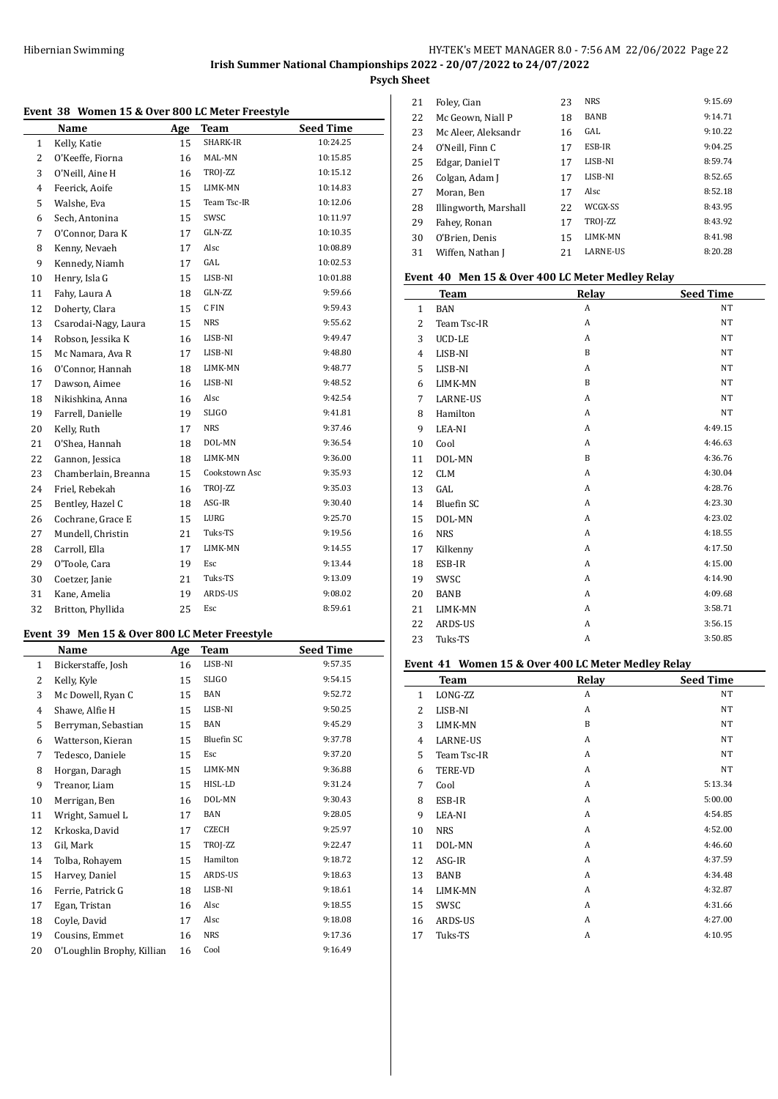## HY-TEK's MEET MANAGER 8.0 - 7:56 AM 22/06/2022 Page 22 **Irish Summer National Championships 2022 - 20/07/2022 to 24/07/2022 Psych Sheet**

# **Event 38 Women 15 & Over 800 LC Meter Freestyle**

| лень Эо | women 15 & Over 600 LC Meter Preestyle |     |               |                  |
|---------|----------------------------------------|-----|---------------|------------------|
|         | Name                                   | Age | Team          | <b>Seed Time</b> |
| 1       | Kelly, Katie                           | 15  | SHARK-IR      | 10:24.25         |
| 2       | O'Keeffe, Fiorna                       | 16  | MAL-MN        | 10:15.85         |
| 3       | O'Neill, Aine H                        | 16  | TROJ-ZZ       | 10:15.12         |
| 4       | Feerick, Aoife                         | 15  | LIMK-MN       | 10:14.83         |
| 5       | Walshe, Eva                            | 15  | Team Tsc-IR   | 10:12.06         |
| 6       | Sech, Antonina                         | 15  | SWSC          | 10:11.97         |
| 7       | O'Connor, Dara K                       | 17  | GLN-ZZ        | 10:10.35         |
| 8       | Kenny, Nevaeh                          | 17  | Alsc          | 10:08.89         |
| 9       | Kennedy, Niamh                         | 17  | GAL           | 10:02.53         |
| 10      | Henry, Isla G                          | 15  | LISB-NI       | 10:01.88         |
| 11      | Fahy, Laura A                          | 18  | GLN-ZZ        | 9:59.66          |
| 12      | Doherty, Clara                         | 15  | C FIN         | 9:59.43          |
| 13      | Csarodai-Nagy, Laura                   | 15  | <b>NRS</b>    | 9:55.62          |
| 14      | Robson, Jessika K                      | 16  | LISB-NI       | 9:49.47          |
| 15      | Mc Namara, Ava R                       | 17  | LISB-NI       | 9:48.80          |
| 16      | O'Connor, Hannah                       | 18  | LIMK-MN       | 9:48.77          |
| 17      | Dawson, Aimee                          | 16  | LISB-NI       | 9:48.52          |
| 18      | Nikishkina, Anna                       | 16  | Alsc          | 9:42.54          |
| 19      | Farrell, Danielle                      | 19  | <b>SLIGO</b>  | 9:41.81          |
| 20      | Kelly, Ruth                            | 17  | <b>NRS</b>    | 9:37.46          |
| 21      | O'Shea, Hannah                         | 18  | DOL-MN        | 9:36.54          |
| 22      | Gannon, Jessica                        | 18  | LIMK-MN       | 9:36.00          |
| 23      | Chamberlain, Breanna                   | 15  | Cookstown Asc | 9:35.93          |
| 24      | Friel, Rebekah                         | 16  | TROJ-ZZ       | 9:35.03          |
| 25      | Bentley, Hazel C                       | 18  | ASG-IR        | 9:30.40          |
| 26      | Cochrane, Grace E                      | 15  | LURG          | 9:25.70          |
| 27      | Mundell, Christin                      | 21  | Tuks-TS       | 9:19.56          |
| 28      | Carroll, Ella                          | 17  | LIMK-MN       | 9:14.55          |
| 29      | O'Toole, Cara                          | 19  | Esc           | 9:13.44          |
| 30      | Coetzer, Janie                         | 21  | Tuks-TS       | 9:13.09          |
| 31      | Kane, Amelia                           | 19  | ARDS-US       | 9:08.02          |
| 32      | Britton, Phyllida                      | 25  | Esc           | 8:59.61          |
|         |                                        |     |               |                  |

# **Event 39 Men 15 & Over 800 LC Meter Freestyle**

|                | Name                       | Age | <b>Team</b>       | <b>Seed Time</b> |
|----------------|----------------------------|-----|-------------------|------------------|
| 1              | Bickerstaffe, Josh         | 16  | LISB-NI           | 9:57.35          |
| $\overline{2}$ | Kelly, Kyle                | 15  | <b>SLIGO</b>      | 9:54.15          |
| 3              | Mc Dowell, Ryan C          | 15  | <b>BAN</b>        | 9:52.72          |
| $\overline{4}$ | Shawe, Alfie H             | 15  | LISB-NI           | 9:50.25          |
| 5              | Berryman, Sebastian        | 15  | <b>BAN</b>        | 9:45.29          |
| 6              | Watterson, Kieran          | 15  | <b>Bluefin SC</b> | 9:37.78          |
| 7              | Tedesco, Daniele           | 15  | Esc               | 9:37.20          |
| 8              | Horgan, Daragh             | 15  | LIMK-MN           | 9:36.88          |
| 9              | Treanor, Liam              | 15  | HISL-LD           | 9:31.24          |
| 10             | Merrigan, Ben              | 16  | DOL-MN            | 9:30.43          |
| 11             | Wright, Samuel L           | 17  | <b>BAN</b>        | 9:28.05          |
| 12             | Krkoska, David             | 17  | <b>CZECH</b>      | 9:25.97          |
| 13             | Gil, Mark                  | 15  | TROJ-ZZ           | 9:22.47          |
| 14             | Tolba, Rohayem             | 15  | Hamilton          | 9:18.72          |
| 15             | Harvey, Daniel             | 15  | ARDS-US           | 9:18.63          |
| 16             | Ferrie, Patrick G          | 18  | LISB-NI           | 9:18.61          |
| 17             | Egan, Tristan              | 16  | Alsc              | 9:18.55          |
| 18             | Coyle, David               | 17  | Alsc              | 9:18.08          |
| 19             | Cousins, Emmet             | 16  | <b>NRS</b>        | 9:17.36          |
| 20             | O'Loughlin Brophy, Killian | 16  | Cool              | 9:16.49          |

| 21 | Foley, Cian           | 23 | <b>NRS</b>      | 9:15.69 |
|----|-----------------------|----|-----------------|---------|
| 22 | Mc Geown, Niall P     | 18 | <b>BANB</b>     | 9:14.71 |
| 23 | Mc Aleer, Aleksandr   | 16 | GAL.            | 9:10.22 |
| 24 | O'Neill, Finn C       | 17 | ESB-IR          | 9:04.25 |
| 25 | Edgar, Daniel T       | 17 | LISB-NI         | 8:59.74 |
| 26 | Colgan, Adam J        | 17 | LISB-NI         | 8:52.65 |
| 27 | Moran, Ben            | 17 | Alsc            | 8:52.18 |
| 28 | Illingworth, Marshall | 22 | WCGX-SS         | 8:43.95 |
| 29 | Fahey, Ronan          | 17 | TROJ-ZZ         | 8:43.92 |
| 30 | O'Brien. Denis        | 15 | <b>LIMK-MN</b>  | 8:41.98 |
| 31 | Wiffen, Nathan J      | 21 | <b>LARNE-US</b> | 8:20.28 |
|    |                       |    |                 |         |

#### **Event 40 Men 15 & Over 400 LC Meter Medley Relay**

|              | <b>Team</b>       | Relay          | <b>Seed Time</b> |
|--------------|-------------------|----------------|------------------|
| $\mathbf{1}$ | <b>BAN</b>        | A              | <b>NT</b>        |
| 2            | Team Tsc-IR       | $\overline{A}$ | <b>NT</b>        |
| 3            | UCD-LE            | A              | <b>NT</b>        |
| 4            | LISB-NI           | B              | <b>NT</b>        |
| 5            | LISB-NI           | A              | NT               |
| 6            | LIMK-MN           | B              | <b>NT</b>        |
| 7            | <b>LARNE-US</b>   | A              | <b>NT</b>        |
| 8            | Hamilton          | A              | <b>NT</b>        |
| 9            | LEA-NI            | A              | 4:49.15          |
| 10           | Cool              | $\overline{A}$ | 4:46.63          |
| 11           | DOL-MN            | B              | 4:36.76          |
| 12           | <b>CLM</b>        | A              | 4:30.04          |
| 13           | GAL               | A              | 4:28.76          |
| 14           | <b>Bluefin SC</b> | A              | 4:23.30          |
| 15           | DOL-MN            | A              | 4:23.02          |
| 16           | <b>NRS</b>        | A              | 4:18.55          |
| 17           | Kilkenny          | A              | 4:17.50          |
| 18           | ESB-IR            | A              | 4:15.00          |
| 19           | SWSC              | A              | 4:14.90          |
| 20           | <b>BANB</b>       | $\overline{A}$ | 4.09.68          |
| 21           | LIMK-MN           | A              | 3:58.71          |
| 22           | <b>ARDS-US</b>    | A              | 3:56.15          |
| 23           | Tuks-TS           | A              | 3:50.85          |

#### **Event 41 Women 15 & Over 400 LC Meter Medley Relay**

|                |                |       | ◡                |
|----------------|----------------|-------|------------------|
|                | Team           | Relay | <b>Seed Time</b> |
| 1              | LONG-ZZ        | A     | NT               |
| 2              | LISB-NI        | A     | NT               |
| 3              | LIMK-MN        | B     | NT               |
| $\overline{4}$ | LARNE-US       | A     | NT               |
| 5              | Team Tsc-IR    | A     | NT               |
| 6              | <b>TERE-VD</b> | A     | NT               |
| 7              | Cool           | A     | 5:13.34          |
| 8              | ESB-IR         | A     | 5:00.00          |
| 9              | LEA-NI         | A     | 4:54.85          |
| 10             | <b>NRS</b>     | A     | 4:52.00          |
| 11             | DOL-MN         | A     | 4:46.60          |
| 12             | ASG-IR         | A     | 4:37.59          |
| 13             | <b>BANB</b>    | A     | 4:34.48          |
| 14             | LIMK-MN        | A     | 4:32.87          |
| 15             | SWSC           | A     | 4:31.66          |
| 16             | ARDS-US        | A     | 4:27.00          |
| 17             | Tuks-TS        | A     | 4:10.95          |
|                |                |       |                  |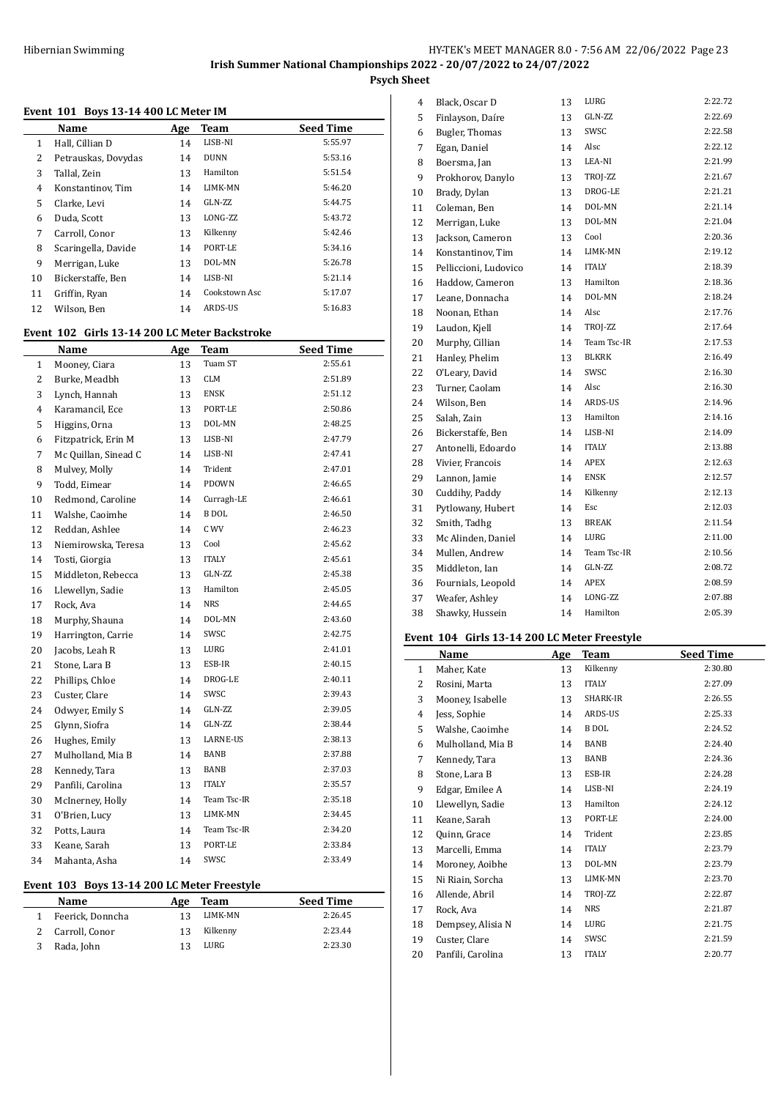### **Event 101 Boys 13-14 400 LC Meter IM**

|    | Name                | Age | Team          | <b>Seed Time</b> |
|----|---------------------|-----|---------------|------------------|
| 1  | Hall, Cillian D     | 14  | LISB-NI       | 5:55.97          |
| 2  | Petrauskas, Dovydas | 14  | <b>DUNN</b>   | 5:53.16          |
| 3  | Tallal, Zein        | 13  | Hamilton      | 5:51.54          |
| 4  | Konstantinov, Tim   | 14  | LIMK-MN       | 5:46.20          |
| 5  | Clarke, Levi        | 14  | GLN-ZZ        | 5:44.75          |
| 6  | Duda, Scott         | 13  | LONG-ZZ       | 5:43.72          |
| 7  | Carroll, Conor      | 13  | Kilkenny      | 5:42.46          |
| 8  | Scaringella, Davide | 14  | PORT-LE       | 5:34.16          |
| 9  | Merrigan, Luke      | 13  | DOL-MN        | 5:26.78          |
| 10 | Bickerstaffe, Ben   | 14  | LISB-NI       | 5:21.14          |
| 11 | Griffin, Ryan       | 14  | Cookstown Asc | 5:17.07          |
| 12 | Wilson, Ben         | 14  | ARDS-US       | 5:16.83          |
|    |                     |     |               |                  |

# **Event 102 Girls 13-14 200 LC Meter Backstroke**

|    | <b>Name</b>          | Age | <b>Team</b>  | <b>Seed Time</b> |
|----|----------------------|-----|--------------|------------------|
| 1  | Mooney, Ciara        | 13  | Tuam ST      | 2:55.61          |
| 2  | Burke, Meadbh        | 13  | <b>CLM</b>   | 2:51.89          |
| 3  | Lynch, Hannah        | 13  | <b>ENSK</b>  | 2:51.12          |
| 4  | Karamancil, Ece      | 13  | PORT-LE      | 2:50.86          |
| 5  | Higgins, Orna        | 13  | DOL-MN       | 2:48.25          |
| 6  | Fitzpatrick, Erin M  | 13  | LISB-NI      | 2:47.79          |
| 7  | Mc Quillan, Sinead C | 14  | LISB-NI      | 2:47.41          |
| 8  | Mulvey, Molly        | 14  | Trident      | 2:47.01          |
| 9  | Todd, Eimear         | 14  | PDOWN        | 2:46.65          |
| 10 | Redmond, Caroline    | 14  | Curragh-LE   | 2:46.61          |
| 11 | Walshe, Caoimhe      | 14  | <b>BDOL</b>  | 2:46.50          |
| 12 | Reddan, Ashlee       | 14  | C WV         | 2:46.23          |
| 13 | Niemirowska, Teresa  | 13  | Cool         | 2:45.62          |
| 14 | Tosti, Giorgia       | 13  | <b>ITALY</b> | 2:45.61          |
| 15 | Middleton, Rebecca   | 13  | GLN-ZZ       | 2:45.38          |
| 16 | Llewellyn, Sadie     | 13  | Hamilton     | 2:45.05          |
| 17 | Rock, Ava            | 14  | <b>NRS</b>   | 2:44.65          |
| 18 | Murphy, Shauna       | 14  | DOL-MN       | 2:43.60          |
| 19 | Harrington, Carrie   | 14  | SWSC         | 2:42.75          |
| 20 | Jacobs, Leah R       | 13  | LURG         | 2:41.01          |
| 21 | Stone, Lara B        | 13  | ESB-IR       | 2:40.15          |
| 22 | Phillips, Chloe      | 14  | DROG-LE      | 2:40.11          |
| 23 | Custer, Clare        | 14  | SWSC         | 2:39.43          |
| 24 | Odwyer, Emily S      | 14  | GLN-ZZ       | 2:39.05          |
| 25 | Glynn, Siofra        | 14  | GLN-ZZ       | 2:38.44          |
| 26 | Hughes, Emily        | 13  | LARNE-US     | 2:38.13          |
| 27 | Mulholland, Mia B    | 14  | BANB         | 2:37.88          |
| 28 | Kennedy, Tara        | 13  | BANB         | 2:37.03          |
| 29 | Panfili, Carolina    | 13  | <b>ITALY</b> | 2:35.57          |
| 30 | McInerney, Holly     | 14  | Team Tsc-IR  | 2:35.18          |
| 31 | O'Brien, Lucy        | 13  | LIMK-MN      | 2:34.45          |
| 32 | Potts, Laura         | 14  | Team Tsc-IR  | 2:34.20          |
| 33 | Keane, Sarah         | 13  | PORT-LE      | 2:33.84          |
| 34 | Mahanta, Asha        | 14  | SWSC         | 2:33.49          |

# **Event 103 Boys 13-14 200 LC Meter Freestyle**

| <b>Name</b>      | Age | Team     | <b>Seed Time</b> |
|------------------|-----|----------|------------------|
| Feerick, Donncha | 13  | LIMK-MN  | 2:26.45          |
| 2 Carroll, Conor | 13  | Kilkenny | 2:23.44          |
| Rada, John       | 13  | LURG     | 2:23.30          |

| 4  | Black, Oscar D        | 13 | LURG         | 2:22.72 |
|----|-----------------------|----|--------------|---------|
| 5  | Finlayson, Daíre      | 13 | GLN-ZZ       | 2:22.69 |
| 6  | Bugler, Thomas        | 13 | SWSC         | 2:22.58 |
| 7  | Egan, Daniel          | 14 | Alsc         | 2:22.12 |
| 8  | Boersma, Jan          | 13 | LEA-NI       | 2:21.99 |
| 9  | Prokhorov, Danylo     | 13 | TROJ-ZZ      | 2:21.67 |
| 10 | Brady, Dylan          | 13 | DROG-LE      | 2:21.21 |
| 11 | Coleman, Ben          | 14 | DOL-MN       | 2:21.14 |
| 12 | Merrigan, Luke        | 13 | DOL-MN       | 2:21.04 |
| 13 | Jackson, Cameron      | 13 | Cool         | 2:20.36 |
| 14 | Konstantinov, Tim     | 14 | LIMK-MN      | 2:19.12 |
| 15 | Pelliccioni, Ludovico | 14 | <b>ITALY</b> | 2:18.39 |
| 16 | Haddow, Cameron       | 13 | Hamilton     | 2:18.36 |
| 17 | Leane, Donnacha       | 14 | DOL-MN       | 2:18.24 |
| 18 | Noonan, Ethan         | 14 | Alsc         | 2:17.76 |
| 19 | Laudon, Kjell         | 14 | TROJ-ZZ      | 2:17.64 |
| 20 | Murphy, Cillian       | 14 | Team Tsc-IR  | 2:17.53 |
| 21 | Hanley, Phelim        | 13 | <b>BLKRK</b> | 2:16.49 |
| 22 | O'Leary, David        | 14 | SWSC         | 2:16.30 |
| 23 | Turner, Caolam        | 14 | Alsc         | 2:16.30 |
| 24 | Wilson, Ben           | 14 | ARDS-US      | 2:14.96 |
| 25 | Salah, Zain           | 13 | Hamilton     | 2:14.16 |
| 26 | Bickerstaffe, Ben     | 14 | LISB-NI      | 2:14.09 |
| 27 | Antonelli, Edoardo    | 14 | <b>ITALY</b> | 2:13.88 |
| 28 | Vivier, Francois      | 14 | APEX         | 2:12.63 |
| 29 | Lannon, Jamie         | 14 | <b>ENSK</b>  | 2:12.57 |
| 30 | Cuddihy, Paddy        | 14 | Kilkenny     | 2:12.13 |
| 31 | Pytlowany, Hubert     | 14 | Esc          | 2:12.03 |
| 32 | Smith, Tadhg          | 13 | <b>BREAK</b> | 2:11.54 |
| 33 | Mc Alinden, Daniel    | 14 | LURG         | 2:11.00 |
| 34 | Mullen, Andrew        | 14 | Team Tsc-IR  | 2:10.56 |
| 35 | Middleton, Ian        | 14 | GLN-ZZ       | 2:08.72 |
| 36 | Fournials, Leopold    | 14 | APEX         | 2:08.59 |
| 37 | Weafer, Ashley        | 14 | LONG-ZZ      | 2:07.88 |
| 38 | Shawky, Hussein       | 14 | Hamilton     | 2:05.39 |
|    |                       |    |              |         |

### **Event 104 Girls 13-14 200 LC Meter Freestyle**

|              | Name              | Age | Team         | <b>Seed Time</b> |
|--------------|-------------------|-----|--------------|------------------|
| $\mathbf{1}$ | Maher, Kate       | 13  | Kilkenny     | 2:30.80          |
| 2            | Rosini, Marta     | 13  | <b>ITALY</b> | 2:27.09          |
| 3            | Mooney, Isabelle  | 13  | SHARK-IR     | 2:26.55          |
| 4            | Jess, Sophie      | 14  | ARDS-US      | 2:25.33          |
| 5            | Walshe, Caoimhe   | 14  | <b>B</b> DOL | 2:24.52          |
| 6            | Mulholland, Mia B | 14  | BANB         | 2:24.40          |
| 7            | Kennedy, Tara     | 13  | BANB         | 2:24.36          |
| 8            | Stone, Lara B     | 13  | ESB-IR       | 2:24.28          |
| 9            | Edgar, Emilee A   | 14  | LISB-NI      | 2:24.19          |
| 10           | Llewellyn, Sadie  | 13  | Hamilton     | 2:24.12          |
| 11           | Keane, Sarah      | 13  | PORT-LE      | 2:24.00          |
| 12           | Quinn, Grace      | 14  | Trident      | 2:23.85          |
| 13           | Marcelli, Emma    | 14  | <b>ITALY</b> | 2:23.79          |
| 14           | Moroney, Aoibhe   | 13  | DOL-MN       | 2:23.79          |
| 15           | Ni Riain, Sorcha  | 13  | LIMK-MN      | 2:23.70          |
| 16           | Allende, Abril    | 14  | TROJ-ZZ      | 2:22.87          |
| 17           | Rock, Ava         | 14  | <b>NRS</b>   | 2:21.87          |
| 18           | Dempsey, Alisia N | 14  | LURG         | 2:21.75          |
| 19           | Custer, Clare     | 14  | SWSC         | 2:21.59          |
| 20           | Panfili, Carolina | 13  | <b>ITALY</b> | 2:20.77          |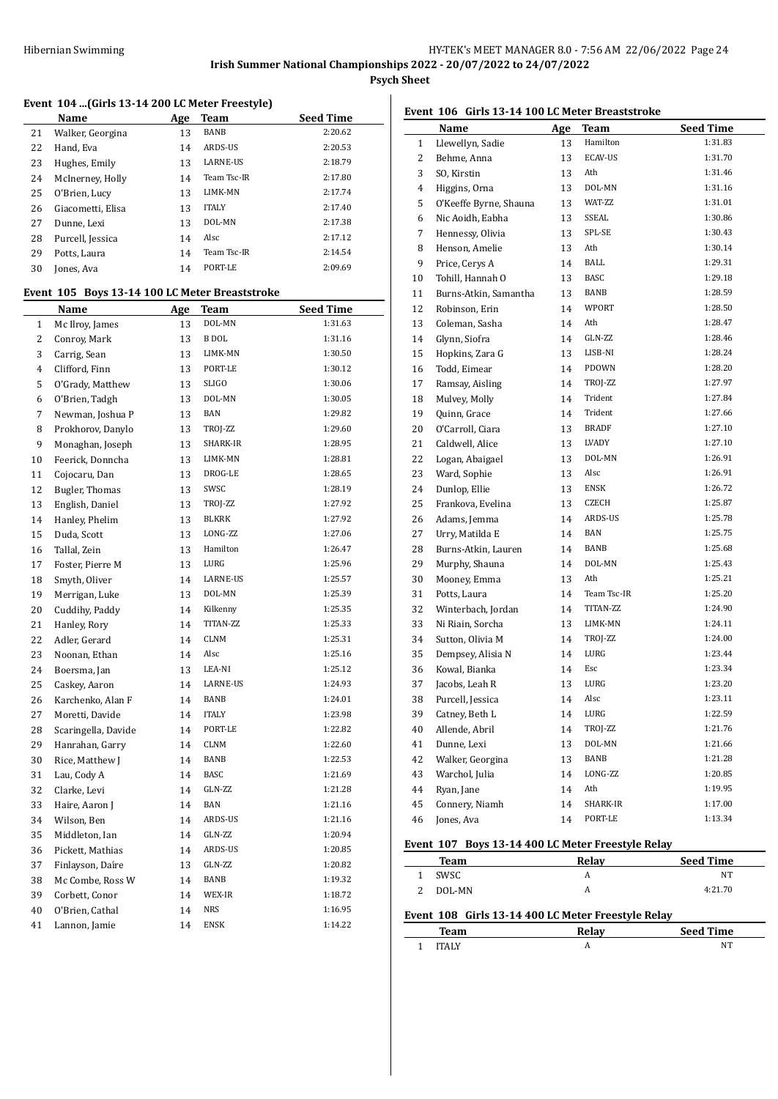#### **Event 104 ...(Girls 13-14 200 LC Meter Freestyle)**

|    | Name              | Age | Team            | <b>Seed Time</b> |
|----|-------------------|-----|-----------------|------------------|
| 21 | Walker, Georgina  | 13  | <b>BANB</b>     | 2:20.62          |
| 22 | Hand, Eva         | 14  | ARDS-US         | 2:20.53          |
| 23 | Hughes, Emily     | 13  | <b>LARNE-US</b> | 2:18.79          |
| 24 | McInerney, Holly  | 14  | Team Tsc-IR     | 2:17.80          |
| 25 | O'Brien, Lucy     | 13  | LIMK-MN         | 2:17.74          |
| 26 | Giacometti, Elisa | 13  | <b>ITALY</b>    | 2:17.40          |
| 27 | Dunne, Lexi       | 13  | DOL-MN          | 2:17.38          |
| 28 | Purcell, Jessica  | 14  | Alsc            | 2:17.12          |
| 29 | Potts, Laura      | 14  | Team Tsc-IR     | 2:14.54          |
| 30 | Jones, Ava        | 14  | PORT-LE         | 2:09.69          |

#### **Event 105 Boys 13-14 100 LC Meter Breaststroke**

|                | <u>Name</u>         | <u>Age</u> | <u>Team</u>     | <b>Seed Time</b> |
|----------------|---------------------|------------|-----------------|------------------|
| $\mathbf{1}$   | Mc Ilroy, James     | 13         | DOL-MN          | 1:31.63          |
| $\overline{2}$ | Conroy, Mark        | 13         | <b>B</b> DOL    | 1:31.16          |
| 3              | Carrig, Sean        | 13         | LIMK-MN         | 1:30.50          |
| 4              | Clifford, Finn      | 13         | PORT-LE         | 1:30.12          |
| 5              | O'Grady, Matthew    | 13         | <b>SLIGO</b>    | 1:30.06          |
| 6              | O'Brien, Tadgh      | 13         | DOL-MN          | 1:30.05          |
| 7              | Newman, Joshua P    | 13         | BAN             | 1:29.82          |
| 8              | Prokhorov, Danylo   | 13         | TROJ-ZZ         | 1:29.60          |
| 9              | Monaghan, Joseph    | 13         | SHARK-IR        | 1:28.95          |
| 10             | Feerick, Donncha    | 13         | LIMK-MN         | 1:28.81          |
| 11             | Cojocaru, Dan       | 13         | DROG-LE         | 1:28.65          |
| 12             | Bugler, Thomas      | 13         | SWSC            | 1:28.19          |
| 13             | English, Daniel     | 13         | TROJ-ZZ         | 1:27.92          |
| 14             | Hanley, Phelim      | 13         | <b>BLKRK</b>    | 1:27.92          |
| 15             | Duda, Scott         | 13         | LONG-ZZ         | 1:27.06          |
| 16             | Tallal, Zein        | 13         | Hamilton        | 1:26.47          |
| 17             | Foster, Pierre M    | 13         | LURG            | 1:25.96          |
| 18             | Smyth, Oliver       | 14         | <b>LARNE-US</b> | 1:25.57          |
| 19             | Merrigan, Luke      | 13         | DOL-MN          | 1:25.39          |
| 20             | Cuddihy, Paddy      | 14         | Kilkenny        | 1:25.35          |
| 21             | Hanley, Rory        | 14         | TITAN-ZZ        | 1:25.33          |
| 22             | Adler, Gerard       | 14         | <b>CLNM</b>     | 1:25.31          |
| 23             | Noonan, Ethan       | 14         | Alsc            | 1:25.16          |
| 24             | Boersma, Jan        | 13         | LEA-NI          | 1:25.12          |
| 25             | Caskey, Aaron       | 14         | <b>LARNE-US</b> | 1:24.93          |
| 26             | Karchenko, Alan F   | 14         | BANB            | 1:24.01          |
| 27             | Moretti, Davide     | 14         | <b>ITALY</b>    | 1:23.98          |
| 28             | Scaringella, Davide | 14         | PORT-LE         | 1:22.82          |
| 29             | Hanrahan, Garry     | 14         | <b>CLNM</b>     | 1:22.60          |
| 30             | Rice, Matthew J     | 14         | BANB            | 1:22.53          |
| 31             | Lau, Cody A         | 14         | <b>BASC</b>     | 1:21.69          |
| 32             | Clarke, Levi        | 14         | GLN-ZZ          | 1:21.28          |
| 33             | Haire, Aaron J      | 14         | BAN             | 1:21.16          |
| 34             | Wilson, Ben         | 14         | ARDS-US         | 1:21.16          |
| 35             | Middleton, Ian      | 14         | GLN-ZZ          | 1:20.94          |
| 36             | Pickett, Mathias    | 14         | ARDS-US         | 1:20.85          |
| 37             | Finlayson, Daíre    | 13         | GLN-ZZ          | 1:20.82          |
| 38             | Mc Combe, Ross W    | 14         | BANB            | 1:19.32          |
| 39             | Corbett, Conor      | 14         | WEX-IR          | 1:18.72          |
| 40             | O'Brien, Cathal     | 14         | <b>NRS</b>      | 1:16.95          |
| 41             | Lannon, Jamie       | 14         | <b>ENSK</b>     | 1:14.22          |

# **Event 106 Girls 13-14 100 LC Meter Breaststroke**

|          | Name                            | <b>Age</b> | <b>Team</b>         | <b>Seed Time</b>   |
|----------|---------------------------------|------------|---------------------|--------------------|
| 1        | Llewellyn, Sadie                | 13         | Hamilton            | 1:31.83            |
| 2        | Behme, Anna                     | 13         | <b>ECAV-US</b>      | 1:31.70            |
| 3        | SO, Kirstin                     | 13         | Ath                 | 1:31.46            |
| 4        | Higgins, Orna                   | 13         | DOL-MN              | 1:31.16            |
| 5        | O'Keeffe Byrne, Shauna          | 13         | WAT-ZZ              | 1:31.01            |
| 6        | Nic Aoidh, Eabha                | 13         | SSEAL               | 1:30.86            |
| 7        | Hennessy, Olivia                | 13         | SPL-SE              | 1:30.43            |
| 8        | Henson, Amelie                  | 13         | Ath                 | 1:30.14            |
| 9        | Price, Cervs A                  | 14         | BALL                | 1:29.31            |
| 10       | Tohill, Hannah O                | 13         | <b>BASC</b>         | 1:29.18            |
| 11       | Burns-Atkin, Samantha           | 13         | BANB                | 1:28.59            |
| 12       | Robinson, Erin                  | 14         | WPORT               | 1:28.50            |
| 13       | Coleman, Sasha                  | 14         | Ath                 | 1:28.47            |
| 14       | Glynn, Siofra                   | 14         | GLN-ZZ              | 1:28.46            |
| 15       | Hopkins, Zara G                 | 13         | LISB-NI             | 1:28.24            |
| 16       | Todd, Eimear                    | 14         | PDOWN               | 1:28.20            |
| 17       | Ramsay, Aisling                 | 14         | TROJ-ZZ             | 1:27.97            |
| 18       | Mulvey, Molly                   | 14         | Trident             | 1:27.84            |
| 19       | Quinn, Grace                    | 14         | Trident             | 1:27.66            |
| 20       | O'Carroll, Ciara                | 13         | <b>BRADF</b>        | 1:27.10            |
| 21       | Caldwell, Alice                 | 13         | LVADY               | 1:27.10            |
| 22       | Logan, Abaigael                 | 13         | DOL-MN              | 1:26.91            |
| 23       | Ward, Sophie                    | 13         | Alsc                | 1:26.91            |
| 24       | Dunlop, Ellie                   | 13         | <b>ENSK</b>         | 1:26.72            |
| 25       | Frankova, Evelina               | 13         | CZECH               | 1:25.87            |
| 26       | Adams, Jemma                    | 14         | ARDS-US             | 1:25.78            |
| 27       | Urry, Matilda E                 | 14         | BAN                 | 1:25.75            |
| 28       | Burns-Atkin, Lauren             | 14         | BANB                | 1:25.68            |
| 29       | Murphy, Shauna                  | 14         | DOL-MN              | 1:25.43            |
| 30       | Mooney, Emma                    | 13         | Ath                 | 1:25.21            |
| 31       | Potts, Laura                    | 14         | Team Tsc-IR         | 1:25.20            |
| 32       | Winterbach, Jordan              | 14         | TITAN-ZZ<br>LIMK-MN | 1:24.90<br>1:24.11 |
| 33       | Ni Riain, Sorcha                | 13         | TROJ-ZZ             | 1:24.00            |
| 34       | Sutton, Olivia M                | 14         | LURG                | 1:23.44            |
| 35       | Dempsey, Alisia N               | 14         | Esc                 | 1:23.34            |
| 36       | Kowal, Bianka<br>Jacobs, Leah R | 14         | LURG                | 1:23.20            |
| 37<br>38 | Purcell, Jessica                | 13<br>14   | Alsc                | 1:23.11            |
| 39       | Catney, Beth L                  | 14         | LURG                | 1:22.59            |
| 40       | Allende, Abril                  | 14         | TROJ-ZZ             | 1:21.76            |
| 41       | Dunne, Lexi                     | 13         | DOL-MN              | 1:21.66            |
| 42       | Walker, Georgina                | 13         | BANB                | 1:21.28            |
| 43       | Warchol, Julia                  | 14         | LONG-ZZ             | 1:20.85            |
| 44       | Ryan, Jane                      | 14         | Ath                 | 1:19.95            |
| 45       | Connery, Niamh                  | 14         | SHARK-IR            | 1:17.00            |
| 46       | Jones, Ava                      | 14         | PORT-LE             | 1:13.34            |
|          |                                 |            |                     |                    |

# **Event 107 Boys 13-14 400 LC Meter Freestyle Relay**

|   | Team   | Relay | <b>Seed Time</b> |
|---|--------|-------|------------------|
| 1 | SWSC   | A     | NT               |
|   | DOL-MN | A     | 4:21.70          |
|   |        |       |                  |

# **Event 108 Girls 13-14 400 LC Meter Freestyle Relay**

| Team         | Relav | <b>Seed Time</b> |
|--------------|-------|------------------|
| <b>ITAIV</b> | n     | NT               |
|              |       |                  |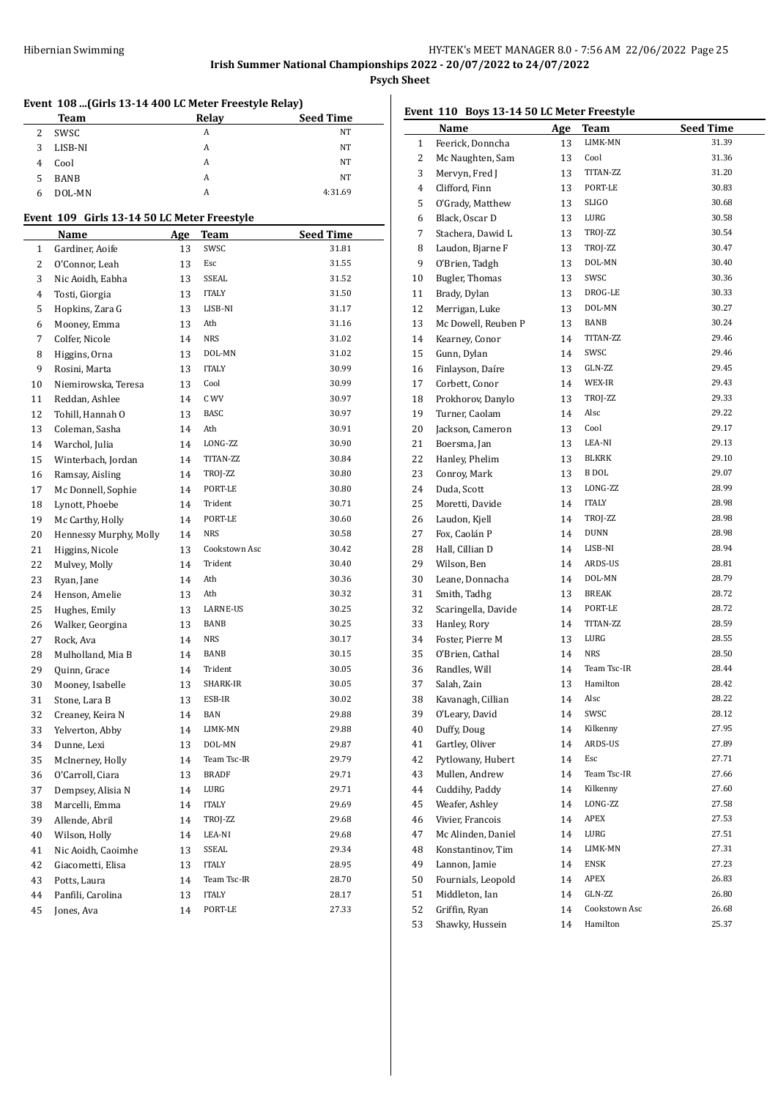|    | Event 108  (Girls 13-14 400 LC Meter Freestyle Relay) |     |                 |                  |
|----|-------------------------------------------------------|-----|-----------------|------------------|
|    | Team                                                  |     | Relay           | Seed Time        |
| 2  | SWSC                                                  |     | A               | NT               |
| 3  | LISB-NI                                               |     | A               | ΝT               |
| 4  | Cool                                                  |     | A               | NT               |
| 5  | <b>BANB</b>                                           |     | A               | NT               |
| 6  | DOL-MN                                                |     | A               | 4:31.69          |
|    | Event 109 Girls 13-14 50 LC Meter Freestyle           |     |                 |                  |
|    | Name                                                  | Age | Team            | <b>Seed Time</b> |
| 1  | Gardiner, Aoife                                       | 13  | SWSC            | 31.81            |
| 2  | O'Connor, Leah                                        | 13  | Esc             | 31.55            |
| 3  | Nic Aoidh, Eabha                                      | 13  | SSEAL           | 31.52            |
| 4  | Tosti, Giorgia                                        | 13  | <b>ITALY</b>    | 31.50            |
| 5  | Hopkins, Zara G                                       | 13  | LISB-NI         | 31.17            |
| 6  | Mooney, Emma                                          | 13  | Ath             | 31.16            |
| 7  | Colfer, Nicole                                        | 14  | <b>NRS</b>      | 31.02            |
| 8  | Higgins, Orna                                         | 13  | DOL-MN          | 31.02            |
| 9  | Rosini, Marta                                         | 13  | <b>ITALY</b>    | 30.99            |
| 10 | Niemirowska, Teresa                                   | 13  | Cool            | 30.99            |
| 11 | Reddan, Ashlee                                        | 14  | C WV            | 30.97            |
| 12 | Tohill, Hannah O                                      | 13  | <b>BASC</b>     | 30.97            |
| 13 |                                                       | 14  | Ath             | 30.91            |
|    | Coleman, Sasha                                        |     | LONG-ZZ         | 30.90            |
| 14 | Warchol, Julia                                        | 14  | TITAN-ZZ        | 30.84            |
| 15 | Winterbach, Jordan                                    | 14  |                 | 30.80            |
| 16 | Ramsay, Aisling                                       | 14  | TROJ-ZZ         |                  |
| 17 | Mc Donnell, Sophie                                    | 14  | PORT-LE         | 30.80            |
| 18 | Lynott, Phoebe                                        | 14  | Trident         | 30.71            |
| 19 | Mc Carthy, Holly                                      | 14  | PORT-LE         | 30.60            |
| 20 | Hennessy Murphy, Molly                                | 14  | NRS             | 30.58            |
| 21 | Higgins, Nicole                                       | 13  | Cookstown Asc   | 30.42            |
| 22 | Mulvey, Molly                                         | 14  | Trident         | 30.40            |
| 23 | Ryan, Jane                                            | 14  | Ath             | 30.36            |
| 24 | Henson, Amelie                                        | 13  | Ath             | 30.32            |
| 25 | Hughes, Emily                                         | 13  | <b>LARNE-US</b> | 30.25            |
| 26 | Walker, Georgina                                      | 13  | BANB            | 30.25            |
| 27 | Rock, Ava                                             | 14  | <b>NRS</b>      | 30.17            |
| 28 | Mulholland, Mia B                                     | 14  | BANB            | 30.15            |
| 29 | Quinn, Grace                                          | 14  | Trident         | 30.05            |
| 30 | Mooney, Isabelle                                      | 13  | SHARK-IR        | 30.05            |
| 31 | Stone, Lara B                                         | 13  | ESB-IR          | 30.02            |
| 32 | Creaney, Keira N                                      | 14  | BAN             | 29.88            |
| 33 | Yelverton, Abby                                       | 14  | LIMK-MN         | 29.88            |
| 34 | Dunne, Lexi                                           | 13  | DOL-MN          | 29.87            |
| 35 | McInerney, Holly                                      | 14  | Team Tsc-IR     | 29.79            |
| 36 | O'Carroll, Ciara                                      | 13  | <b>BRADF</b>    | 29.71            |
| 37 | Dempsey, Alisia N                                     | 14  | LURG            | 29.71            |
| 38 | Marcelli, Emma                                        | 14  | <b>ITALY</b>    | 29.69            |
| 39 | Allende, Abril                                        | 14  | TROJ-ZZ         | 29.68            |
| 40 | Wilson, Holly                                         | 14  | LEA-NI          | 29.68            |
| 41 | Nic Aoidh, Caoimhe                                    | 13  | SSEAL           | 29.34            |
| 42 | Giacometti, Elisa                                     | 13  | <b>ITALY</b>    | 28.95            |
| 43 | Potts, Laura                                          | 14  | Team Tsc-IR     | 28.70            |
| 44 | Panfili, Carolina                                     | 13  | ITALY           | 28.17            |
| 45 | Jones, Ava                                            | 14  | PORT-LE         | 27.33            |

|                | Event 110 Boys 13-14 50 LC Meter Freestyle |            |               |                  |
|----------------|--------------------------------------------|------------|---------------|------------------|
|                | Name                                       | <u>Age</u> | <b>Team</b>   | <b>Seed Time</b> |
| $\mathbf{1}$   | Feerick, Donncha                           | 13         | LIMK-MN       | 31.39            |
| $\overline{c}$ | Mc Naughten, Sam                           | 13         | Cool          | 31.36            |
| 3              | Mervyn, Fred J                             | 13         | TITAN-ZZ      | 31.20            |
| 4              | Clifford, Finn                             | 13         | PORT-LE       | 30.83            |
| 5              | O'Grady, Matthew                           | 13         | <b>SLIGO</b>  | 30.68            |
| 6              | Black, Oscar D                             | 13         | LURG          | 30.58            |
| 7              | Stachera. Dawid L                          | 13         | TROJ-ZZ       | 30.54            |
| 8              | Laudon, Bjarne F                           | 13         | TROJ-ZZ       | 30.47            |
| 9              | O'Brien, Tadgh                             | 13         | DOL-MN        | 30.40            |
| 10             | <b>Bugler, Thomas</b>                      | 13         | SWSC          | 30.36            |
| 11             | Brady, Dylan                               | 13         | DROG-LE       | 30.33            |
| 12             | Merrigan, Luke                             | 13         | DOL-MN        | 30.27            |
| 13             | Mc Dowell, Reuben P                        | 13         | BANB          | 30.24            |
| 14             | Kearney, Conor                             | 14         | TITAN-ZZ      | 29.46            |
| 15             | Gunn, Dylan                                | 14         | SWSC          | 29.46            |
| 16             | Finlayson, Daíre                           | 13         | GLN-ZZ        | 29.45            |
| 17             | Corbett, Conor                             | 14         | WEX-IR        | 29.43            |
| 18             | Prokhorov, Danylo                          | 13         | TROJ-ZZ       | 29.33            |
| 19             | Turner, Caolam                             | 14         | Alsc          | 29.22            |
| 20             | Jackson, Cameron                           | 13         | Cool          | 29.17            |
| 21             | Boersma, Jan                               | 13         | LEA-NI        | 29.13            |
| 22             | Hanley, Phelim                             | 13         | BLKRK         | 29.10            |
| 23             | Conroy, Mark                               | 13         | B DOL         | 29.07            |
| 24             | Duda, Scott                                | 13         | LONG-ZZ       | 28.99            |
| 25             | Moretti, Davide                            | 14         | <b>ITALY</b>  | 28.98            |
| 26             | Laudon, Kjell                              | 14         | TROJ-ZZ       | 28.98            |
| 27             | Fox, Caolán P                              | 14         | <b>DUNN</b>   | 28.98            |
| 28             | Hall, Cillian D                            | 14         | LISB-NI       | 28.94            |
| 29             | Wilson, Ben                                | 14         | ARDS-US       | 28.81            |
| 30             | Leane, Donnacha                            | 14         | DOL-MN        | 28.79            |
| 31             |                                            | 13         | BREAK         | 28.72            |
|                | Smith, Tadhg                               |            | PORT-LE       | 28.72            |
| 32             | Scaringella, Davide                        | 14         | TITAN-ZZ      | 28.59            |
| 33             | Hanley, Rory                               | 14         |               | 28.55            |
| 34             | Foster, Pierre M                           | 13         | LURG          |                  |
| 35             | O'Brien, Cathal                            | 14         | <b>NRS</b>    | 28.50            |
| 36             | Randles, Will                              | 14         | Team Tsc-IR   | 28.44            |
| 37             | Salah, Zain                                | 13         | Hamilton      | 28.42            |
| 38             | Kavanagh, Cillian                          | 14         | Alsc          | 28.22            |
| 39             | O'Leary, David                             | 14         | SWSC          | 28.12            |
| 40             | Duffy, Doug                                | 14         | Kilkenny      | 27.95            |
| 41             | Gartley, Oliver                            | 14         | ARDS-US       | 27.89            |
| 42             | Pytlowany, Hubert                          | 14         | Esc           | 27.71            |
| 43             | Mullen, Andrew                             | 14         | Team Tsc-IR   | 27.66            |
| 44             | Cuddihy, Paddy                             | 14         | Kilkenny      | 27.60            |
| 45             | Weafer, Ashley                             | 14         | LONG-ZZ       | 27.58            |
| 46             | Vivier, Francois                           | 14         | APEX          | 27.53            |
| 47             | Mc Alinden, Daniel                         | 14         | LURG          | 27.51            |
| 48             | Konstantinov, Tim                          | 14         | LIMK-MN       | 27.31            |
| 49             | Lannon, Jamie                              | 14         | ENSK          | 27.23            |
| 50             | Fournials, Leopold                         | 14         | APEX          | 26.83            |
| 51             | Middleton, Ian                             | 14         | GLN-ZZ        | 26.80            |
| 52             | Griffin, Ryan                              | 14         | Cookstown Asc | 26.68            |
| 53             | Shawky, Hussein                            | 14         | Hamilton      | 25.37            |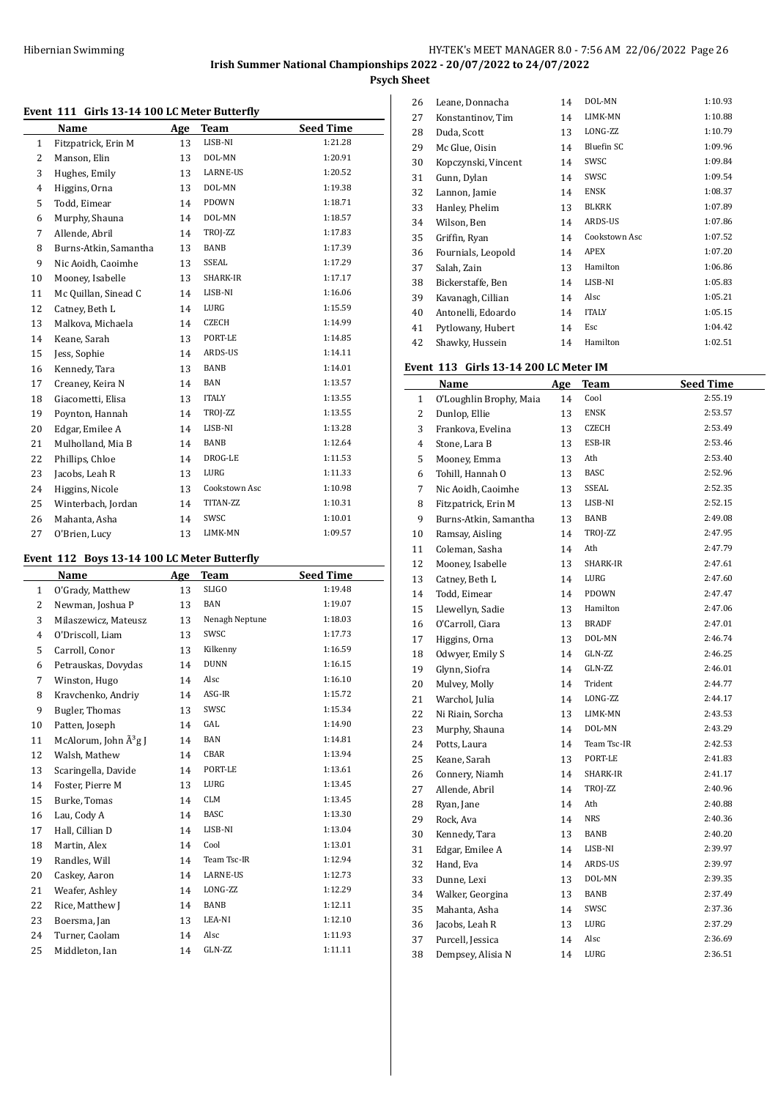# **Event 111 Girls 13-14 100 LC Meter Butterfly**

|                | EVENT III GIHS IS-IT IOO LG METEL DUTTERIY |     |               |                  |
|----------------|--------------------------------------------|-----|---------------|------------------|
|                | Name                                       | Age | Team          | <b>Seed Time</b> |
| 1              | Fitzpatrick, Erin M                        | 13  | LISB-NI       | 1:21.28          |
| $\overline{2}$ | Manson, Elin                               | 13  | DOL-MN        | 1:20.91          |
| 3              | Hughes, Emily                              | 13  | LARNE-US      | 1:20.52          |
| 4              | Higgins, Orna                              | 13  | DOL-MN        | 1:19.38          |
| 5              | Todd, Eimear                               | 14  | PDOWN         | 1:18.71          |
| 6              | Murphy, Shauna                             | 14  | DOL-MN        | 1:18.57          |
| 7              | Allende, Abril                             | 14  | TROJ-ZZ       | 1:17.83          |
| 8              | Burns-Atkin, Samantha                      | 13  | BANB          | 1:17.39          |
| 9              | Nic Aoidh, Caoimhe                         | 13  | SSEAL         | 1:17.29          |
| 10             | Mooney, Isabelle                           | 13  | SHARK-IR      | 1:17.17          |
| 11             | Mc Quillan, Sinead C                       | 14  | LISB-NI       | 1:16.06          |
| 12             | Catney, Beth L                             | 14  | LURG          | 1:15.59          |
| 13             | Malkova, Michaela                          | 14  | <b>CZECH</b>  | 1:14.99          |
| 14             | Keane, Sarah                               | 13  | PORT-LE       | 1:14.85          |
| 15             | Jess, Sophie                               | 14  | ARDS-US       | 1:14.11          |
| 16             | Kennedy, Tara                              | 13  | BANB          | 1:14.01          |
| 17             | Creaney, Keira N                           | 14  | <b>BAN</b>    | 1:13.57          |
| 18             | Giacometti, Elisa                          | 13  | <b>ITALY</b>  | 1:13.55          |
| 19             | Poynton, Hannah                            | 14  | TROJ-ZZ       | 1:13.55          |
| 20             | Edgar, Emilee A                            | 14  | LISB-NI       | 1:13.28          |
| 21             | Mulholland, Mia B                          | 14  | BANB          | 1:12.64          |
| 22             | Phillips, Chloe                            | 14  | DROG-LE       | 1:11.53          |
| 23             | Jacobs, Leah R                             | 13  | LURG          | 1:11.33          |
| 24             | Higgins, Nicole                            | 13  | Cookstown Asc | 1:10.98          |
| 25             | Winterbach, Jordan                         | 14  | TITAN-ZZ      | 1:10.31          |
| 26             | Mahanta, Asha                              | 14  | SWSC          | 1:10.01          |
| 27             | O'Brien, Lucy                              | 13  | LIMK-MN       | 1:09.57          |

# **Event 112 Boys 13-14 100 LC Meter Butterfly**

|                | EVENT THE BOYS TO THE TOO BE METER BUILDING<br>Name | Age | Team           | <b>Seed Time</b> |
|----------------|-----------------------------------------------------|-----|----------------|------------------|
| 1              | O'Grady, Matthew                                    | 13  | <b>SLIGO</b>   | 1:19.48          |
| 2              | Newman, Joshua P                                    | 13  | <b>BAN</b>     | 1:19.07          |
| 3              | Milaszewicz, Mateusz                                | 13  | Nenagh Neptune | 1:18.03          |
| $\overline{4}$ | O'Driscoll, Liam                                    | 13  | SWSC           | 1:17.73          |
| 5              | Carroll, Conor                                      | 13  | Kilkenny       | 1:16.59          |
| 6              | Petrauskas, Dovydas                                 | 14  | <b>DUNN</b>    | 1:16.15          |
| 7              | Winston, Hugo                                       | 14  | Alsc           | 1:16.10          |
| 8              | Kravchenko, Andriy                                  | 14  | ASG-IR         | 1:15.72          |
| 9              | Bugler, Thomas                                      | 13  | SWSC           | 1:15.34          |
| 10             | Patten, Joseph                                      | 14  | GAL            | 1:14.90          |
| 11             | McAlorum, John Â <sup>3</sup> g J                   | 14  | <b>BAN</b>     | 1:14.81          |
| 12             | Walsh, Mathew                                       | 14  | CBAR           | 1:13.94          |
| 13             | Scaringella, Davide                                 | 14  | PORT-LE        | 1:13.61          |
| 14             | Foster, Pierre M                                    | 13  | LURG           | 1:13.45          |
| 15             | Burke, Tomas                                        | 14  | <b>CLM</b>     | 1:13.45          |
| 16             | Lau, Cody A                                         | 14  | <b>BASC</b>    | 1:13.30          |
| 17             | Hall, Cillian D                                     | 14  | LISB-NI        | 1:13.04          |
| 18             | Martin, Alex                                        | 14  | Cool           | 1:13.01          |
| 19             | Randles, Will                                       | 14  | Team Tsc-IR    | 1:12.94          |
| 20             | Caskey, Aaron                                       | 14  | LARNE-US       | 1:12.73          |
| 21             | Weafer, Ashley                                      | 14  | LONG-ZZ        | 1:12.29          |
| 22             | Rice, Matthew J                                     | 14  | BANB           | 1:12.11          |
| 23             | Boersma, Jan                                        | 13  | LEA-NI         | 1:12.10          |
| 24             | Turner, Caolam                                      | 14  | Alsc           | 1:11.93          |
| 25             | Middleton, Ian                                      | 14  | GLN-ZZ         | 1:11.11          |

| 26 | Leane, Donnacha     | 14 | DOL-MN        | 1:10.93 |
|----|---------------------|----|---------------|---------|
| 27 | Konstantinov, Tim   | 14 | LIMK-MN       | 1:10.88 |
| 28 | Duda, Scott         | 13 | LONG-ZZ       | 1:10.79 |
| 29 | Mc Glue, Oisin      | 14 | Bluefin SC    | 1:09.96 |
| 30 | Kopczynski, Vincent | 14 | SWSC          | 1:09.84 |
| 31 | Gunn, Dylan         | 14 | SWSC          | 1:09.54 |
| 32 | Lannon, Jamie       | 14 | <b>ENSK</b>   | 1:08.37 |
| 33 | Hanley, Phelim      | 13 | BLKRK         | 1:07.89 |
| 34 | Wilson, Ben         | 14 | ARDS-US       | 1:07.86 |
| 35 | Griffin, Ryan       | 14 | Cookstown Asc | 1:07.52 |
| 36 | Fournials, Leopold  | 14 | APEX          | 1:07.20 |
| 37 | Salah, Zain         | 13 | Hamilton      | 1:06.86 |
| 38 | Bickerstaffe, Ben   | 14 | LISB-NI       | 1:05.83 |
| 39 | Kavanagh, Cillian   | 14 | Alsc          | 1:05.21 |
| 40 | Antonelli, Edoardo  | 14 | <b>ITALY</b>  | 1:05.15 |
| 41 | Pytlowany, Hubert   | 14 | Esc           | 1:04.42 |
| 42 | Shawky, Hussein     | 14 | Hamilton      | 1:02.51 |

# **Event 113 Girls 13-14 200 LC Meter IM**

|                | Name                    | <b>Age</b> | <b>Team</b>  | <b>Seed Time</b> |
|----------------|-------------------------|------------|--------------|------------------|
| $\mathbf{1}$   | O'Loughlin Brophy, Maia | 14         | Cool         | 2:55.19          |
| $\overline{2}$ | Dunlop, Ellie           | 13         | <b>ENSK</b>  | 2:53.57          |
| 3              | Frankova, Evelina       | 13         | <b>CZECH</b> | 2:53.49          |
| $\overline{4}$ | Stone, Lara B           | 13         | ESB-IR       | 2:53.46          |
| 5              | Mooney, Emma            | 13         | Ath          | 2:53.40          |
| 6              | Tohill, Hannah O        | 13         | <b>BASC</b>  | 2:52.96          |
| 7              | Nic Aoidh, Caoimhe      | 13         | SSEAL        | 2:52.35          |
| 8              | Fitzpatrick, Erin M     | 13         | LISB-NI      | 2:52.15          |
| 9              | Burns-Atkin, Samantha   | 13         | BANB         | 2:49.08          |
| 10             | Ramsay, Aisling         | 14         | TROJ-ZZ      | 2:47.95          |
| 11             | Coleman, Sasha          | 14         | Ath          | 2:47.79          |
| 12             | Mooney, Isabelle        | 13         | SHARK-IR     | 2:47.61          |
| 13             | Catney, Beth L          | 14         | LURG         | 2:47.60          |
| 14             | Todd, Eimear            | 14         | PDOWN        | 2:47.47          |
| 15             | Llewellyn, Sadie        | 13         | Hamilton     | 2:47.06          |
| 16             | O'Carroll, Ciara        | 13         | <b>BRADF</b> | 2:47.01          |
| 17             | Higgins, Orna           | 13         | DOL-MN       | 2:46.74          |
| 18             | Odwyer, Emily S         | 14         | GLN-ZZ       | 2:46.25          |
| 19             | Glynn, Siofra           | 14         | GLN-ZZ       | 2:46.01          |
| 20             | Mulvey, Molly           | 14         | Trident      | 2:44.77          |
| 21             | Warchol, Julia          | 14         | LONG-ZZ      | 2:44.17          |
| 22             | Ni Riain, Sorcha        | 13         | LIMK-MN      | 2:43.53          |
| 23             | Murphy, Shauna          | 14         | DOL-MN       | 2:43.29          |
| 24             | Potts, Laura            | 14         | Team Tsc-IR  | 2:42.53          |
| 25             | Keane, Sarah            | 13         | PORT-LE      | 2:41.83          |
| 26             | Connery, Niamh          | 14         | SHARK-IR     | 2:41.17          |
| 27             | Allende, Abril          | 14         | TROJ-ZZ      | 2:40.96          |
| 28             | Ryan, Jane              | 14         | Ath          | 2:40.88          |
| 29             | Rock, Ava               | 14         | <b>NRS</b>   | 2:40.36          |
| 30             | Kennedy, Tara           | 13         | BANB         | 2:40.20          |
| 31             | Edgar, Emilee A         | 14         | LISB-NI      | 2:39.97          |
| 32             | Hand, Eva               | 14         | ARDS-US      | 2:39.97          |
| 33             | Dunne, Lexi             | 13         | DOL-MN       | 2:39.35          |
| 34             | Walker, Georgina        | 13         | BANB         | 2:37.49          |
| 35             | Mahanta, Asha           | 14         | SWSC         | 2:37.36          |
| 36             | Jacobs, Leah R          | 13         | LURG         | 2:37.29          |
| 37             | Purcell, Jessica        | 14         | Alsc         | 2:36.69          |
| 38             | Dempsey, Alisia N       | 14         | LURG         | 2:36.51          |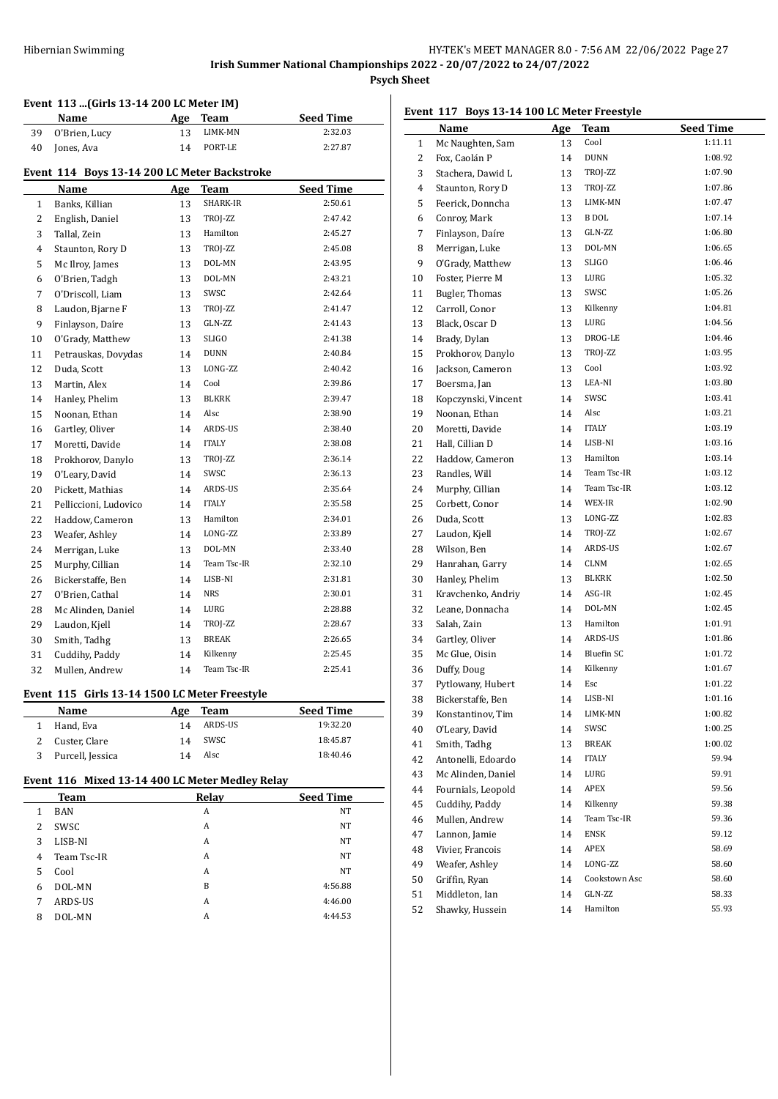# **Event 113 ...(Girls 13-14 200 LC Meter IM)**

# **Event 114 Boys 13-14 200 LC Meter Backstroke**

|              | $\frac{1}{2}$ and $\frac{1}{2}$ boys is 14 200 LC meter backstroke |     |              |                  |
|--------------|--------------------------------------------------------------------|-----|--------------|------------------|
|              | Name                                                               | Age | Team         | <b>Seed Time</b> |
| $\mathbf{1}$ | Banks, Killian                                                     | 13  | SHARK-IR     | 2:50.61          |
| 2            | English, Daniel                                                    | 13  | TROJ-ZZ      | 2:47.42          |
| 3            | Tallal, Zein                                                       | 13  | Hamilton     | 2:45.27          |
| 4            | Staunton, Rory D                                                   | 13  | TROJ-ZZ      | 2:45.08          |
| 5            | Mc Ilroy, James                                                    | 13  | DOL-MN       | 2:43.95          |
| 6            | O'Brien, Tadgh                                                     | 13  | DOL-MN       | 2:43.21          |
| 7            | O'Driscoll, Liam                                                   | 13  | SWSC         | 2:42.64          |
| 8            | Laudon, Bjarne F                                                   | 13  | TROJ-ZZ      | 2:41.47          |
| 9            | Finlayson, Daíre                                                   | 13  | GLN-ZZ       | 2:41.43          |
| 10           | O'Grady, Matthew                                                   | 13  | <b>SLIGO</b> | 2:41.38          |
| 11           | Petrauskas, Dovydas                                                | 14  | <b>DUNN</b>  | 2:40.84          |
| 12           | Duda, Scott                                                        | 13  | LONG-ZZ      | 2:40.42          |
| 13           | Martin, Alex                                                       | 14  | Cool         | 2:39.86          |
| 14           | Hanley, Phelim                                                     | 13  | <b>BLKRK</b> | 2:39.47          |
| 15           | Noonan, Ethan                                                      | 14  | Alsc         | 2:38.90          |
| 16           | Gartley, Oliver                                                    | 14  | ARDS-US      | 2:38.40          |
| 17           | Moretti, Davide                                                    | 14  | <b>ITALY</b> | 2:38.08          |
| 18           | Prokhorov, Danylo                                                  | 13  | TROJ-ZZ      | 2:36.14          |
| 19           | O'Leary, David                                                     | 14  | SWSC         | 2:36.13          |
| 20           | Pickett, Mathias                                                   | 14  | ARDS-US      | 2:35.64          |
| 21           | Pelliccioni, Ludovico                                              | 14  | <b>ITALY</b> | 2:35.58          |
| 22           | Haddow, Cameron                                                    | 13  | Hamilton     | 2:34.01          |
| 23           | Weafer, Ashley                                                     | 14  | LONG-ZZ      | 2:33.89          |
| 24           | Merrigan, Luke                                                     | 13  | DOL-MN       | 2:33.40          |
| 25           | Murphy, Cillian                                                    | 14  | Team Tsc-IR  | 2:32.10          |
| 26           | Bickerstaffe, Ben                                                  | 14  | LISB-NI      | 2:31.81          |
| 27           | O'Brien, Cathal                                                    | 14  | <b>NRS</b>   | 2:30.01          |
| 28           | Mc Alinden, Daniel                                                 | 14  | LURG         | 2:28.88          |
| 29           | Laudon, Kjell                                                      | 14  | TROJ-ZZ      | 2:28.67          |
| 30           | Smith, Tadhg                                                       | 13  | <b>BREAK</b> | 2:26.65          |
| 31           | Cuddihy, Paddy                                                     | 14  | Kilkenny     | 2:25.45          |
| 32           | Mullen, Andrew                                                     | 14  | Team Tsc-IR  | 2:25.41          |

**Name Age Team Seed Time**  O'Brien, Lucy 13 LIMK-MN 2:32.03 Jones, Ava 14 PORT-LE 2:27.87

## **Event 115 Girls 13-14 1500 LC Meter Freestyle**

| Little 115 and 15 11 1500 LG Meter Heestyle |     |         |                  |
|---------------------------------------------|-----|---------|------------------|
| <b>Name</b>                                 | Age | Team    | <b>Seed Time</b> |
| Hand, Eva                                   | 14  | ARDS-US | 19:32.20         |
| Custer, Clare                               | 14  | swsc    | 18:45.87         |
| Purcell, Jessica                            | 14  | Alsc    | 18:40.46         |

# **Event 116 Mixed 13-14 400 LC Meter Medley Relay**

|   |             | $\sim$ |                  |  |
|---|-------------|--------|------------------|--|
|   | <b>Team</b> | Relay  | <b>Seed Time</b> |  |
|   | <b>BAN</b>  | A      | <b>NT</b>        |  |
| 2 | SWSC        | A      | <b>NT</b>        |  |
| 3 | LISB-NI     | A      | <b>NT</b>        |  |
| 4 | Team Tsc-IR | A      | <b>NT</b>        |  |
| 5 | Cool        | A      | <b>NT</b>        |  |
| 6 | DOL-MN      | B      | 4:56.88          |  |
| 7 | ARDS-US     | A      | 4:46.00          |  |
| 8 | DOL-MN      | A      | 4:44.53          |  |
|   |             |        |                  |  |

# **Event 117 Boys 13-14 100 LC Meter Freestyle**

|          | Name                                   | Age      | Team            | <b>Seed Time</b>   |
|----------|----------------------------------------|----------|-----------------|--------------------|
| 1        | Mc Naughten, Sam                       | 13       | Cool            | 1:11.11            |
| 2        | Fox, Caolán P                          | 14       | <b>DUNN</b>     | 1:08.92            |
| 3        | Stachera, Dawid L                      | 13       | TROJ-ZZ         | 1:07.90            |
| 4        | Staunton, Rory D                       | 13       | TROJ-ZZ         | 1:07.86            |
| 5        | Feerick, Donncha                       | 13       | LIMK-MN         | 1:07.47            |
| 6        | Conroy, Mark                           | 13       | B DOL           | 1:07.14            |
| 7        | Finlayson, Daíre                       | 13       | GLN-ZZ          | 1:06.80            |
| 8        | Merrigan, Luke                         | 13       | DOL-MN          | 1:06.65            |
| 9        | O'Grady, Matthew                       | 13       | <b>SLIGO</b>    | 1:06.46            |
| 10       | Foster, Pierre M                       | 13       | LURG            | 1:05.32            |
| 11       | <b>Bugler, Thomas</b>                  | 13       | SWSC            | 1:05.26            |
| 12       | Carroll, Conor                         | 13       | Kilkenny        | 1:04.81            |
| 13       | Black, Oscar D                         | 13       | LURG            | 1:04.56            |
| 14       | Brady, Dylan                           | 13       | DROG-LE         | 1:04.46            |
| 15       | Prokhorov, Danylo                      | 13       | TROJ-ZZ         | 1:03.95            |
| 16       | Jackson, Cameron                       | 13       | Cool            | 1:03.92            |
| 17       | Boersma, Jan                           | 13       | LEA-NI          | 1:03.80            |
| 18       | Kopczynski, Vincent                    | 14       | SWSC            | 1:03.41            |
| 19       | Noonan, Ethan                          | 14       | Alsc            | 1:03.21            |
| 20       | Moretti, Davide                        | 14       | <b>ITALY</b>    | 1:03.19            |
| 21       | Hall, Cillian D                        | 14       | LISB-NI         | 1:03.16            |
| 22       | Haddow, Cameron                        | 13       | Hamilton        | 1:03.14            |
| 23       | Randles, Will                          | 14       | Team Tsc-IR     | 1:03.12            |
| 24       | Murphy, Cillian                        | 14       | Team Tsc-IR     | 1:03.12            |
| 25       | Corbett, Conor                         | 14       | WEX-IR          | 1:02.90            |
| 26       | Duda, Scott                            | 13       | LONG-ZZ         | 1:02.83            |
| 27       | Laudon, Kjell                          | 14       | TROJ-ZZ         | 1:02.67            |
| 28       | Wilson, Ben                            | 14       | ARDS-US         | 1:02.67            |
| 29       | Hanrahan, Garry                        | 14       | CLNM            | 1:02.65            |
| 30       | Hanley, Phelim                         | 13       | <b>BLKRK</b>    | 1:02.50            |
| 31       | Kravchenko, Andriy                     | 14       | ASG-IR          | 1:02.45            |
| 32       | Leane, Donnacha                        | 14       | DOL-MN          | 1:02.45            |
| 33       | Salah, Zain                            | 13       | Hamilton        | 1:01.91            |
| 34       | Gartley, Oliver                        | 14       | ARDS-US         | 1:01.86            |
| 35       | Mc Glue, Oisin                         | 14       | Bluefin SC      | 1:01.72            |
|          |                                        | 14       | Kilkenny        | 1:01.67            |
| 36       | Duffy, Doug                            |          | Esc             | 1:01.22            |
| 37<br>38 | Pytlowany, Hubert                      | 14<br>14 | LISB-NI         | 1:01.16            |
|          | Bickerstaffe, Ben<br>Konstantinov, Tim |          |                 |                    |
| 39       |                                        | 14       | LIMK-MN<br>SWSC | 1:00.82<br>1:00.25 |
| 40       | O'Leary, David<br>Smith, Tadhg         | 14       | BREAK           | 1:00.02            |
| 41       |                                        | 13       | <b>ITALY</b>    | 59.94              |
| 42       | Antonelli, Edoardo                     | 14       |                 | 59.91              |
| 43       | Mc Alinden, Daniel                     | 14       | LURG<br>APEX    | 59.56              |
| 44       | Fournials, Leopold                     | 14       |                 |                    |
| 45       | Cuddihy, Paddy                         | 14       | Kilkenny        | 59.38              |
| 46       | Mullen, Andrew                         | 14       | Team Tsc-IR     | 59.36              |
| 47       | Lannon, Jamie                          | 14       | ENSK            | 59.12              |
| 48       | Vivier, Francois                       | 14       | APEX            | 58.69              |
| 49       | Weafer, Ashley                         | 14       | LONG-ZZ         | 58.60              |
| 50       | Griffin, Ryan                          | 14       | Cookstown Asc   | 58.60              |
| 51       | Middleton, Ian                         | 14       | GLN-ZZ          | 58.33              |
| 52       | Shawky, Hussein                        | $14\,$   | Hamilton        | 55.93              |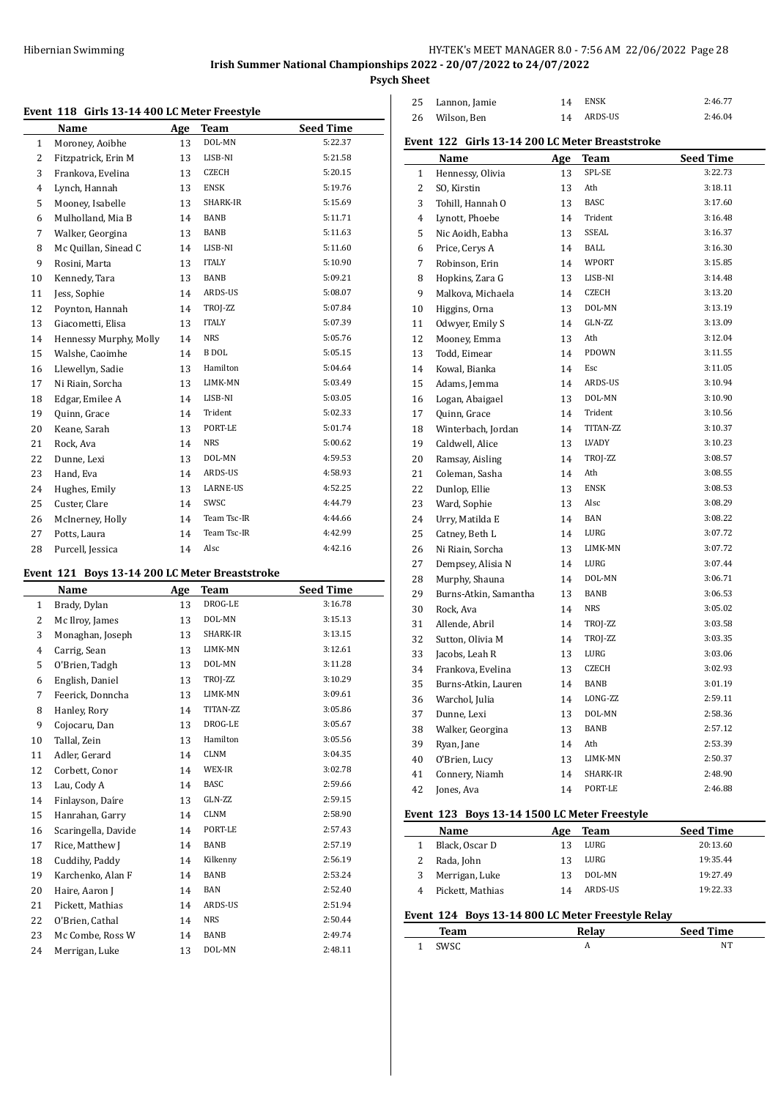**Psych Sheet**

### **Event 118 Girls 13-14 400 LC Meter Freestyle**

| ັ້ນ          | The ding to the food meter receive |     |                 |                  |
|--------------|------------------------------------|-----|-----------------|------------------|
|              | Name                               | Age | Team            | <b>Seed Time</b> |
| $\mathbf{1}$ | Moroney, Aoibhe                    | 13  | DOL-MN          | 5:22.37          |
| 2            | Fitzpatrick, Erin M                | 13  | LISB-NI         | 5:21.58          |
| 3            | Frankova, Evelina                  | 13  | CZECH           | 5:20.15          |
| 4            | Lynch, Hannah                      | 13  | <b>ENSK</b>     | 5:19.76          |
| 5            | Mooney, Isabelle                   | 13  | SHARK-IR        | 5:15.69          |
| 6            | Mulholland, Mia B                  | 14  | BANB            | 5:11.71          |
| 7            | Walker, Georgina                   | 13  | BANB            | 5:11.63          |
| 8            | Mc Quillan, Sinead C               | 14  | LISB-NI         | 5:11.60          |
| 9            | Rosini, Marta                      | 13  | <b>ITALY</b>    | 5:10.90          |
| 10           | Kennedy, Tara                      | 13  | BANB            | 5:09.21          |
| 11           | Jess, Sophie                       | 14  | ARDS-US         | 5:08.07          |
| 12           | Poynton, Hannah                    | 14  | TROJ-ZZ         | 5:07.84          |
| 13           | Giacometti, Elisa                  | 13  | <b>ITALY</b>    | 5:07.39          |
| 14           | Hennessy Murphy, Molly             | 14  | <b>NRS</b>      | 5:05.76          |
| 15           | Walshe, Caoimhe                    | 14  | <b>B</b> DOL    | 5:05.15          |
| 16           | Llewellyn, Sadie                   | 13  | Hamilton        | 5:04.64          |
| 17           | Ni Riain, Sorcha                   | 13  | LIMK-MN         | 5:03.49          |
| 18           | Edgar, Emilee A                    | 14  | LISB-NI         | 5:03.05          |
| 19           | Quinn, Grace                       | 14  | Trident         | 5:02.33          |
| 20           | Keane, Sarah                       | 13  | PORT-LE         | 5:01.74          |
| 21           | Rock, Ava                          | 14  | <b>NRS</b>      | 5:00.62          |
| 22           | Dunne, Lexi                        | 13  | DOL-MN          | 4:59.53          |
| 23           | Hand, Eva                          | 14  | ARDS-US         | 4:58.93          |
| 24           | Hughes, Emily                      | 13  | <b>LARNE-US</b> | 4:52.25          |
| 25           | Custer, Clare                      | 14  | SWSC            | 4:44.79          |
| 26           | McInerney, Holly                   | 14  | Team Tsc-IR     | 4:44.66          |
| 27           | Potts, Laura                       | 14  | Team Tsc-IR     | 4:42.99          |
| 28           | Purcell, Jessica                   | 14  | Alsc            | 4:42.16          |

### **Event 121 Boys 13-14 200 LC Meter Breaststroke**

|              | Name                | Age | Team        | <b>Seed Time</b> |
|--------------|---------------------|-----|-------------|------------------|
| $\mathbf{1}$ | Brady, Dylan        | 13  | DROG-LE     | 3:16.78          |
| 2            | Mc Ilroy, James     | 13  | DOL-MN      | 3:15.13          |
| 3            | Monaghan, Joseph    | 13  | SHARK-IR    | 3:13.15          |
| 4            | Carrig, Sean        | 13  | LIMK-MN     | 3:12.61          |
| 5            | O'Brien, Tadgh      | 13  | DOL-MN      | 3:11.28          |
| 6            | English, Daniel     | 13  | TROJ-ZZ     | 3:10.29          |
| 7            | Feerick, Donncha    | 13  | LIMK-MN     | 3:09.61          |
| 8            | Hanley, Rory        | 14  | TITAN-ZZ    | 3:05.86          |
| 9            | Cojocaru, Dan       | 13  | DROG-LE     | 3:05.67          |
| 10           | Tallal, Zein        | 13  | Hamilton    | 3:05.56          |
| 11           | Adler, Gerard       | 14  | <b>CLNM</b> | 3:04.35          |
| 12           | Corbett, Conor      | 14  | WEX-IR      | 3:02.78          |
| 13           | Lau, Cody A         | 14  | <b>BASC</b> | 2:59.66          |
| 14           | Finlayson, Daíre    | 13  | GLN-ZZ      | 2:59.15          |
| 15           | Hanrahan, Garry     | 14  | <b>CLNM</b> | 2:58.90          |
| 16           | Scaringella, Davide | 14  | PORT-LE     | 2:57.43          |
| 17           | Rice, Matthew J     | 14  | BANB        | 2:57.19          |
| 18           | Cuddihy, Paddy      | 14  | Kilkenny    | 2:56.19          |
| 19           | Karchenko, Alan F   | 14  | BANB        | 2:53.24          |
| 20           | Haire, Aaron J      | 14  | <b>BAN</b>  | 2:52.40          |
| 21           | Pickett, Mathias    | 14  | ARDS-US     | 2:51.94          |
| 22           | O'Brien, Cathal     | 14  | <b>NRS</b>  | 2:50.44          |
| 23           | Mc Combe, Ross W    | 14  | BANB        | 2:49.74          |
| 24           | Merrigan, Luke      | 13  | DOL-MN      | 2:48.11          |

| 25 Lannon, Jamie | 14 | ENSK       | 2:46.77 |
|------------------|----|------------|---------|
| 26 Wilson, Ben   |    | 14 ARDS-US | 2:46.04 |

# **Event 122 Girls 13-14 200 LC Meter Breaststroke**

|              | Name                  | <b>Age</b> | <b>Team</b> | <b>Seed Time</b> |
|--------------|-----------------------|------------|-------------|------------------|
| $\mathbf{1}$ | Hennessy, Olivia      | 13         | SPL-SE      | 3:22.73          |
| 2            | SO, Kirstin           | 13         | Ath         | 3:18.11          |
| 3            | Tohill, Hannah O      | 13         | <b>BASC</b> | 3:17.60          |
| 4            | Lynott, Phoebe        | 14         | Trident     | 3:16.48          |
| 5            | Nic Aoidh, Eabha      | 13         | SSEAL       | 3:16.37          |
| 6            | Price, Cerys A        | 14         | <b>BALL</b> | 3:16.30          |
| 7            | Robinson, Erin        | 14         | WPORT       | 3:15.85          |
| 8            | Hopkins, Zara G       | 13         | LISB-NI     | 3:14.48          |
| 9            | Malkova, Michaela     | 14         | CZECH       | 3:13.20          |
| 10           | Higgins, Orna         | 13         | DOL-MN      | 3:13.19          |
| 11           | Odwyer, Emily S       | 14         | GLN-ZZ      | 3:13.09          |
| 12           | Mooney, Emma          | 13         | Ath         | 3:12.04          |
| 13           | Todd, Eimear          | 14         | PDOWN       | 3:11.55          |
| 14           | Kowal, Bianka         | 14         | Esc         | 3:11.05          |
| 15           | Adams, Jemma          | 14         | ARDS-US     | 3:10.94          |
| 16           | Logan, Abaigael       | 13         | DOL-MN      | 3:10.90          |
| 17           | Quinn, Grace          | 14         | Trident     | 3:10.56          |
| 18           | Winterbach, Jordan    | 14         | TITAN-ZZ    | 3:10.37          |
| 19           | Caldwell, Alice       | 13         | LVADY       | 3:10.23          |
| 20           | Ramsay, Aisling       | 14         | TROJ-ZZ     | 3:08.57          |
| 21           | Coleman, Sasha        | 14         | Ath         | 3:08.55          |
| 22           | Dunlop, Ellie         | 13         | <b>ENSK</b> | 3:08.53          |
| 23           | Ward, Sophie          | 13         | Alsc        | 3:08.29          |
| 24           | Urry, Matilda E       | 14         | BAN         | 3:08.22          |
| 25           | Catney, Beth L        | 14         | LURG        | 3:07.72          |
| 26           | Ni Riain, Sorcha      | 13         | LIMK-MN     | 3:07.72          |
| 27           | Dempsey, Alisia N     | 14         | LURG        | 3:07.44          |
| 28           | Murphy, Shauna        | 14         | DOL-MN      | 3:06.71          |
| 29           | Burns-Atkin, Samantha | 13         | BANB        | 3:06.53          |
| 30           | Rock, Ava             | 14         | NRS         | 3:05.02          |
| 31           | Allende, Abril        | 14         | TROJ-ZZ     | 3:03.58          |
| 32           | Sutton, Olivia M      | 14         | TROJ-ZZ     | 3:03.35          |
| 33           | Jacobs, Leah R        | 13         | LURG        | 3:03.06          |
| 34           | Frankova, Evelina     | 13         | CZECH       | 3:02.93          |
| 35           | Burns-Atkin, Lauren   | 14         | BANB        | 3:01.19          |
| 36           | Warchol, Julia        | 14         | LONG-ZZ     | 2:59.11          |
| 37           | Dunne, Lexi           | 13         | DOL-MN      | 2:58.36          |
| 38           | Walker, Georgina      | 13         | BANB        | 2:57.12          |
| 39           | Ryan, Jane            | 14         | Ath         | 2:53.39          |
| 40           | O'Brien, Lucy         | 13         | LIMK-MN     | 2:50.37          |
| 41           | Connery, Niamh        | 14         | SHARK-IR    | 2:48.90          |
| 42           | Jones, Ava            | 14         | PORT-LE     | 2:46.88          |
|              |                       |            |             |                  |

## **Event 123 Boys 13-14 1500 LC Meter Freestyle**

|   | <b>Name</b>      | Age | <b>Team</b> | <b>Seed Time</b> |
|---|------------------|-----|-------------|------------------|
|   | Black, Oscar D   |     | LURG        | 20:13.60         |
|   | Rada, John       | 13  | LURG        | 19:35.44         |
| 3 | Merrigan, Luke   | 13  | DOL-MN      | 19:27.49         |
| 4 | Pickett, Mathias | 14  | ARDS-US     | 19:22.33         |
|   |                  |     |             |                  |

## **Event 124 Boys 13-14 800 LC Meter Freestyle Relay**

|               | . | <b>Seed Time</b> |
|---------------|---|------------------|
| <i>בוווכר</i> | л | NT               |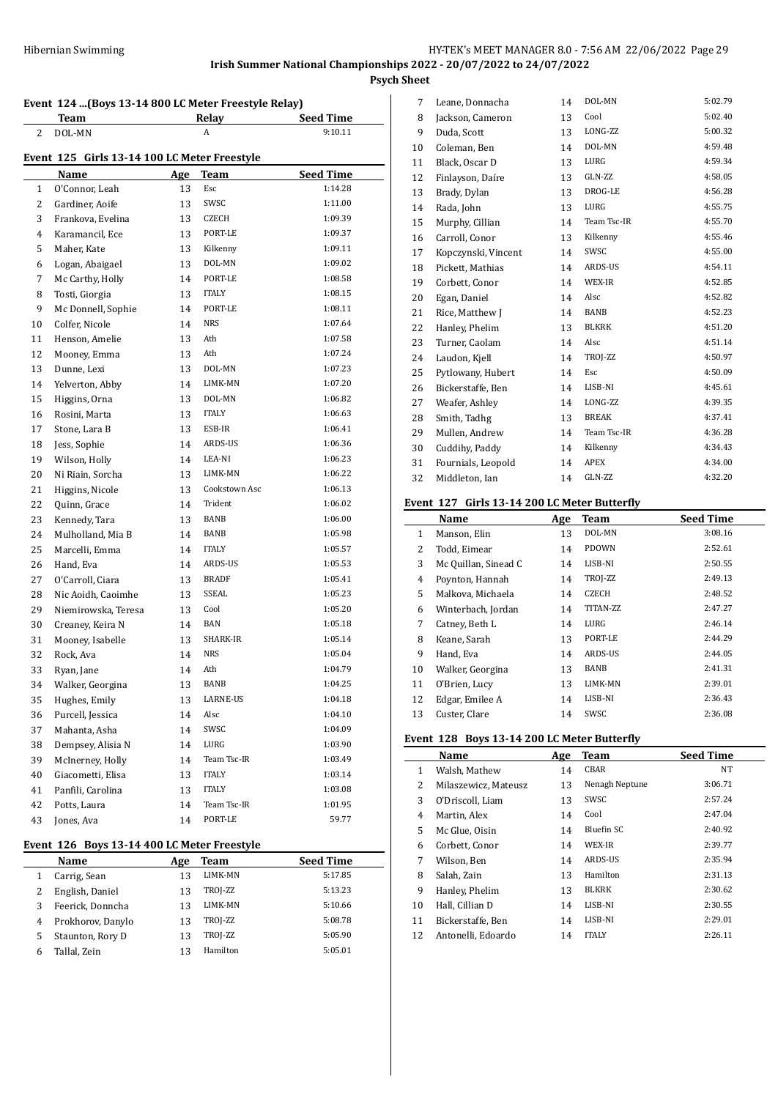# **Event 124 ...(Boys 13-14 800 LC Meter Freestyle Relay)**

|    | <u>Team</u>                                  |     | <b>Relay</b>  | <b>Seed Time</b> |  |  |
|----|----------------------------------------------|-----|---------------|------------------|--|--|
| 2  | DOL-MN                                       |     | A             | 9:10.11          |  |  |
|    | Event 125 Girls 13-14 100 LC Meter Freestyle |     |               |                  |  |  |
|    | Name                                         | Age | Team          | <b>Seed Time</b> |  |  |
| 1  | O'Connor, Leah                               | 13  | Esc           | 1:14.28          |  |  |
| 2  | Gardiner, Aoife                              | 13  | SWSC          | 1:11.00          |  |  |
| 3  | Frankova, Evelina                            | 13  | CZECH         | 1:09.39          |  |  |
| 4  | Karamancil, Ece                              | 13  | PORT-LE       | 1:09.37          |  |  |
| 5  | Maher, Kate                                  | 13  | Kilkenny      | 1:09.11          |  |  |
| 6  | Logan, Abaigael                              | 13  | DOL-MN        | 1:09.02          |  |  |
| 7  | Mc Carthy, Holly                             | 14  | PORT-LE       | 1:08.58          |  |  |
| 8  | Tosti, Giorgia                               | 13  | <b>ITALY</b>  | 1:08.15          |  |  |
| 9  | Mc Donnell, Sophie                           | 14  | PORT-LE       | 1:08.11          |  |  |
| 10 | Colfer, Nicole                               | 14  | NRS           | 1:07.64          |  |  |
| 11 | Henson, Amelie                               | 13  | Ath           | 1:07.58          |  |  |
| 12 | Mooney, Emma                                 | 13  | Ath           | 1:07.24          |  |  |
| 13 | Dunne, Lexi                                  | 13  | DOL-MN        | 1:07.23          |  |  |
| 14 | Yelverton, Abby                              | 14  | LIMK-MN       | 1:07.20          |  |  |
| 15 | Higgins, Orna                                | 13  | DOL-MN        | 1:06.82          |  |  |
| 16 | Rosini, Marta                                | 13  | <b>ITALY</b>  | 1:06.63          |  |  |
| 17 | Stone, Lara B                                | 13  | ESB-IR        | 1:06.41          |  |  |
| 18 | Jess, Sophie                                 | 14  | ARDS-US       | 1:06.36          |  |  |
| 19 | Wilson, Holly                                | 14  | LEA-NI        | 1:06.23          |  |  |
| 20 | Ni Riain, Sorcha                             | 13  | LIMK-MN       | 1:06.22          |  |  |
| 21 | Higgins, Nicole                              | 13  | Cookstown Asc | 1:06.13          |  |  |
| 22 | Quinn, Grace                                 | 14  | Trident       | 1:06.02          |  |  |
| 23 | Kennedy, Tara                                | 13  | BANB          | 1:06.00          |  |  |
| 24 | Mulholland, Mia B                            | 14  | BANB          | 1:05.98          |  |  |
| 25 | Marcelli, Emma                               | 14  | <b>ITALY</b>  | 1:05.57          |  |  |
| 26 | Hand, Eva                                    | 14  | ARDS-US       | 1:05.53          |  |  |
| 27 | O'Carroll, Ciara                             | 13  | <b>BRADF</b>  | 1:05.41          |  |  |
| 28 | Nic Aoidh, Caoimhe                           | 13  | SSEAL         | 1:05.23          |  |  |
| 29 | Niemirowska, Teresa                          | 13  | Cool          | 1:05.20          |  |  |
| 30 | Creaney, Keira N                             | 14  | <b>BAN</b>    | 1:05.18          |  |  |
| 31 | Mooney, Isabelle                             | 13  | SHARK-IR      | 1:05.14          |  |  |
| 32 | Rock, Ava                                    | 14  | NRS           | 1:05.04          |  |  |
| 33 | Ryan, Jane                                   | 14  | Ath           | 1:04.79          |  |  |
| 34 | Walker, Georgina                             | 13  | BANB          | 1:04.25          |  |  |
| 35 | Hughes, Emily                                | 13  | LARNE-US      | 1:04.18          |  |  |
| 36 | Purcell, Jessica                             | 14  | Alsc          | 1:04.10          |  |  |
| 37 | Mahanta, Asha                                | 14  | SWSC          | 1:04.09          |  |  |
| 38 | Dempsey, Alisia N                            | 14  | LURG          | 1:03.90          |  |  |
| 39 | McInerney, Holly                             | 14  | Team Tsc-IR   | 1:03.49          |  |  |
| 40 | Giacometti, Elisa                            | 13  | <b>ITALY</b>  | 1:03.14          |  |  |
| 41 | Panfili, Carolina                            | 13  | <b>ITALY</b>  | 1:03.08          |  |  |
| 42 | Potts, Laura                                 | 14  | Team Tsc-IR   | 1:01.95          |  |  |
| 43 | Jones, Ava                                   | 14  | PORT-LE       | 59.77            |  |  |

# **Event 126 Boys 13-14 400 LC Meter Freestyle**

 $\overline{a}$ 

|   | Name              | Age | Team     | <b>Seed Time</b> |
|---|-------------------|-----|----------|------------------|
|   | Carrig, Sean      | 13  | LIMK-MN  | 5:17.85          |
|   | English, Daniel   | 13  | TROJ-ZZ  | 5:13.23          |
|   | Feerick, Donncha  | 13  | LIMK-MN  | 5:10.66          |
| 4 | Prokhorov, Danylo | 13  | TROJ-ZZ  | 5:08.78          |
| 5 | Staunton, Rory D  | 13  | TROJ-ZZ  | 5:05.90          |
| 6 | Tallal, Zein      | 13  | Hamilton | 5:05.01          |

| 7  | Leane, Donnacha     | 14 | DOL-MN       | 5:02.79 |
|----|---------------------|----|--------------|---------|
| 8  | Jackson, Cameron    | 13 | Cool         | 5:02.40 |
| 9  | Duda, Scott         | 13 | LONG-ZZ      | 5:00.32 |
| 10 | Coleman, Ben        | 14 | DOL-MN       | 4:59.48 |
| 11 | Black, Oscar D      | 13 | LURG         | 4:59.34 |
| 12 | Finlayson, Daíre    | 13 | GLN-ZZ       | 4:58.05 |
| 13 | Brady, Dylan        | 13 | DROG-LE      | 4:56.28 |
| 14 | Rada, John          | 13 | LURG         | 4:55.75 |
| 15 | Murphy, Cillian     | 14 | Team Tsc-IR  | 4:55.70 |
| 16 | Carroll, Conor      | 13 | Kilkenny     | 4:55.46 |
| 17 | Kopczynski, Vincent | 14 | SWSC         | 4:55.00 |
| 18 | Pickett, Mathias    | 14 | ARDS-US      | 4:54.11 |
| 19 | Corbett, Conor      | 14 | WEX-IR       | 4:52.85 |
| 20 | Egan, Daniel        | 14 | Alsc         | 4:52.82 |
| 21 | Rice, Matthew J     | 14 | BANB         | 4:52.23 |
| 22 | Hanley, Phelim      | 13 | <b>BLKRK</b> | 4:51.20 |
| 23 | Turner, Caolam      | 14 | Alsc         | 4:51.14 |
| 24 | Laudon, Kjell       | 14 | TROJ-ZZ      | 4:50.97 |
| 25 | Pytlowany, Hubert   | 14 | Esc          | 4:50.09 |
| 26 | Bickerstaffe, Ben   | 14 | LISB-NI      | 4:45.61 |
| 27 | Weafer, Ashley      | 14 | LONG-ZZ      | 4:39.35 |
| 28 | Smith, Tadhg        | 13 | <b>BREAK</b> | 4:37.41 |
| 29 | Mullen, Andrew      | 14 | Team Tsc-IR  | 4:36.28 |
| 30 | Cuddihy, Paddy      | 14 | Kilkenny     | 4:34.43 |
| 31 | Fournials, Leopold  | 14 | APEX         | 4:34.00 |
| 32 | Middleton, Ian      | 14 | GLN-ZZ       | 4:32.20 |
|    |                     |    |              |         |

## **Event 127 Girls 13-14 200 LC Meter Butterfly**

|              | Name                 | Age | <b>Team</b>  | <b>Seed Time</b> |
|--------------|----------------------|-----|--------------|------------------|
| $\mathbf{1}$ | Manson, Elin         | 13  | DOL-MN       | 3:08.16          |
| 2            | Todd, Eimear         | 14  | <b>PDOWN</b> | 2:52.61          |
| 3            | Mc Quillan, Sinead C | 14  | LISB-NI      | 2:50.55          |
| 4            | Poynton, Hannah      | 14  | TROJ-ZZ      | 2:49.13          |
| 5            | Malkova, Michaela    | 14  | CZECH        | 2:48.52          |
| 6            | Winterbach, Jordan   | 14  | TITAN-ZZ     | 2:47.27          |
| 7            | Catney, Beth L       | 14  | LURG         | 2:46.14          |
| 8            | Keane, Sarah         | 13  | PORT-LE      | 2:44.29          |
| 9            | Hand, Eva            | 14  | ARDS-US      | 2:44.05          |
| 10           | Walker, Georgina     | 13  | BANB         | 2:41.31          |
| 11           | 0'Brien, Lucy        | 13  | LIMK-MN      | 2:39.01          |
| 12           | Edgar, Emilee A      | 14  | LISB-NI      | 2:36.43          |
| 13           | Custer, Clare        | 14  | SWSC         | 2:36.08          |

### **Event 128 Boys 13-14 200 LC Meter Butterfly**

|              | Name                 | Age | Team           | <b>Seed Time</b> |
|--------------|----------------------|-----|----------------|------------------|
| $\mathbf{1}$ | Walsh, Mathew        | 14  | <b>CBAR</b>    | NT               |
| 2            | Milaszewicz, Mateusz | 13  | Nenagh Neptune | 3:06.71          |
| 3            | O'Driscoll, Liam     | 13  | SWSC           | 2:57.24          |
| 4            | Martin, Alex         | 14  | Cool           | 2:47.04          |
| 5            | Mc Glue, Oisin       | 14  | Bluefin SC     | 2:40.92          |
| 6            | Corbett, Conor       | 14  | WEX-IR         | 2:39.77          |
| 7            | Wilson, Ben          | 14  | ARDS-US        | 2:35.94          |
| 8            | Salah, Zain          | 13  | Hamilton       | 2:31.13          |
| 9            | Hanley, Phelim       | 13  | <b>BLKRK</b>   | 2:30.62          |
| 10           | Hall, Cillian D      | 14  | LISB-NI        | 2:30.55          |
| 11           | Bickerstaffe. Ben    | 14  | LISB-NI        | 2:29.01          |
| 12           | Antonelli, Edoardo   | 14  | <b>ITALY</b>   | 2:26.11          |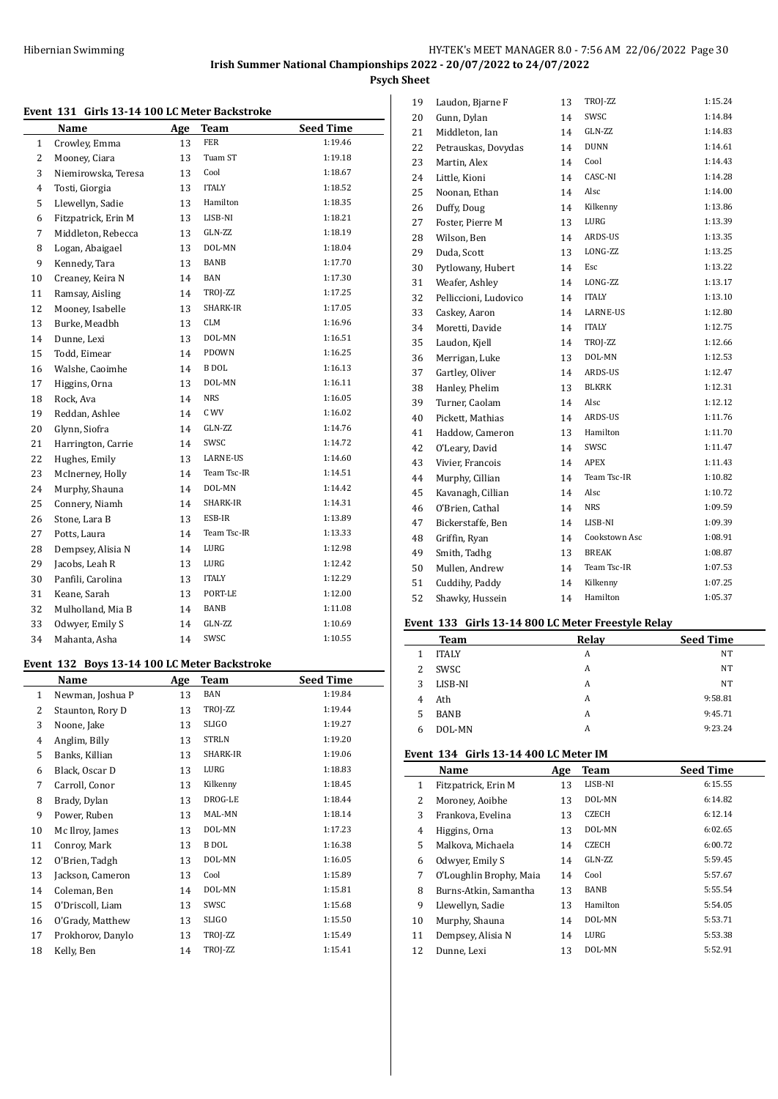### **Event 131 Girls 13-14 100 LC Meter Backstroke**

|        | ᅭᇦᆇ<br>and to 11 100 no meter backed one |     |              |                  |
|--------|------------------------------------------|-----|--------------|------------------|
|        | Name                                     | Age | <b>Team</b>  | <b>Seed Time</b> |
| 1      | Crowley, Emma                            | 13  | <b>FER</b>   | 1:19.46          |
| 2      | Mooney, Ciara                            | 13  | Tuam ST      | 1:19.18          |
| 3      | Niemirowska, Teresa                      | 13  | Cool         | 1:18.67          |
| 4      | Tosti, Giorgia                           | 13  | <b>ITALY</b> | 1:18.52          |
| 5      | Llewellyn, Sadie                         | 13  | Hamilton     | 1:18.35          |
| 6      | Fitzpatrick, Erin M                      | 13  | LISB-NI      | 1:18.21          |
| 7      | Middleton, Rebecca                       | 13  | GLN-ZZ       | 1:18.19          |
| 8      | Logan, Abaigael                          | 13  | DOL-MN       | 1:18.04          |
| 9      | Kennedy, Tara                            | 13  | <b>BANB</b>  | 1:17.70          |
| $10\,$ | Creaney, Keira N                         | 14  | <b>BAN</b>   | 1:17.30          |
| 11     | Ramsay, Aisling                          | 14  | TROJ-ZZ      | 1:17.25          |
| 12     | Mooney, Isabelle                         | 13  | SHARK-IR     | 1:17.05          |
| 13     | Burke, Meadbh                            | 13  | <b>CLM</b>   | 1:16.96          |
| 14     | Dunne, Lexi                              | 13  | DOL-MN       | 1:16.51          |
| 15     | Todd, Eimear                             | 14  | PDOWN        | 1:16.25          |
| 16     | Walshe, Caoimhe                          | 14  | <b>B</b> DOL | 1:16.13          |
| 17     | Higgins, Orna                            | 13  | DOL-MN       | 1:16.11          |
| 18     | Rock, Ava                                | 14  | <b>NRS</b>   | 1:16.05          |
| 19     | Reddan, Ashlee                           | 14  | C WV         | 1:16.02          |
| 20     | Glynn, Siofra                            | 14  | GLN-ZZ       | 1:14.76          |
| 21     | Harrington, Carrie                       | 14  | SWSC         | 1:14.72          |
| 22     | Hughes, Emily                            | 13  | LARNE-US     | 1:14.60          |
| 23     | McInerney, Holly                         | 14  | Team Tsc-IR  | 1:14.51          |
| 24     | Murphy, Shauna                           | 14  | DOL-MN       | 1:14.42          |
| 25     | Connery, Niamh                           | 14  | SHARK-IR     | 1:14.31          |
| 26     | Stone, Lara B                            | 13  | ESB-IR       | 1:13.89          |
| 27     | Potts, Laura                             | 14  | Team Tsc-IR  | 1:13.33          |
| 28     | Dempsey, Alisia N                        | 14  | LURG         | 1:12.98          |
| 29     | Jacobs, Leah R                           | 13  | LURG         | 1:12.42          |
| 30     | Panfili, Carolina                        | 13  | <b>ITALY</b> | 1:12.29          |
| 31     | Keane, Sarah                             | 13  | PORT-LE      | 1:12.00          |
| 32     | Mulholland, Mia B                        | 14  | BANB         | 1:11.08          |
| 33     | Odwyer, Emily S                          | 14  | GLN-ZZ       | 1:10.69          |
| 34     | Mahanta, Asha                            | 14  | SWSC         | 1:10.55          |

#### **Event 132 Boys 13-14 100 LC Meter Backstroke**

|              | Name              | Age | Team         | <b>Seed Time</b> |
|--------------|-------------------|-----|--------------|------------------|
| $\mathbf{1}$ | Newman, Joshua P  | 13  | BAN          | 1:19.84          |
| 2            | Staunton, Rory D  | 13  | TROJ-ZZ      | 1:19.44          |
| 3            | Noone, Jake       | 13  | <b>SLIGO</b> | 1:19.27          |
| 4            | Anglim, Billy     | 13  | STRLN        | 1:19.20          |
| 5            | Banks, Killian    | 13  | SHARK-IR     | 1:19.06          |
| 6            | Black, Oscar D    | 13  | LURG         | 1:18.83          |
| 7            | Carroll, Conor    | 13  | Kilkenny     | 1:18.45          |
| 8            | Brady, Dylan      | 13  | DROG-LE      | 1:18.44          |
| 9            | Power, Ruben      | 13  | MAL-MN       | 1:18.14          |
| 10           | Mc Ilroy, James   | 13  | DOL-MN       | 1:17.23          |
| 11           | Conroy, Mark      | 13  | B DOL        | 1:16.38          |
| 12           | O'Brien, Tadgh    | 13  | DOL-MN       | 1:16.05          |
| 13           | Jackson, Cameron  | 13  | Cool         | 1:15.89          |
| 14           | Coleman, Ben      | 14  | DOL-MN       | 1:15.81          |
| 15           | O'Driscoll, Liam  | 13  | SWSC         | 1:15.68          |
| 16           | O'Grady, Matthew  | 13  | SLIGO        | 1:15.50          |
| 17           | Prokhorov, Danylo | 13  | TROJ-ZZ      | 1:15.49          |
| 18           | Kelly, Ben        | 14  | TROJ-ZZ      | 1:15.41          |

| 19 | Laudon, Bjarne F      | 13 | TROJ-ZZ       | 1:15.24 |
|----|-----------------------|----|---------------|---------|
| 20 | Gunn, Dylan           | 14 | SWSC          | 1:14.84 |
| 21 | Middleton, Ian        | 14 | GLN-ZZ        | 1:14.83 |
| 22 | Petrauskas, Dovydas   | 14 | <b>DUNN</b>   | 1:14.61 |
| 23 | Martin, Alex          | 14 | Cool          | 1:14.43 |
| 24 | Little, Kioni         | 14 | CASC-NI       | 1:14.28 |
| 25 | Noonan, Ethan         | 14 | Alsc          | 1:14.00 |
| 26 | Duffy, Doug           | 14 | Kilkenny      | 1:13.86 |
| 27 | Foster, Pierre M      | 13 | LURG          | 1:13.39 |
| 28 | Wilson, Ben           | 14 | ARDS-US       | 1:13.35 |
| 29 | Duda, Scott           | 13 | LONG-ZZ       | 1:13.25 |
| 30 | Pytlowany, Hubert     | 14 | Esc           | 1:13.22 |
| 31 | Weafer, Ashley        | 14 | LONG-ZZ       | 1:13.17 |
| 32 | Pelliccioni, Ludovico | 14 | <b>ITALY</b>  | 1:13.10 |
| 33 | Caskey, Aaron         | 14 | LARNE-US      | 1:12.80 |
| 34 | Moretti, Davide       | 14 | <b>ITALY</b>  | 1:12.75 |
| 35 | Laudon, Kjell         | 14 | TROJ-ZZ       | 1:12.66 |
| 36 | Merrigan, Luke        | 13 | DOL-MN        | 1:12.53 |
| 37 | Gartley, Oliver       | 14 | ARDS-US       | 1:12.47 |
| 38 | Hanley, Phelim        | 13 | <b>BLKRK</b>  | 1:12.31 |
| 39 | Turner, Caolam        | 14 | Alsc          | 1:12.12 |
| 40 | Pickett, Mathias      | 14 | ARDS-US       | 1:11.76 |
| 41 | Haddow, Cameron       | 13 | Hamilton      | 1:11.70 |
| 42 | O'Leary, David        | 14 | SWSC          | 1:11.47 |
| 43 | Vivier, Francois      | 14 | <b>APEX</b>   | 1:11.43 |
| 44 | Murphy, Cillian       | 14 | Team Tsc-IR   | 1:10.82 |
| 45 | Kavanagh, Cillian     | 14 | Alsc          | 1:10.72 |
| 46 | O'Brien, Cathal       | 14 | <b>NRS</b>    | 1:09.59 |
| 47 | Bickerstaffe, Ben     | 14 | LISB-NI       | 1:09.39 |
| 48 | Griffin, Ryan         | 14 | Cookstown Asc | 1:08.91 |
| 49 | Smith, Tadhg          | 13 | <b>BREAK</b>  | 1:08.87 |
| 50 | Mullen, Andrew        | 14 | Team Tsc-IR   | 1:07.53 |
| 51 | Cuddihy, Paddy        | 14 | Kilkenny      | 1:07.25 |
| 52 | Shawky, Hussein       | 14 | Hamilton      | 1:05.37 |
|    |                       |    |               |         |

#### **Event 133 Girls 13-14 800 LC Meter Freestyle Relay**

|   | Team         | Relay | <b>Seed Time</b> |
|---|--------------|-------|------------------|
|   | <b>ITALY</b> | A     | NT               |
| 2 | SWSC         | A     | NT               |
| 3 | LISB-NI      | A     | NT               |
| 4 | Ath          | A     | 9:58.81          |
| 5 | <b>BANB</b>  | A     | 9:45.71          |
| 6 | DOL-MN       | А     | 9:23.24          |

# **Event 134 Girls 13-14 400 LC Meter IM**

|    | Name                    | Age | <b>Team</b>  | <b>Seed Time</b> |
|----|-------------------------|-----|--------------|------------------|
| 1  | Fitzpatrick, Erin M     | 13  | LISB-NI      | 6:15.55          |
| 2  | Moroney, Aoibhe         | 13  | DOL-MN       | 6:14.82          |
| 3  | Frankova, Evelina       | 13  | <b>CZECH</b> | 6:12.14          |
| 4  | Higgins, Orna           | 13  | DOL-MN       | 6:02.65          |
| 5  | Malkova, Michaela       | 14  | <b>CZECH</b> | 6:00.72          |
| 6  | Odwyer, Emily S         | 14  | GLN-7.7.     | 5:59.45          |
| 7  | O'Loughlin Brophy, Maia | 14  | Cool         | 5:57.67          |
| 8  | Burns-Atkin, Samantha   | 13  | BANB         | 5:55.54          |
| 9  | Llewellyn, Sadie        | 13  | Hamilton     | 5:54.05          |
| 10 | Murphy, Shauna          | 14  | DOL-MN       | 5:53.71          |
| 11 | Dempsey, Alisia N       | 14  | LURG         | 5:53.38          |
| 12 | Dunne, Lexi             | 13  | DOL-MN       | 5:52.91          |